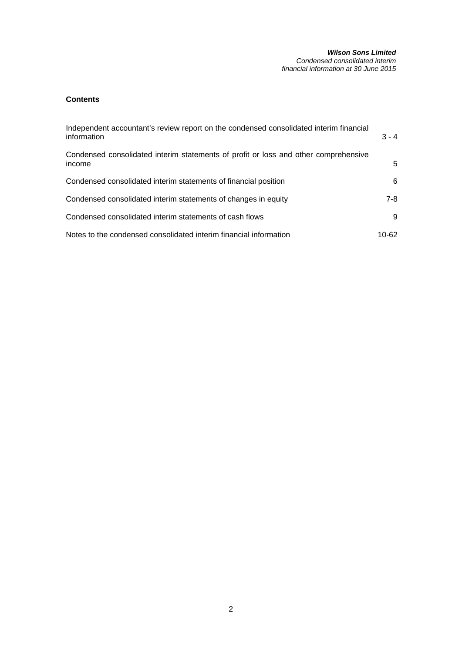## **Contents**

| Independent accountant's review report on the condensed consolidated interim financial<br>information | $3 - 4$ |
|-------------------------------------------------------------------------------------------------------|---------|
| Condensed consolidated interim statements of profit or loss and other comprehensive<br>income         | 5.      |
| Condensed consolidated interim statements of financial position                                       | 6.      |
| Condensed consolidated interim statements of changes in equity                                        | 7-8     |
| Condensed consolidated interim statements of cash flows                                               | 9       |
| Notes to the condensed consolidated interim financial information                                     | 10-62   |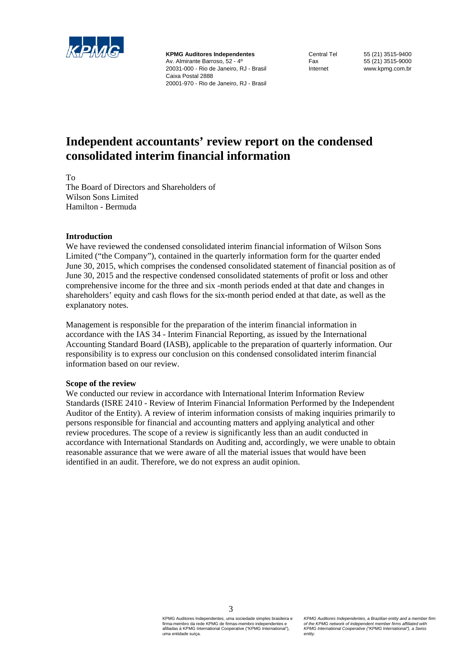

**KPMG Auditores Independentes**  Av. Almirante Barroso, 52 - 4º 20031-000 - Rio de Janeiro, RJ - Brasil Caixa Postal 2888 20001-970 - Rio de Janeiro, RJ - Brasil

Central Tel 55 (21) 3515-9400 Fax 55 (21) 3515-9000 Internet www.kpmg.com.br

# **Independent accountants' review report on the condensed consolidated interim financial information**

To

The Board of Directors and Shareholders of Wilson Sons Limited Hamilton - Bermuda

## **Introduction**

We have reviewed the condensed consolidated interim financial information of Wilson Sons Limited ("the Company"), contained in the quarterly information form for the quarter ended June 30, 2015, which comprises the condensed consolidated statement of financial position as of June 30, 2015 and the respective condensed consolidated statements of profit or loss and other comprehensive income for the three and six -month periods ended at that date and changes in shareholders' equity and cash flows for the six-month period ended at that date, as well as the explanatory notes.

Management is responsible for the preparation of the interim financial information in accordance with the IAS 34 - Interim Financial Reporting, as issued by the International Accounting Standard Board (IASB), applicable to the preparation of quarterly information. Our responsibility is to express our conclusion on this condensed consolidated interim financial information based on our review.

## **Scope of the review**

We conducted our review in accordance with International Interim Information Review Standards (ISRE 2410 - Review of Interim Financial Information Performed by the Independent Auditor of the Entity). A review of interim information consists of making inquiries primarily to persons responsible for financial and accounting matters and applying analytical and other review procedures. The scope of a review is significantly less than an audit conducted in accordance with International Standards on Auditing and, accordingly, we were unable to obtain reasonable assurance that we were aware of all the material issues that would have been identified in an audit. Therefore, we do not express an audit opinion.

3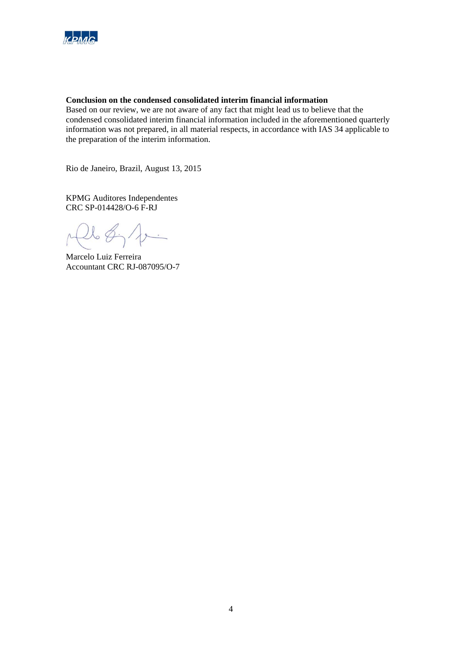

## **Conclusion on the condensed consolidated interim financial information**

Based on our review, we are not aware of any fact that might lead us to believe that the condensed consolidated interim financial information included in the aforementioned quarterly information was not prepared, in all material respects, in accordance with IAS 34 applicable to the preparation of the interim information.

Rio de Janeiro, Brazil, August 13, 2015

KPMG Auditores Independentes CRC SP-014428/O-6 F-RJ

 $\mathcal{V}\in\mathcal{G}$  $\overline{\phantom{a}}$ 

Marcelo Luiz Ferreira Accountant CRC RJ-087095/O-7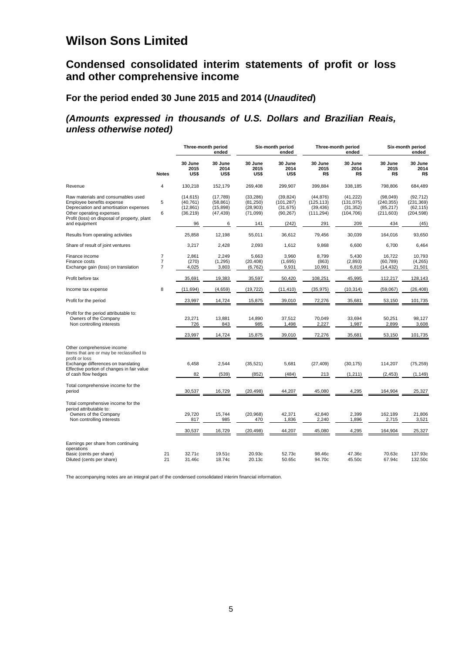# **Condensed consolidated interim statements of profit or loss and other comprehensive income**

## **For the period ended 30 June 2015 and 2014 (***Unaudited***)**

## *(Amounts expressed in thousands of U.S. Dollars and Brazilian Reais, unless otherwise noted)*

|                                                                                                                                                                                       |                                                    |                                                  | Three-month period<br>ended                     |                                                 | Six-month period<br>ended                         |                                                    | Three-month period<br>ended                        |                                                    | Six-month period<br>ended                          |
|---------------------------------------------------------------------------------------------------------------------------------------------------------------------------------------|----------------------------------------------------|--------------------------------------------------|-------------------------------------------------|-------------------------------------------------|---------------------------------------------------|----------------------------------------------------|----------------------------------------------------|----------------------------------------------------|----------------------------------------------------|
|                                                                                                                                                                                       | <b>Notes</b>                                       | 30 June<br>2015<br>US\$                          | 30 June<br>2014<br>US\$                         | 30 June<br>2015<br>US\$                         | 30 June<br>2014<br>US\$                           | 30 June<br>2015<br>R\$                             | 30 June<br>2014<br>R\$                             | 30 June<br>2015<br>R\$                             | 30 June<br>2014<br>R\$                             |
| Revenue                                                                                                                                                                               | 4                                                  | 130.218                                          | 152,179                                         | 269,408                                         | 299,907                                           | 399.884                                            | 338.185                                            | 798.806                                            | 684,489                                            |
| Raw materials and consumables used<br>Employee benefits expense<br>Depreciation and amortisation expenses<br>Other operating expenses<br>Profit (loss) on disposal of property, plant | 5<br>6                                             | (14, 615)<br>(40, 761)<br>(12, 861)<br>(36, 219) | (17,789)<br>(58, 861)<br>(15, 898)<br>(47, 439) | (33, 286)<br>(81, 250)<br>(28, 903)<br>(71,099) | (39, 824)<br>(101, 287)<br>(31, 675)<br>(90, 267) | (44, 876)<br>(125, 113)<br>(39, 436)<br>(111, 294) | (41, 222)<br>(131, 075)<br>(31, 352)<br>(104, 706) | (98, 049)<br>(240, 355)<br>(85, 217)<br>(211, 603) | (92, 712)<br>(231, 369)<br>(62, 115)<br>(204, 598) |
| and equipment                                                                                                                                                                         |                                                    | 96                                               | 6                                               | 141                                             | (242)                                             | 291                                                | 209                                                | 434                                                | (45)                                               |
| Results from operating activities                                                                                                                                                     |                                                    | 25,858                                           | 12,198                                          | 55,011                                          | 36,612                                            | 79,456                                             | 30,039                                             | 164,016                                            | 93,650                                             |
| Share of result of joint ventures                                                                                                                                                     |                                                    | 3,217                                            | 2,428                                           | 2,093                                           | 1,612                                             | 9,868                                              | 6,600                                              | 6,700                                              | 6,464                                              |
| Finance income<br>Finance costs<br>Exchange gain (loss) on translation                                                                                                                | $\overline{7}$<br>$\overline{7}$<br>$\overline{7}$ | 2,861<br>(270)<br>4,025                          | 2,249<br>(1,295)<br>3,803                       | 5,663<br>(20, 408)<br>(6, 762)                  | 3,960<br>(1,695)<br>9,931                         | 8,799<br>(863)<br>10,991                           | 5,430<br>(2,893)<br>6,819                          | 16,722<br>(60, 789)<br>(14, 432)                   | 10,793<br>(4,265)<br>21,501                        |
| Profit before tax                                                                                                                                                                     |                                                    | 35,691                                           | 19,383                                          | 35,597                                          | 50,420                                            | 108,251                                            | 45,995                                             | 112,217                                            | 128,143                                            |
| Income tax expense                                                                                                                                                                    | 8                                                  | (11, 694)                                        | (4,659)                                         | (19, 722)                                       | (11, 410)                                         | (35, 975)                                          | (10, 314)                                          | (59,067)                                           | (26, 408)                                          |
| Profit for the period                                                                                                                                                                 |                                                    | 23,997                                           | 14,724                                          | 15,875                                          | 39,010                                            | 72,276                                             | 35,681                                             | 53,150                                             | 101,735                                            |
| Profit for the period attributable to:<br>Owners of the Company<br>Non controlling interests                                                                                          |                                                    | 23,271<br>726                                    | 13,881<br>843                                   | 14,890<br>985                                   | 37,512<br>1,498                                   | 70.049<br>2,227                                    | 33,694<br>1,987                                    | 50,251<br>2,899                                    | 98,127<br>3,608                                    |
|                                                                                                                                                                                       |                                                    | 23,997                                           | 14,724                                          | 15,875                                          | 39,010                                            | 72,276                                             | 35,681                                             | 53,150                                             | 101,735                                            |
| Other comprehensive income<br>Items that are or may be reclassified to<br>profit or loss                                                                                              |                                                    |                                                  |                                                 |                                                 |                                                   |                                                    |                                                    |                                                    |                                                    |
| Exchange differences on translating<br>Effective portion of changes in fair value                                                                                                     |                                                    | 6,458                                            | 2,544                                           | (35, 521)                                       | 5,681                                             | (27, 409)                                          | (30, 175)                                          | 114,207                                            | (75, 259)                                          |
| of cash flow hedges                                                                                                                                                                   |                                                    | 82                                               | (539)                                           | (852)                                           | (484)                                             | 213                                                | (1, 211)                                           | (2, 453)                                           | (1, 149)                                           |
| Total comprehensive income for the<br>period                                                                                                                                          |                                                    | 30,537                                           | 16,729                                          | (20, 498)                                       | 44,207                                            | 45,080                                             | 4,295                                              | 164,904                                            | 25,327                                             |
| Total comprehensive income for the<br>period attributable to:                                                                                                                         |                                                    |                                                  |                                                 |                                                 |                                                   |                                                    |                                                    |                                                    |                                                    |
| Owners of the Company<br>Non controlling interests                                                                                                                                    |                                                    | 29,720<br>817                                    | 15.744<br>985                                   | (20, 968)<br>470                                | 42.371<br>1,836                                   | 42.840<br>2,240                                    | 2.399<br>1,896                                     | 162.189<br>2,715                                   | 21.806<br>3,521                                    |
|                                                                                                                                                                                       |                                                    | 30,537                                           | 16,729                                          | (20, 498)                                       | 44,207                                            | 45,080                                             | 4,295                                              | 164,904                                            | 25,327                                             |
| Earnings per share from continuing                                                                                                                                                    |                                                    |                                                  |                                                 |                                                 |                                                   |                                                    |                                                    |                                                    |                                                    |
| operations<br>Basic (cents per share)<br>Diluted (cents per share)                                                                                                                    | 21<br>21                                           | 32.71c<br>31.46c                                 | 19.51c<br>18.74c                                | 20.93c<br>20.13c                                | 52.73c<br>50.65c                                  | 98.46c<br>94.70c                                   | 47.36c<br>45.50c                                   | 70.63c<br>67.94c                                   | 137.93c<br>132.50c                                 |

The accompanying notes are an integral part of the condensed consolidated interim financial information.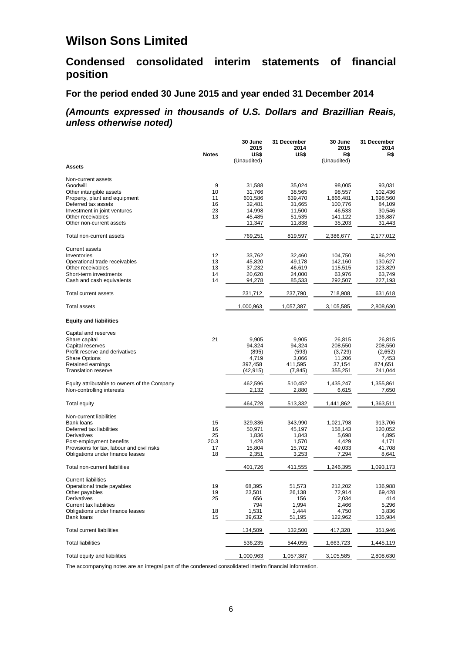# **Condensed consolidated interim statements of financial position**

## **For the period ended 30 June 2015 and year ended 31 December 2014**

## *(Amounts expressed in thousands of U.S. Dollars and Brazillian Reais, unless otherwise noted)*

|                                              |              | 30 June             | 31 December | 30 June            | 31 December |
|----------------------------------------------|--------------|---------------------|-------------|--------------------|-------------|
|                                              |              | 2015                | 2014        | 2015               | 2014        |
|                                              | <b>Notes</b> | US\$<br>(Unaudited) | US\$        | R\$<br>(Unaudited) | R\$         |
| <b>Assets</b>                                |              |                     |             |                    |             |
| Non-current assets                           |              |                     |             |                    |             |
| Goodwill                                     | 9            | 31.588              | 35,024      | 98.005             | 93,031      |
| Other intangible assets                      | 10           | 31,766              | 38,565      | 98,557             | 102,436     |
| Property, plant and equipment                | 11           | 601,586             | 639,470     | 1,866,481          | 1,698,560   |
| Deferred tax assets                          | 16           | 32,481              | 31,665      | 100,776            | 84,109      |
| Investment in joint ventures                 | 23           | 14,998              | 11,500      | 46,533             | 30,546      |
| Other receivables                            | 13           | 45,485              | 51,535      | 141,122            | 136,887     |
| Other non-current assets                     |              | 11,347              | 11,838      | 35,203             | 31,443      |
| Total non-current assets                     |              | 769,251             | 819,597     | 2,386,677          | 2,177,012   |
| <b>Current assets</b>                        |              |                     |             |                    |             |
| Inventories                                  | 12           | 33,762              | 32,460      | 104,750            | 86,220      |
| Operational trade receivables                | 13           | 45,820              | 49,178      | 142,160            | 130,627     |
| Other receivables                            | 13           | 37,232              | 46,619      | 115,515            | 123,829     |
| Short-term investments                       | 14           | 20,620              | 24,000      | 63,976             | 63,749      |
| Cash and cash equivalents                    | 14           | 94,278              | 85,533      | 292,507            | 227,193     |
| Total current assets                         |              | 231,712             | 237,790     | 718,908            | 631,618     |
| <b>Total assets</b>                          |              | 1,000,963           | 1,057,387   | 3,105,585          | 2,808,630   |
| <b>Equity and liabilities</b>                |              |                     |             |                    |             |
| Capital and reserves                         |              |                     |             |                    |             |
| Share capital                                | 21           | 9,905               | 9,905       | 26,815             | 26,815      |
| Capital reserves                             |              | 94,324              | 94,324      | 208,550            | 208,550     |
| Profit reserve and derivatives               |              | (895)               | (593)       | (3,729)            | (2,652)     |
| <b>Share Options</b>                         |              | 4,719               | 3,066       | 11,206             | 7,453       |
| Retained earnings                            |              | 397,458             | 411,595     | 37,154             | 874,651     |
| <b>Translation reserve</b>                   |              | (42, 915)           | (7, 845)    | 355,251            | 241,044     |
| Equity attributable to owners of the Company |              | 462,596             | 510,452     | 1,435,247          | 1,355,861   |
| Non-controlling interests                    |              | 2,132               | 2,880       | 6,615              | 7,650       |
| Total equity                                 |              | 464,728             | 513,332     | 1,441,862          | 1,363,511   |
| Non-current liabilities                      |              |                     |             |                    |             |
| Bank loans                                   | 15           | 329,336             | 343,990     | 1,021,798          | 913,706     |
| Deferred tax liabilities                     | 16           | 50,971              | 45,197      | 158,143            | 120,052     |
| Derivatives                                  | 25           | 1,836               | 1,843       | 5,698              | 4,895       |
| Post-employment benefits                     | 20.3         | 1,428               | 1,570       | 4,429              | 4,171       |
| Provisions for tax, labour and civil risks   | 17           | 15,804              | 15,702      | 49,033             | 41,708      |
| Obligations under finance leases             | 18           | 2,351               | 3,253       | 7,294              | 8,641       |
| Total non-current liabilities                |              | 401,726             | 411,555     | 1,246,395          | 1,093,173   |
| <b>Current liabilities</b>                   |              |                     |             |                    |             |
| Operational trade payables                   | 19           | 68,395              | 51,573      | 212,202            | 136,988     |
| Other payables                               | 19           | 23,501              | 26,138      | 72,914             | 69,428      |
| Derivatives                                  | 25           | 656                 | 156         | 2,034              | 414         |
| Current tax liabilities                      |              | 794                 | 1,994       | 2,466              | 5,296       |
| Obligations under finance leases             | 18           | 1,531               | 1,444       | 4,750              | 3,836       |
| <b>Bank loans</b>                            | 15           | 39,632              | 51,195      | 122,962            | 135,984     |
| <b>Total current liabilities</b>             |              | 134,509             | 132,500     | 417,328            | 351,946     |
| <b>Total liabilities</b>                     |              | 536,235             | 544,055     | 1,663,723          | 1,445,119   |
| Total equity and liabilities                 |              | 1,000,963           | 1,057,387   | 3,105,585          | 2,808,630   |

The accompanying notes are an integral part of the condensed consolidated interim financial information.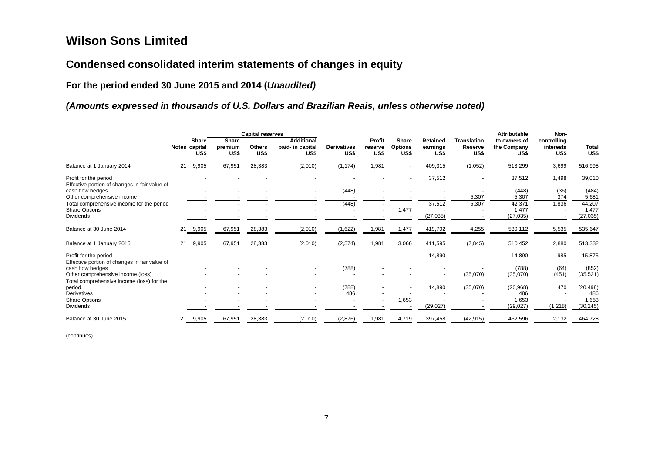# **Condensed consolidated interim statements of changes in equity**

**For the period ended 30 June 2015 and 2014 (***Unaudited)*

## *(Amounts expressed in thousands of U.S. Dollars and Brazilian Reais, unless otherwise noted)*

|                                                                        |    |                                       |                          | <b>Capital reserves</b> |                                               |                            |                           |                                        |                                     |                                       | Attributable<br>Non-                |                                  |                      |
|------------------------------------------------------------------------|----|---------------------------------------|--------------------------|-------------------------|-----------------------------------------------|----------------------------|---------------------------|----------------------------------------|-------------------------------------|---------------------------------------|-------------------------------------|----------------------------------|----------------------|
|                                                                        |    | <b>Share</b><br>Notes capital<br>US\$ | Share<br>premium<br>US\$ | <b>Others</b><br>US\$   | <b>Additional</b><br>paid- in capital<br>US\$ | <b>Derivatives</b><br>US\$ | Profit<br>reserve<br>US\$ | <b>Share</b><br><b>Options</b><br>US\$ | <b>Retained</b><br>earnings<br>US\$ | <b>Translation</b><br>Reserve<br>US\$ | to owners of<br>the Company<br>US\$ | controlling<br>interests<br>US\$ | <b>Total</b><br>US\$ |
| Balance at 1 January 2014                                              | 21 | 9,905                                 | 67,951                   | 28,383                  | (2,010)                                       | (1, 174)                   | 1,981                     | $\overline{\phantom{a}}$               | 409,315                             | (1,052)                               | 513,299                             | 3,699                            | 516,998              |
| Profit for the period<br>Effective portion of changes in fair value of |    |                                       |                          |                         |                                               |                            |                           | $\sim$                                 | 37,512                              | $\blacksquare$                        | 37,512                              | 1,498                            | 39,010               |
| cash flow hedges                                                       |    |                                       |                          |                         |                                               | (448)                      |                           |                                        |                                     |                                       | (448)                               | (36)                             | (484)                |
| Other comprehensive income                                             |    |                                       |                          |                         |                                               |                            |                           |                                        |                                     | 5,307                                 | 5,307                               | 374                              | 5,681                |
| Total comprehensive income for the period                              |    |                                       |                          |                         |                                               | (448)                      |                           |                                        | 37,512                              | 5,307                                 | 42,371                              | 1,836                            | 44,207               |
| <b>Share Options</b>                                                   |    |                                       |                          |                         |                                               |                            |                           | 1,477                                  |                                     |                                       | 1,477                               |                                  | 1,477                |
| <b>Dividends</b>                                                       |    |                                       |                          |                         |                                               |                            |                           |                                        | (27, 035)                           |                                       | (27, 035)                           |                                  | (27, 035)            |
| Balance at 30 June 2014                                                | 21 | 9,905                                 | 67,951                   | 28,383                  | (2,010)                                       | (1,622)                    | 1,981                     | 1,477                                  | 419,792                             | 4,255                                 | 530,112                             | 5,535                            | 535,647              |
| Balance at 1 January 2015                                              | 21 | 9,905                                 | 67,951                   | 28,383                  | (2,010)                                       | (2,574)                    | 1,981                     | 3,066                                  | 411,595                             | (7, 845)                              | 510,452                             | 2,880                            | 513,332              |
| Profit for the period                                                  |    |                                       |                          |                         |                                               |                            |                           |                                        | 14,890                              | ٠                                     | 14,890                              | 985                              | 15,875               |
| Effective portion of changes in fair value of<br>cash flow hedges      |    |                                       |                          |                         |                                               | (788)                      |                           |                                        |                                     |                                       | (788)                               | (64)                             | (852)                |
| Other comprehensive income (loss)                                      |    |                                       |                          |                         |                                               |                            |                           |                                        |                                     | (35,070)                              | (35,070)                            | (451)                            | (35, 521)            |
| Total comprehensive income (loss) for the                              |    |                                       |                          |                         |                                               |                            |                           |                                        |                                     |                                       |                                     |                                  |                      |
| period                                                                 |    |                                       |                          |                         |                                               | (788)                      |                           | $\overline{a}$                         | 14,890                              | (35,070)                              | (20, 968)                           | 470                              | (20, 498)            |
| <b>Derivatives</b>                                                     |    |                                       |                          |                         |                                               | 486                        |                           |                                        |                                     |                                       | 486                                 |                                  | 486                  |
| <b>Share Options</b>                                                   |    |                                       |                          |                         |                                               |                            |                           | 1,653                                  |                                     |                                       | 1,653                               |                                  | 1,653                |
| <b>Dividends</b>                                                       |    |                                       |                          |                         |                                               |                            |                           |                                        | (29, 027)                           |                                       | (29, 027)                           | (1,218)                          | (30, 245)            |
| Balance at 30 June 2015                                                | 21 | 9,905                                 | 67,951                   | 28,383                  | (2,010)                                       | (2,876)                    | 1,981                     | 4,719                                  | 397,458                             | (42, 915)                             | 462,596                             | 2,132                            | 464,728              |

(continues)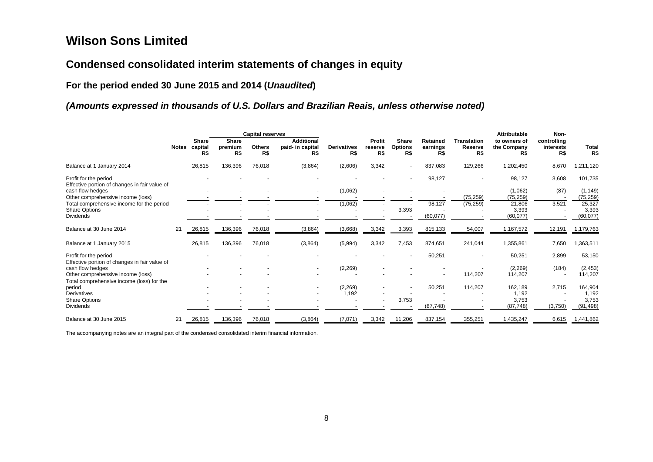# **Condensed consolidated interim statements of changes in equity**

**For the period ended 30 June 2015 and 2014 (***Unaudited***)** 

## *(Amounts expressed in thousands of U.S. Dollars and Brazilian Reais, unless otherwise noted)*

|                                                                        |              |                         |                                | <b>Capital reserves</b> |                                              |                           |                          |                                |                             |                                      | <b>Attributable</b>                | Non-                            |                       |
|------------------------------------------------------------------------|--------------|-------------------------|--------------------------------|-------------------------|----------------------------------------------|---------------------------|--------------------------|--------------------------------|-----------------------------|--------------------------------------|------------------------------------|---------------------------------|-----------------------|
|                                                                        | <b>Notes</b> | Share<br>capital<br>R\$ | <b>Share</b><br>premium<br>R\$ | <b>Others</b><br>R\$    | <b>Additional</b><br>paid- in capital<br>R\$ | <b>Derivatives</b><br>R\$ | Profit<br>reserve<br>R\$ | Share<br><b>Options</b><br>R\$ | Retained<br>earnings<br>R\$ | <b>Translation</b><br>Reserve<br>R\$ | to owners of<br>the Company<br>R\$ | controlling<br>interests<br>R\$ | <b>Total</b><br>R\$   |
| Balance at 1 January 2014                                              |              | 26,815                  | 136,396                        | 76,018                  | (3,864)                                      | (2,606)                   | 3,342                    |                                | 837,083                     | 129,266                              | 1,202,450                          | 8,670                           | 1,211,120             |
| Profit for the period<br>Effective portion of changes in fair value of |              |                         |                                |                         |                                              |                           |                          |                                | 98,127                      |                                      | 98,127                             | 3,608                           | 101,735               |
| cash flow hedges<br>Other comprehensive income (loss)                  |              |                         |                                |                         |                                              | (1,062)                   |                          |                                |                             | (75, 259)                            | (1,062)<br>(75, 259)               | (87)                            | (1, 149)<br>(75, 259) |
| Total comprehensive income for the period                              |              |                         |                                |                         |                                              | (1,062)                   |                          |                                | 98,127                      | (75, 259)                            | 21,806                             | 3,521                           | 25,327                |
| <b>Share Options</b>                                                   |              |                         |                                |                         |                                              |                           |                          | 3,393                          |                             |                                      | 3,393                              |                                 | 3,393                 |
| <b>Dividends</b>                                                       |              |                         |                                |                         |                                              |                           |                          |                                | (60, 077)                   |                                      | (60,077)                           |                                 | (60, 077)             |
| Balance at 30 June 2014                                                | 21           | 26,815                  | 136,396                        | 76,018                  | (3,864)                                      | (3,668)                   | 3,342                    | 3,393                          | 815,133                     | 54,007                               | 1,167,572                          | 12,191                          | 1,179,763             |
| Balance at 1 January 2015                                              |              | 26,815                  | 136,396                        | 76,018                  | (3,864)                                      | (5,994)                   | 3,342                    | 7,453                          | 874,651                     | 241,044                              | 1,355,861                          | 7,650                           | 1,363,511             |
| Profit for the period                                                  |              |                         |                                |                         |                                              |                           |                          |                                | 50,251                      |                                      | 50,251                             | 2,899                           | 53,150                |
| Effective portion of changes in fair value of<br>cash flow hedges      |              |                         |                                |                         |                                              | (2, 269)                  |                          |                                |                             |                                      | (2,269)                            | (184)                           | (2, 453)              |
| Other comprehensive income (loss)                                      |              |                         |                                |                         |                                              |                           |                          |                                |                             | 114,207                              | 114,207                            |                                 | 114,207               |
| Total comprehensive income (loss) for the                              |              |                         |                                |                         |                                              |                           |                          |                                |                             |                                      |                                    |                                 |                       |
| period                                                                 |              |                         |                                |                         |                                              | (2, 269)                  |                          |                                | 50,251                      | 114,207                              | 162,189                            | 2,715                           | 164,904               |
| <b>Derivatives</b>                                                     |              |                         |                                |                         |                                              | 1,192                     |                          |                                |                             |                                      | 1,192                              |                                 | 1,192                 |
| <b>Share Options</b>                                                   |              |                         |                                |                         |                                              |                           |                          | 3,753                          |                             |                                      | 3,753                              |                                 | 3,753                 |
| <b>Dividends</b>                                                       |              |                         |                                |                         |                                              |                           |                          |                                | (87, 748)                   |                                      | (87, 748)                          | (3,750)                         | (91, 498)             |
| Balance at 30 June 2015                                                | 21           | 26,815                  | 136,396                        | 76,018                  | (3,864)                                      | (7,071)                   | 3,342                    | 11,206                         | 837,154                     | 355,251                              | 1,435,247                          | 6,615                           | 1,441,862             |

The accompanying notes are an integral part of the condensed consolidated interim financial information.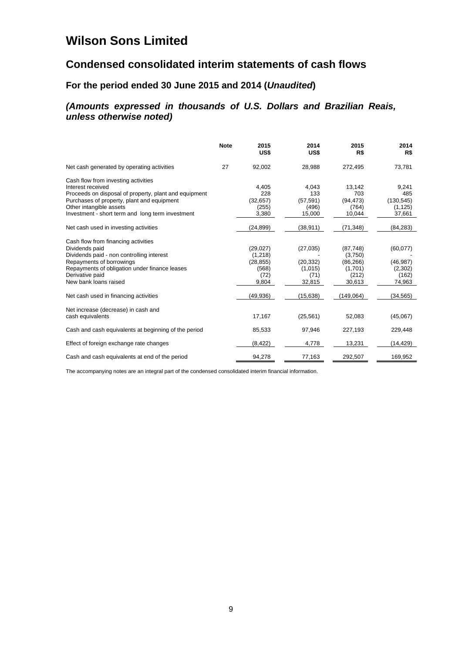# **Condensed consolidated interim statements of cash flows**

## **For the period ended 30 June 2015 and 2014 (***Unaudited***)**

## *(Amounts expressed in thousands of U.S. Dollars and Brazilian Reais, unless otherwise noted)*

|                                                       | <b>Note</b> | 2015<br>US\$ | 2014<br>US\$ | 2015<br>R\$ | 2014<br>R\$ |
|-------------------------------------------------------|-------------|--------------|--------------|-------------|-------------|
| Net cash generated by operating activities            | 27          | 92,002       | 28,988       | 272,495     | 73,781      |
| Cash flow from investing activities                   |             |              |              |             |             |
| Interest received                                     |             | 4,405        | 4,043        | 13,142      | 9,241       |
| Proceeds on disposal of property, plant and equipment |             | 228          | 133          | 703         | 485         |
| Purchases of property, plant and equipment            |             | (32, 657)    | (57, 591)    | (94, 473)   | (130, 545)  |
| Other intangible assets                               |             | (255)        | (496)        | (764)       | (1, 125)    |
| Investment - short term and long term investment      |             | 3,380        | 15,000       | 10,044      | 37,661      |
| Net cash used in investing activities                 |             | (24, 899)    | (38, 911)    | (71, 348)   | (84, 283)   |
| Cash flow from financing activities                   |             |              |              |             |             |
| Dividends paid                                        |             | (29, 027)    | (27, 035)    | (87, 748)   | (60,077)    |
| Dividends paid - non controlling interest             |             | (1,218)      |              | (3,750)     |             |
| Repayments of borrowings                              |             | (28, 855)    | (20, 332)    | (86, 266)   | (46, 987)   |
| Repayments of obligation under finance leases         |             | (568)        | (1,015)      | (1,701)     | (2,302)     |
| Derivative paid                                       |             | (72)         | (71)         | (212)       | (162)       |
| New bank loans raised                                 |             | 9,804        | 32,815       | 30,613      | 74,963      |
| Net cash used in financing activities                 |             | (49,936)     | (15, 638)    | (149,064)   | (34, 565)   |
| Net increase (decrease) in cash and                   |             |              |              |             |             |
| cash equivalents                                      |             | 17,167       | (25, 561)    | 52,083      | (45,067)    |
| Cash and cash equivalents at beginning of the period  |             | 85,533       | 97,946       | 227,193     | 229,448     |
| Effect of foreign exchange rate changes               |             | (8, 422)     | 4,778        | 13,231      | (14,429)    |
| Cash and cash equivalents at end of the period        |             | 94,278       | 77,163       | 292,507     | 169,952     |

The accompanying notes are an integral part of the condensed consolidated interim financial information.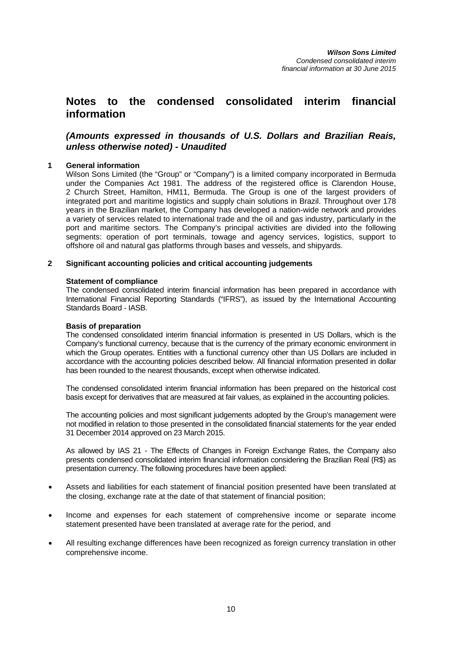## **Notes to the condensed consolidated interim financial information**

## *(Amounts expressed in thousands of U.S. Dollars and Brazilian Reais, unless otherwise noted) - Unaudited*

## **1 General information**

Wilson Sons Limited (the "Group" or "Company") is a limited company incorporated in Bermuda under the Companies Act 1981. The address of the registered office is Clarendon House, 2 Church Street, Hamilton, HM11, Bermuda. The Group is one of the largest providers of integrated port and maritime logistics and supply chain solutions in Brazil. Throughout over 178 years in the Brazilian market, the Company has developed a nation-wide network and provides a variety of services related to international trade and the oil and gas industry, particularly in the port and maritime sectors. The Company's principal activities are divided into the following segments: operation of port terminals, towage and agency services, logistics, support to offshore oil and natural gas platforms through bases and vessels, and shipyards.

## **2 Significant accounting policies and critical accounting judgements**

## **Statement of compliance**

The condensed consolidated interim financial information has been prepared in accordance with International Financial Reporting Standards ("IFRS"), as issued by the International Accounting Standards Board - IASB.

## **Basis of preparation**

The condensed consolidated interim financial information is presented in US Dollars, which is the Company's functional currency, because that is the currency of the primary economic environment in which the Group operates. Entities with a functional currency other than US Dollars are included in accordance with the accounting policies described below. All financial information presented in dollar has been rounded to the nearest thousands, except when otherwise indicated.

The condensed consolidated interim financial information has been prepared on the historical cost basis except for derivatives that are measured at fair values, as explained in the accounting policies.

The accounting policies and most significant judgements adopted by the Group's management were not modified in relation to those presented in the consolidated financial statements for the year ended 31 December 2014 approved on 23 March 2015.

As allowed by IAS 21 - The Effects of Changes in Foreign Exchange Rates, the Company also presents condensed consolidated interim financial information considering the Brazilian Real (R\$) as presentation currency. The following procedures have been applied:

- Assets and liabilities for each statement of financial position presented have been translated at the closing, exchange rate at the date of that statement of financial position;
- Income and expenses for each statement of comprehensive income or separate income statement presented have been translated at average rate for the period, and
- All resulting exchange differences have been recognized as foreign currency translation in other comprehensive income.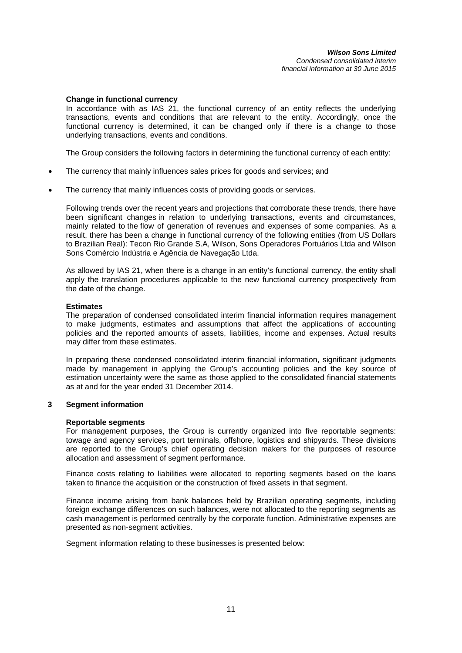### **Change in functional currency**

In accordance with as IAS 21, the functional currency of an entity reflects the underlying transactions, events and conditions that are relevant to the entity. Accordingly, once the functional currency is determined, it can be changed only if there is a change to those underlying transactions, events and conditions.

The Group considers the following factors in determining the functional currency of each entity:

- The currency that mainly influences sales prices for goods and services; and
- The currency that mainly influences costs of providing goods or services.

Following trends over the recent years and projections that corroborate these trends, there have been significant changes in relation to underlying transactions, events and circumstances, mainly related to the flow of generation of revenues and expenses of some companies. As a result, there has been a change in functional currency of the following entities (from US Dollars to Brazilian Real): Tecon Rio Grande S.A, Wilson, Sons Operadores Portuários Ltda and Wilson Sons Comércio Indústria e Agência de Navegação Ltda.

As allowed by IAS 21, when there is a change in an entity's functional currency, the entity shall apply the translation procedures applicable to the new functional currency prospectively from the date of the change.

### **Estimates**

The preparation of condensed consolidated interim financial information requires management to make judgments, estimates and assumptions that affect the applications of accounting policies and the reported amounts of assets, liabilities, income and expenses. Actual results may differ from these estimates.

In preparing these condensed consolidated interim financial information, significant judgments made by management in applying the Group's accounting policies and the key source of estimation uncertainty were the same as those applied to the consolidated financial statements as at and for the year ended 31 December 2014.

## **3 Segment information**

#### **Reportable segments**

For management purposes, the Group is currently organized into five reportable segments: towage and agency services, port terminals, offshore, logistics and shipyards. These divisions are reported to the Group's chief operating decision makers for the purposes of resource allocation and assessment of segment performance.

Finance costs relating to liabilities were allocated to reporting segments based on the loans taken to finance the acquisition or the construction of fixed assets in that segment.

Finance income arising from bank balances held by Brazilian operating segments, including foreign exchange differences on such balances, were not allocated to the reporting segments as cash management is performed centrally by the corporate function. Administrative expenses are presented as non-segment activities.

Segment information relating to these businesses is presented below: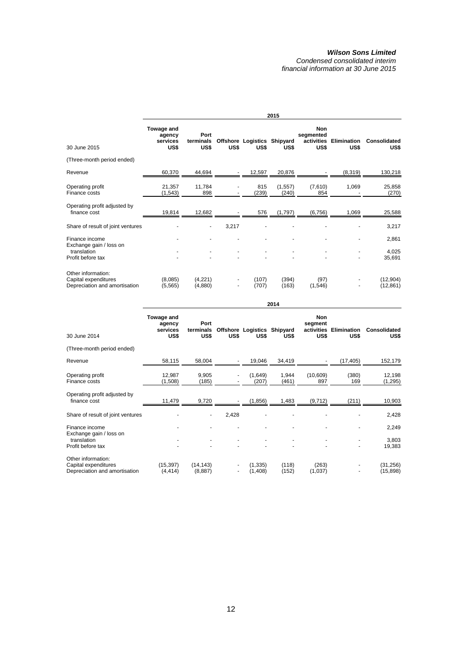|                                                                             |                                          |                           |       |                                     | 2015              |                                               |                            |                       |
|-----------------------------------------------------------------------------|------------------------------------------|---------------------------|-------|-------------------------------------|-------------------|-----------------------------------------------|----------------------------|-----------------------|
| 30 June 2015                                                                | Towage and<br>agency<br>services<br>US\$ | Port<br>terminals<br>US\$ | US\$  | Offshore Logistics Shipyard<br>US\$ | US\$              | <b>Non</b><br>segmented<br>activities<br>US\$ | <b>Elimination</b><br>US\$ | Consolidated<br>US\$  |
| (Three-month period ended)                                                  |                                          |                           |       |                                     |                   |                                               |                            |                       |
| Revenue                                                                     | 60,370                                   | 44,694                    |       | 12,597                              | 20,876            |                                               | (8,319)                    | 130,218               |
| Operating profit<br>Finance costs                                           | 21,357<br>(1, 543)                       | 11,784<br>898             |       | 815<br>(239)                        | (1, 557)<br>(240) | (7,610)<br>854                                | 1,069                      | 25,858<br>(270)       |
| Operating profit adjusted by<br>finance cost                                | 19,814                                   | 12,682                    |       | 576                                 | (1,797)           | (6, 756)                                      | 1,069                      | 25,588                |
| Share of result of joint ventures                                           |                                          |                           | 3,217 |                                     |                   |                                               |                            | 3,217                 |
| Finance income                                                              |                                          |                           |       |                                     |                   |                                               |                            | 2,861                 |
| Exchange gain / loss on<br>translation<br>Profit before tax                 |                                          |                           |       |                                     |                   |                                               |                            | 4,025<br>35,691       |
| Other information:<br>Capital expenditures<br>Depreciation and amortisation | (8,085)<br>(5, 565)                      | (4,221)<br>(4,880)        |       | (107)<br>(707)                      | (394)<br>(163)    | (97)<br>(1, 546)                              |                            | (12,904)<br>(12, 861) |

|                                                                             |                                          |                           |       |                                     | 2014           |                                             |                            |                       |
|-----------------------------------------------------------------------------|------------------------------------------|---------------------------|-------|-------------------------------------|----------------|---------------------------------------------|----------------------------|-----------------------|
| 30 June 2014                                                                | Towage and<br>agency<br>services<br>US\$ | Port<br>terminals<br>US\$ | US\$  | Offshore Logistics Shipyard<br>US\$ | US\$           | <b>Non</b><br>segment<br>activities<br>US\$ | <b>Elimination</b><br>US\$ | Consolidated<br>US\$  |
| (Three-month period ended)                                                  |                                          |                           |       |                                     |                |                                             |                            |                       |
| Revenue                                                                     | 58,115                                   | 58,004                    |       | 19,046                              | 34,419         |                                             | (17, 405)                  | 152,179               |
| Operating profit<br>Finance costs                                           | 12,987<br>(1,508)                        | 9,905<br>(185)            |       | (1,649)<br>(207)                    | 1,944<br>(461) | (10,609)<br>897                             | (380)<br>169               | 12,198<br>(1, 295)    |
| Operating profit adjusted by<br>finance cost                                | 11,479                                   | 9,720                     |       | (1,856)                             | 1,483          | (9, 712)                                    | (211)                      | 10,903                |
| Share of result of joint ventures                                           |                                          |                           | 2,428 |                                     |                |                                             |                            | 2,428                 |
| Finance income<br>Exchange gain / loss on                                   |                                          |                           |       |                                     |                |                                             |                            | 2,249                 |
| translation<br>Profit before tax                                            |                                          |                           |       |                                     |                |                                             |                            | 3,803<br>19,383       |
| Other information:<br>Capital expenditures<br>Depreciation and amortisation | (15, 397)<br>(4, 414)                    | (14, 143)<br>(8,887)      |       | (1, 335)<br>(1,408)                 | (118)<br>(152) | (263)<br>(1,037)                            |                            | (31,256)<br>(15, 898) |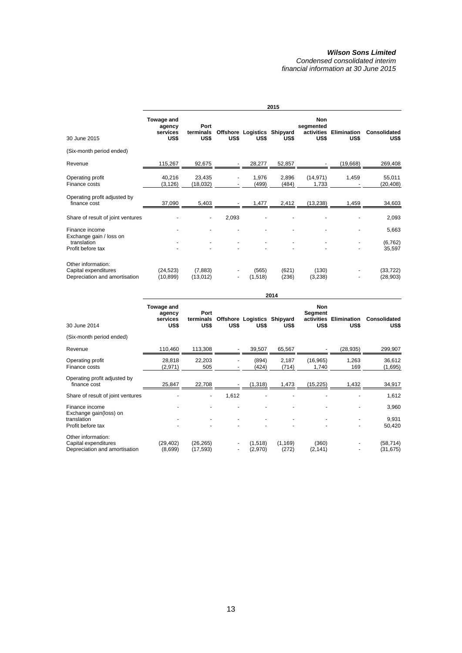|                                                                             |                                          | 2015                      |       |                                     |                |                                               |                            |                             |  |  |  |
|-----------------------------------------------------------------------------|------------------------------------------|---------------------------|-------|-------------------------------------|----------------|-----------------------------------------------|----------------------------|-----------------------------|--|--|--|
| 30 June 2015                                                                | Towage and<br>agency<br>services<br>US\$ | Port<br>terminals<br>US\$ | US\$  | Offshore Logistics Shipyard<br>US\$ | US\$           | <b>Non</b><br>segmented<br>activities<br>US\$ | <b>Elimination</b><br>US\$ | <b>Consolidated</b><br>US\$ |  |  |  |
| (Six-month period ended)                                                    |                                          |                           |       |                                     |                |                                               |                            |                             |  |  |  |
| Revenue                                                                     | 115,267                                  | 92,675                    |       | 28,277                              | 52,857         |                                               | (19,668)                   | 269,408                     |  |  |  |
| Operating profit<br>Finance costs                                           | 40,216<br>(3, 126)                       | 23,435<br>(18,032)        |       | 1,976<br>(499)                      | 2,896<br>(484) | (14, 971)<br>1,733                            | 1,459                      | 55,011<br>(20,408)          |  |  |  |
| Operating profit adjusted by<br>finance cost                                | 37,090                                   | 5,403                     |       | 1,477                               | 2,412          | (13, 238)                                     | 1,459                      | 34,603                      |  |  |  |
| Share of result of joint ventures                                           |                                          | $\blacksquare$            | 2,093 |                                     |                |                                               |                            | 2,093                       |  |  |  |
| Finance income                                                              |                                          |                           |       |                                     |                |                                               |                            | 5,663                       |  |  |  |
| Exchange gain / loss on<br>translation<br>Profit before tax                 |                                          |                           |       |                                     |                |                                               |                            | (6, 762)<br>35,597          |  |  |  |
| Other information:<br>Capital expenditures<br>Depreciation and amortisation | (24, 523)<br>(10, 899)                   | (7,883)<br>(13,012)       |       | (565)<br>(1,518)                    | (621)<br>(236) | (130)<br>(3,238)                              |                            | (33, 722)<br>(28, 903)      |  |  |  |

|                                                                              | 2014                                     |                           |                               |                                     |                   |                                             |                            |                          |  |
|------------------------------------------------------------------------------|------------------------------------------|---------------------------|-------------------------------|-------------------------------------|-------------------|---------------------------------------------|----------------------------|--------------------------|--|
| 30 June 2014                                                                 | Towage and<br>agency<br>services<br>US\$ | Port<br>terminals<br>US\$ | US\$                          | Offshore Logistics Shipyard<br>US\$ | US\$              | <b>Non</b><br>Segment<br>activities<br>US\$ | <b>Elimination</b><br>US\$ | Consolidated<br>US\$     |  |
| (Six-month period ended)                                                     |                                          |                           |                               |                                     |                   |                                             |                            |                          |  |
| Revenue                                                                      | 110,460                                  | 113,308                   |                               | 39,507                              | 65,567            |                                             | (28, 935)                  | 299,907                  |  |
| Operating profit<br>Finance costs                                            | 28,818<br>(2,971)                        | 22,203<br>505             |                               | (894)<br>(424)                      | 2,187<br>(714)    | (16, 965)<br>1,740                          | 1,263<br>169               | 36,612<br>(1,695)        |  |
| Operating profit adjusted by<br>finance cost                                 | 25,847                                   | 22,708                    |                               | (1,318)                             | 1,473             | (15, 225)                                   | 1,432                      | 34,917                   |  |
| Share of result of joint ventures                                            |                                          | $\overline{\phantom{a}}$  | 1,612                         |                                     |                   |                                             |                            | 1,612                    |  |
| Finance income<br>Exchange gain(loss) on<br>translation<br>Profit before tax |                                          |                           |                               | ٠                                   |                   |                                             |                            | 3,960<br>9,931<br>50,420 |  |
| Other information:<br>Capital expenditures<br>Depreciation and amortisation  | (29, 402)<br>(8,699)                     | (26, 265)<br>(17, 593)    | $\overline{\phantom{a}}$<br>٠ | (1,518)<br>(2,970)                  | (1, 169)<br>(272) | (360)<br>(2, 141)                           |                            | (58, 714)<br>(31, 675)   |  |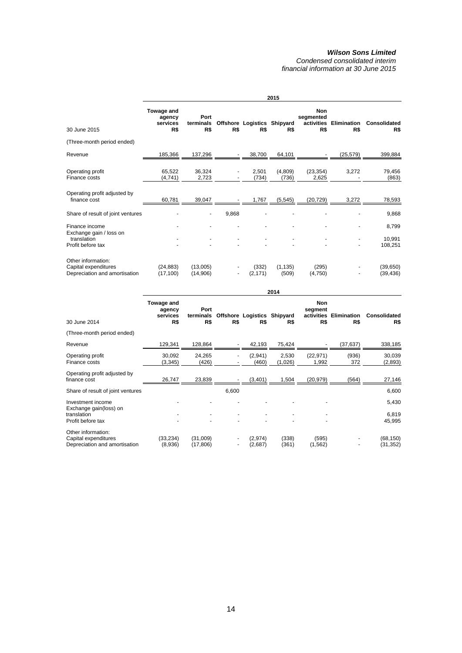|                                                                             |                                         |                          |       |                                    | 2015              |                                              |                    |                        |
|-----------------------------------------------------------------------------|-----------------------------------------|--------------------------|-------|------------------------------------|-------------------|----------------------------------------------|--------------------|------------------------|
| 30 June 2015                                                                | Towage and<br>agency<br>services<br>R\$ | Port<br>terminals<br>R\$ | R\$   | Offshore Logistics Shipyard<br>R\$ | R\$               | <b>Non</b><br>segmented<br>activities<br>R\$ | Elimination<br>R\$ | Consolidated<br>R\$    |
| (Three-month period ended)                                                  |                                         |                          |       |                                    |                   |                                              |                    |                        |
| Revenue                                                                     | 185,366                                 | 137,296                  |       | 38,700                             | 64,101            |                                              | (25, 579)          | 399,884                |
| Operating profit<br>Finance costs                                           | 65,522<br>(4,741)                       | 36,324<br>2,723          |       | 2,501<br>(734)                     | (4,809)<br>(736)  | (23, 354)<br>2,625                           | 3,272              | 79,456<br>(863)        |
| Operating profit adjusted by<br>finance cost                                | 60,781                                  | 39,047                   |       | 1,767                              | (5, 545)          | (20, 729)                                    | 3,272              | 78,593                 |
| Share of result of joint ventures                                           |                                         |                          | 9,868 |                                    |                   |                                              |                    | 9,868                  |
| Finance income                                                              |                                         |                          |       |                                    |                   |                                              |                    | 8,799                  |
| Exchange gain / loss on<br>translation<br>Profit before tax                 |                                         |                          |       |                                    |                   |                                              |                    | 10,991<br>108,251      |
| Other information:<br>Capital expenditures<br>Depreciation and amortisation | (24, 883)<br>(17, 100)                  | (13,005)<br>(14,906)     |       | (332)<br>(2, 171)                  | (1, 135)<br>(509) | (295)<br>(4,750)                             |                    | (39, 650)<br>(39, 436) |

|                                                                                 |                                         |                          |       |                                    | 2014             |                              |                               |                          |
|---------------------------------------------------------------------------------|-----------------------------------------|--------------------------|-------|------------------------------------|------------------|------------------------------|-------------------------------|--------------------------|
| 30 June 2014                                                                    | Towage and<br>agency<br>services<br>R\$ | Port<br>terminals<br>R\$ | R\$   | Offshore Logistics Shipyard<br>R\$ | R\$              | <b>Non</b><br>segment<br>R\$ | activities Elimination<br>R\$ | Consolidated<br>R\$      |
| (Three-month period ended)                                                      |                                         |                          |       |                                    |                  |                              |                               |                          |
| Revenue                                                                         | 129,341                                 | 128,864                  |       | 42,193                             | 75,424           |                              | (37,637)                      | 338,185                  |
| Operating profit<br>Finance costs                                               | 30,092<br>(3, 345)                      | 24,265<br>(426)          |       | (2,941)<br>(460)                   | 2,530<br>(1,026) | (22, 971)<br>1,992           | (936)<br>372                  | 30,039<br>(2,893)        |
| Operating profit adjusted by<br>finance cost                                    | 26,747                                  | 23,839                   |       | (3,401)                            | 1,504            | (20, 979)                    | (564)                         | 27,146                   |
| Share of result of joint ventures                                               |                                         |                          | 6,600 |                                    |                  |                              |                               | 6,600                    |
| Investment income<br>Exchange gain(loss) on<br>translation<br>Profit before tax |                                         |                          |       |                                    |                  |                              |                               | 5,430<br>6,819<br>45,995 |
| Other information:<br>Capital expenditures<br>Depreciation and amortisation     | (33, 234)<br>(8,936)                    | (31,009)<br>(17, 806)    | ٠     | (2,974)<br>(2,687)                 | (338)<br>(361)   | (595)<br>(1, 562)            |                               | (68, 150)<br>(31, 352)   |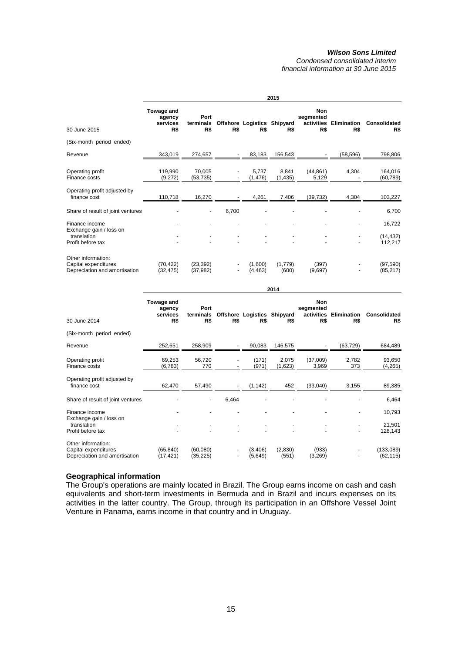*Condensed consolidated interim financial information at 30 June 2015* 

|                                                                             | 2015                                    |                          |       |                                    |                   |                                              |                           |                        |
|-----------------------------------------------------------------------------|-----------------------------------------|--------------------------|-------|------------------------------------|-------------------|----------------------------------------------|---------------------------|------------------------|
| 30 June 2015                                                                | Towage and<br>agency<br>services<br>R\$ | Port<br>terminals<br>R\$ | R\$   | Offshore Logistics Shipyard<br>R\$ | R\$               | <b>Non</b><br>segmented<br>activities<br>R\$ | <b>Elimination</b><br>R\$ | Consolidated<br>R\$    |
| (Six-month period ended)                                                    |                                         |                          |       |                                    |                   |                                              |                           |                        |
| Revenue                                                                     | 343,019                                 | 274,657                  |       | 83,183                             | 156,543           |                                              | (58, 596)                 | 798,806                |
| Operating profit<br>Finance costs                                           | 119,990<br>(9,272)                      | 70,005<br>(53, 735)      |       | 5,737<br>(1, 476)                  | 8,841<br>(1, 435) | (44, 861)<br>5,129                           | 4,304                     | 164,016<br>(60, 789)   |
| Operating profit adjusted by<br>finance cost                                | 110,718                                 | 16,270                   |       | 4,261                              | 7,406             | (39, 732)                                    | 4,304                     | 103,227                |
| Share of result of joint ventures                                           |                                         |                          | 6,700 |                                    |                   |                                              |                           | 6,700                  |
| Finance income                                                              |                                         |                          |       |                                    |                   |                                              |                           | 16.722                 |
| Exchange gain / loss on<br>translation<br>Profit before tax                 |                                         |                          |       |                                    |                   |                                              | $\overline{\phantom{a}}$  | (14, 432)<br>112,217   |
| Other information:<br>Capital expenditures<br>Depreciation and amortisation | (70, 422)<br>(32, 475)                  | (23, 392)<br>(37, 982)   |       | (1,600)<br>(4, 463)                | (1,779)<br>(600)  | (397)<br>(9,697)                             |                           | (97, 590)<br>(85, 217) |

|                                                                             | 2014                                    |                          |                          |                                    |                  |                                       |                           |                            |
|-----------------------------------------------------------------------------|-----------------------------------------|--------------------------|--------------------------|------------------------------------|------------------|---------------------------------------|---------------------------|----------------------------|
| 30 June 2014                                                                | Towage and<br>agency<br>services<br>R\$ | Port<br>terminals<br>R\$ | R\$                      | Offshore Logistics Shipyard<br>R\$ | R\$              | Non<br>segmented<br>activities<br>R\$ | <b>Elimination</b><br>R\$ | <b>Consolidated</b><br>R\$ |
| (Six-month period ended)                                                    |                                         |                          |                          |                                    |                  |                                       |                           |                            |
| Revenue                                                                     | 252,651                                 | 258,909                  |                          | 90,083                             | 146,575          |                                       | (63, 729)                 | 684,489                    |
| Operating profit<br>Finance costs                                           | 69,253<br>(6, 783)                      | 56,720<br>770            | $\overline{\phantom{a}}$ | (171)<br>(971)                     | 2,075<br>(1,623) | (37,009)<br>3,969                     | 2,782<br>373              | 93,650<br>(4,265)          |
| Operating profit adjusted by<br>finance cost                                | 62,470                                  | 57,490                   |                          | (1, 142)                           | 452              | (33,040)                              | 3,155                     | 89,385                     |
| Share of result of joint ventures                                           |                                         |                          | 6,464                    |                                    |                  |                                       |                           | 6,464                      |
| Finance income                                                              |                                         |                          |                          |                                    |                  |                                       |                           | 10,793                     |
| Exchange gain / loss on<br>translation<br>Profit before tax                 |                                         |                          |                          |                                    |                  |                                       |                           | 21,501<br>128,143          |
| Other information:<br>Capital expenditures<br>Depreciation and amortisation | (65, 840)<br>(17, 421)                  | (60,080)<br>(35,225)     |                          | (3,406)<br>(5,649)                 | (2,830)<br>(551) | (933)<br>(3,269)                      |                           | (133,089)<br>(62, 115)     |

## **Geographical information**

The Group's operations are mainly located in Brazil. The Group earns income on cash and cash equivalents and short-term investments in Bermuda and in Brazil and incurs expenses on its activities in the latter country. The Group, through its participation in an Offshore Vessel Joint Venture in Panama, earns income in that country and in Uruguay.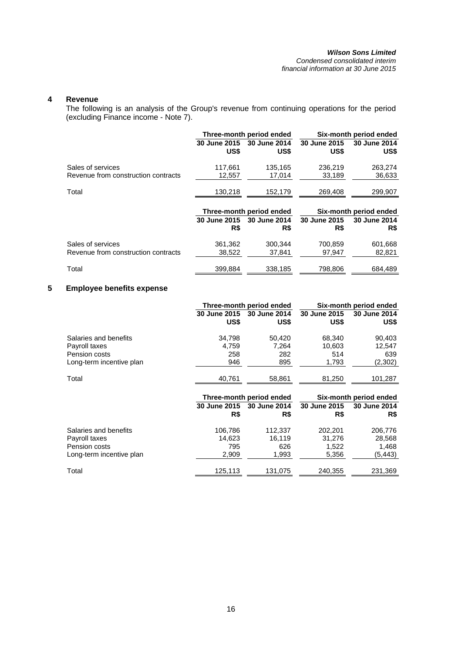## *Wilson Sons Limited Condensed consolidated interim*

*financial information at 30 June 2015* 

## **4 Revenue**

The following is an analysis of the Group's revenue from continuing operations for the period (excluding Finance income - Note 7).

|                                     |                     | Three-month period ended | Six-month period ended |                        |  |
|-------------------------------------|---------------------|--------------------------|------------------------|------------------------|--|
|                                     | 30 June 2015        | 30 June 2014             | 30 June 2015           | 30 June 2014           |  |
|                                     | US\$                | US\$                     | US\$                   | US\$                   |  |
| Sales of services                   | 117.661             | 135,165                  | 236,219                | 263,274                |  |
| Revenue from construction contracts | 12,557              | 17.014                   | 33.189                 | 36,633                 |  |
| Total                               | 130,218             | 152,179                  | 269,408                | 299,907                |  |
|                                     |                     | Three-month period ended |                        | Six-month period ended |  |
|                                     | <b>30 June 2015</b> | 30 June 2014             | 30 June 2015           | 30 June 2014           |  |
|                                     | R\$                 | R\$                      | R\$                    | R\$                    |  |
| Sales of services                   | 361,362             | 300.344                  | 700.859                | 601,668                |  |
| Revenue from construction contracts | 38,522              | 37,841                   | 97,947                 | 82,821                 |  |
| Total                               | 399,884             | 338.185                  | 798.806                | 684.489                |  |

## **5 Employee benefits expense**

|                          |              | Three-month period ended | Six-month period ended |              |  |
|--------------------------|--------------|--------------------------|------------------------|--------------|--|
|                          | 30 June 2015 | 30 June 2014             | 30 June 2015           | 30 June 2014 |  |
|                          | US\$         | US\$                     | US\$                   | US\$         |  |
| Salaries and benefits    | 34,798       | 50,420                   | 68.340                 | 90,403       |  |
| Payroll taxes            | 4,759        | 7.264                    | 10.603                 | 12,547       |  |
| Pension costs            | 258          | 282                      | 514                    | 639          |  |
| Long-term incentive plan | 946          | 895                      | 1,793                  | (2, 302)     |  |
| Total                    | 40,761       | 58,861                   | 81,250                 | 101,287      |  |

|                                        |                     | Three-month period ended | Six-month period ended |                     |  |
|----------------------------------------|---------------------|--------------------------|------------------------|---------------------|--|
|                                        | 30 June 2015<br>R\$ | 30 June 2014<br>R\$      | 30 June 2015<br>R\$    | 30 June 2014<br>R\$ |  |
| Salaries and benefits<br>Payroll taxes | 106,786<br>14,623   | 112.337<br>16.119        | 202.201<br>31,276      | 206.776<br>28,568   |  |
| Pension costs                          | 795                 | 626                      | 1.522                  | 1,468               |  |
| Long-term incentive plan               | 2,909               | 1,993                    | 5,356                  | (5, 443)            |  |
| Total                                  | 125,113             | 131,075                  | 240,355                | 231,369             |  |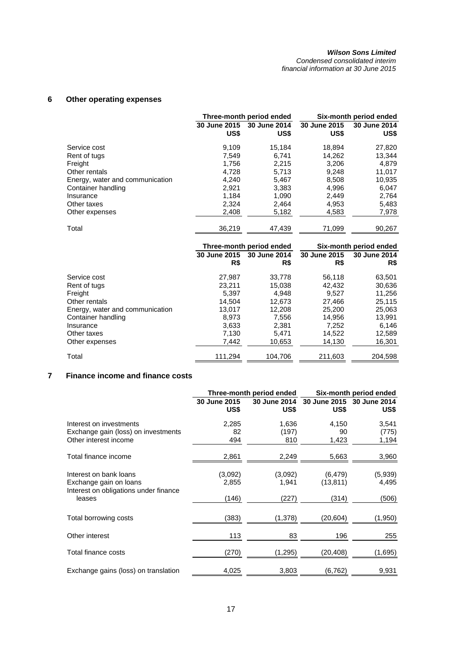*Condensed consolidated interim financial information at 30 June 2015* 

## **6 Other operating expenses**

|                                 |                      | Three-month period ended | Six-month period ended |                      |  |
|---------------------------------|----------------------|--------------------------|------------------------|----------------------|--|
|                                 | 30 June 2015<br>US\$ | 30 June 2014<br>US\$     | 30 June 2015<br>US\$   | 30 June 2014<br>US\$ |  |
| Service cost                    | 9.109                | 15,184                   | 18,894                 | 27,820               |  |
| Rent of tugs                    | 7,549                | 6,741                    | 14,262                 | 13,344               |  |
| Freight                         | 1.756                | 2.215                    | 3.206                  | 4.879                |  |
| Other rentals                   | 4,728                | 5,713                    | 9,248                  | 11,017               |  |
| Energy, water and communication | 4.240                | 5.467                    | 8,508                  | 10,935               |  |
| Container handling              | 2,921                | 3,383                    | 4,996                  | 6,047                |  |
| Insurance                       | 1.184                | 1.090                    | 2.449                  | 2,764                |  |
| Other taxes                     | 2,324                | 2,464                    | 4,953                  | 5,483                |  |
| Other expenses                  | 2,408                | 5,182                    | 4,583                  | 7,978                |  |
| Total                           | 36.219               | 47.439                   | 71.099                 | 90,267               |  |

|                                 |                     | Three-month period ended | Six-month period ended |                     |  |
|---------------------------------|---------------------|--------------------------|------------------------|---------------------|--|
|                                 | 30 June 2015<br>R\$ | 30 June 2014<br>R\$      | 30 June 2015<br>R\$    | 30 June 2014<br>R\$ |  |
| Service cost                    | 27.987              | 33,778                   | 56.118                 | 63,501              |  |
| Rent of tugs                    | 23,211              | 15,038                   | 42.432                 | 30,636              |  |
| Freight                         | 5.397               | 4.948                    | 9.527                  | 11.256              |  |
| Other rentals                   | 14,504              | 12,673                   | 27,466                 | 25,115              |  |
| Energy, water and communication | 13.017              | 12,208                   | 25.200                 | 25,063              |  |
| Container handling              | 8,973               | 7,556                    | 14,956                 | 13,991              |  |
| Insurance                       | 3,633               | 2,381                    | 7.252                  | 6,146               |  |
| Other taxes                     | 7.130               | 5.471                    | 14,522                 | 12,589              |  |
| Other expenses                  | 7,442               | 10,653                   | 14,130                 | 16,301              |  |
| Total                           | 111,294             | 104,706                  | 211,603                | 204,598             |  |

## **7 Finance income and finance costs**

|                                                                 |                      | Three-month period ended | Six-month period ended |                      |  |
|-----------------------------------------------------------------|----------------------|--------------------------|------------------------|----------------------|--|
|                                                                 | 30 June 2015<br>US\$ | 30 June 2014<br>US\$     | 30 June 2015<br>US\$   | 30 June 2014<br>US\$ |  |
| Interest on investments                                         | 2,285                | 1,636                    | 4,150                  | 3,541                |  |
| Exchange gain (loss) on investments                             | 82                   | (197)                    | 90                     | (775)                |  |
| Other interest income                                           | 494                  | 810                      | 1,423                  | 1,194                |  |
| Total finance income                                            | 2,861                | 2,249                    | 5,663                  | 3,960                |  |
| Interest on bank loans                                          | (3,092)              | (3,092)                  | (6, 479)               | (5,939)              |  |
| Exchange gain on loans<br>Interest on obligations under finance | 2,855                | 1,941                    | (13, 811)              | 4,495                |  |
| leases                                                          | (146)                | (227)                    | (314)                  | (506)                |  |
| Total borrowing costs                                           | (383)                | (1,378)                  | (20,604)               | (1,950)              |  |
| Other interest                                                  | 113                  | 83                       | 196                    | 255                  |  |
| Total finance costs                                             | (270)                | (1,295)                  | (20, 408)              | (1,695)              |  |
| Exchange gains (loss) on translation                            | 4,025                | 3,803                    | (6,762)                | 9,931                |  |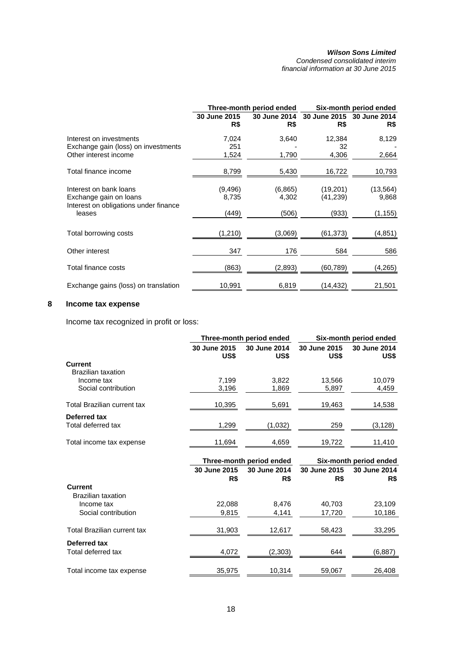*Condensed consolidated interim financial information at 30 June 2015* 

|                                                                                           |                     | Three-month period ended | Six-month period ended           |                    |  |
|-------------------------------------------------------------------------------------------|---------------------|--------------------------|----------------------------------|--------------------|--|
|                                                                                           | 30 June 2015<br>R\$ | 30 June 2014<br>R\$      | 30 June 2015 30 June 2014<br>R\$ | R\$                |  |
| Interest on investments<br>Exchange gain (loss) on investments                            | 7,024<br>251        | 3,640                    | 12,384<br>32                     | 8,129              |  |
| Other interest income                                                                     | 1,524               | 1,790                    | 4,306                            | 2,664              |  |
| Total finance income                                                                      | 8,799               | 5,430                    | 16,722                           | 10,793             |  |
| Interest on bank loans<br>Exchange gain on loans<br>Interest on obligations under finance | (9, 496)<br>8,735   | (6,865)<br>4,302         | (19,201)<br>(41,239)             | (13, 564)<br>9,868 |  |
| leases                                                                                    | (449)               | (506)                    | (933)                            | (1, 155)           |  |
| Total borrowing costs                                                                     | (1,210)             | (3,069)                  | (61, 373)                        | (4,851)            |  |
| Other interest                                                                            | 347                 | 176                      | 584                              | 586                |  |
| Total finance costs                                                                       | (863)               | (2,893)                  | (60,789)                         | (4,265)            |  |
| Exchange gains (loss) on translation                                                      | 10,991              | 6,819                    | (14,432)                         | 21,501             |  |

## **8 Income tax expense**

Income tax recognized in profit or loss:

|                      |                      | Six-month period ended                                         |                        |  |
|----------------------|----------------------|----------------------------------------------------------------|------------------------|--|
| 30 June 2015<br>US\$ | 30 June 2014<br>US\$ | 30 June 2015<br>US\$                                           | 30 June 2014<br>US\$   |  |
|                      |                      |                                                                |                        |  |
|                      |                      |                                                                |                        |  |
| 7.199                | 3,822                | 13,566                                                         | 10,079                 |  |
|                      | 1,869                | 5,897                                                          | 4,459                  |  |
| 10,395               | 5,691                | 19,463                                                         | 14,538                 |  |
|                      |                      |                                                                |                        |  |
| 1,299                | (1,032)              | 259                                                            | (3, 128)               |  |
| 11,694               | 4,659                | 19,722                                                         | 11,410                 |  |
|                      |                      |                                                                | Six-month period ended |  |
| 30 June 2015         | 30 June 2014         | 30 June 2015                                                   | 30 June 2014           |  |
| R\$                  | R\$                  | R\$                                                            | R\$                    |  |
|                      |                      |                                                                |                        |  |
| 22,088               | 8,476                | 40,703                                                         | 23,109                 |  |
| 9,815                | 4,141                | 17,720                                                         | 10,186                 |  |
| 31,903               | 12,617               | 58,423                                                         | 33,295                 |  |
|                      |                      |                                                                |                        |  |
| 4,072                | (2,303)              | 644                                                            | (6, 887)               |  |
|                      |                      |                                                                | 26,408                 |  |
|                      | 3,196<br>35,975      | Three-month period ended<br>Three-month period ended<br>10,314 | 59,067                 |  |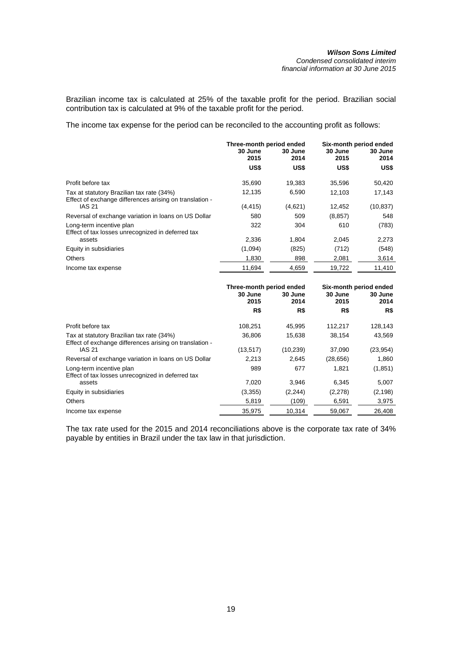Brazilian income tax is calculated at 25% of the taxable profit for the period. Brazilian social contribution tax is calculated at 9% of the taxable profit for the period.

The income tax expense for the period can be reconciled to the accounting profit as follows:

|                                                                                                      | Three-month period ended<br>30 June<br>30 June<br>2014<br>2015 |         | 30 June<br>2015 | Six-month period ended<br>30 June<br>2014 |  |
|------------------------------------------------------------------------------------------------------|----------------------------------------------------------------|---------|-----------------|-------------------------------------------|--|
|                                                                                                      | US\$                                                           | US\$    | US\$            | US\$                                      |  |
| Profit before tax                                                                                    | 35,690                                                         | 19,383  | 35,596          | 50,420                                    |  |
| Tax at statutory Brazilian tax rate (34%)<br>Effect of exchange differences arising on translation - | 12,135                                                         | 6.590   | 12.103          | 17,143                                    |  |
| <b>IAS 21</b>                                                                                        | (4, 415)                                                       | (4,621) | 12,452          | (10, 837)                                 |  |
| Reversal of exchange variation in loans on US Dollar                                                 | 580                                                            | 509     | (8, 857)        | 548                                       |  |
| Long-term incentive plan<br>Effect of tax losses unrecognized in deferred tax                        | 322                                                            | 304     | 610             | (783)                                     |  |
| assets                                                                                               | 2.336                                                          | 1.804   | 2.045           | 2,273                                     |  |
| Equity in subsidiaries                                                                               | (1,094)                                                        | (825)   | (712)           | (548)                                     |  |
| <b>Others</b>                                                                                        | 1.830                                                          | 898     | 2,081           | 3,614                                     |  |
| Income tax expense                                                                                   | 11.694                                                         | 4,659   | 19,722          | 11.410                                    |  |

|                                                                                                      | Three-month period ended<br>30 June<br>30 June<br>2015<br>2014 |           | 30 June<br>2015 | Six-month period ended<br>30 June<br>2014 |  |
|------------------------------------------------------------------------------------------------------|----------------------------------------------------------------|-----------|-----------------|-------------------------------------------|--|
|                                                                                                      | R\$                                                            | R\$       | R\$             | R\$                                       |  |
| Profit before tax                                                                                    | 108,251                                                        | 45.995    | 112,217         | 128,143                                   |  |
| Tax at statutory Brazilian tax rate (34%)<br>Effect of exchange differences arising on translation - | 36.806                                                         | 15.638    | 38.154          | 43,569                                    |  |
| <b>IAS 21</b>                                                                                        | (13, 517)                                                      | (10, 239) | 37,090          | (23, 954)                                 |  |
| Reversal of exchange variation in loans on US Dollar                                                 | 2,213                                                          | 2,645     | (28, 656)       | 1,860                                     |  |
| Long-term incentive plan<br>Effect of tax losses unrecognized in deferred tax                        | 989                                                            | 677       | 1.821           | (1, 851)                                  |  |
| assets                                                                                               | 7.020                                                          | 3.946     | 6.345           | 5,007                                     |  |
| Equity in subsidiaries                                                                               | (3,355)                                                        | (2, 244)  | (2,278)         | (2, 198)                                  |  |
| <b>Others</b>                                                                                        | 5,819                                                          | (109)     | 6,591           | 3,975                                     |  |
| Income tax expense                                                                                   | 35.975                                                         | 10.314    | 59.067          | 26.408                                    |  |

The tax rate used for the 2015 and 2014 reconciliations above is the corporate tax rate of 34% payable by entities in Brazil under the tax law in that jurisdiction.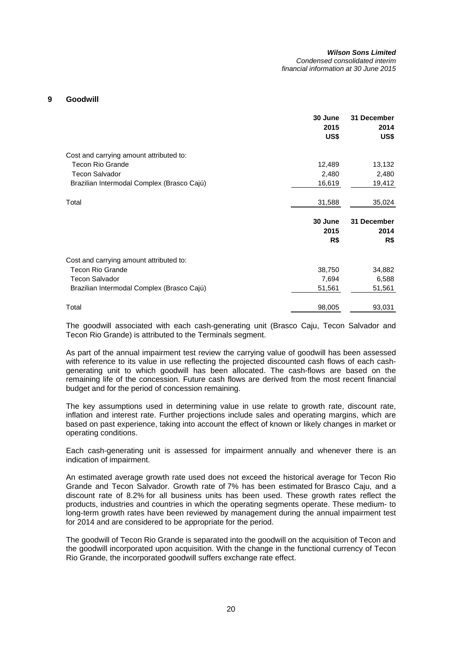*financial information at 30 June 2015* 

### **9 Goodwill**

|                                            | 30 June<br>2015<br>US\$ | 31 December<br>2014<br>US\$ |
|--------------------------------------------|-------------------------|-----------------------------|
| Cost and carrying amount attributed to:    |                         |                             |
| <b>Tecon Rio Grande</b>                    | 12,489                  | 13,132                      |
| <b>Tecon Salvador</b>                      | 2,480                   | 2,480                       |
| Brazilian Intermodal Complex (Brasco Cajú) | 16,619                  | 19,412                      |
| Total                                      | 31,588                  | 35,024                      |
|                                            | 30 June<br>2015<br>R\$  | 31 December<br>2014<br>R\$  |
| Cost and carrying amount attributed to:    |                         |                             |
| <b>Tecon Rio Grande</b>                    | 38,750                  | 34,882                      |
| <b>Tecon Salvador</b>                      | 7,694                   | 6,588                       |
| Brazilian Intermodal Complex (Brasco Cajú) | 51,561                  | 51,561                      |
| Total                                      | 98,005                  | 93,031                      |

The goodwill associated with each cash-generating unit (Brasco Caju, Tecon Salvador and Tecon Rio Grande) is attributed to the Terminals segment.

As part of the annual impairment test review the carrying value of goodwill has been assessed with reference to its value in use reflecting the projected discounted cash flows of each cashgenerating unit to which goodwill has been allocated. The cash-flows are based on the remaining life of the concession. Future cash flows are derived from the most recent financial budget and for the period of concession remaining.

The key assumptions used in determining value in use relate to growth rate, discount rate, inflation and interest rate. Further projections include sales and operating margins, which are based on past experience, taking into account the effect of known or likely changes in market or operating conditions.

Each cash-generating unit is assessed for impairment annually and whenever there is an indication of impairment.

An estimated average growth rate used does not exceed the historical average for Tecon Rio Grande and Tecon Salvador. Growth rate of 7% has been estimated for Brasco Caju, and a discount rate of 8.2% for all business units has been used. These growth rates reflect the products, industries and countries in which the operating segments operate. These medium- to long-term growth rates have been reviewed by management during the annual impairment test for 2014 and are considered to be appropriate for the period.

The goodwill of Tecon Rio Grande is separated into the goodwill on the acquisition of Tecon and the goodwill incorporated upon acquisition. With the change in the functional currency of Tecon Rio Grande, the incorporated goodwill suffers exchange rate effect.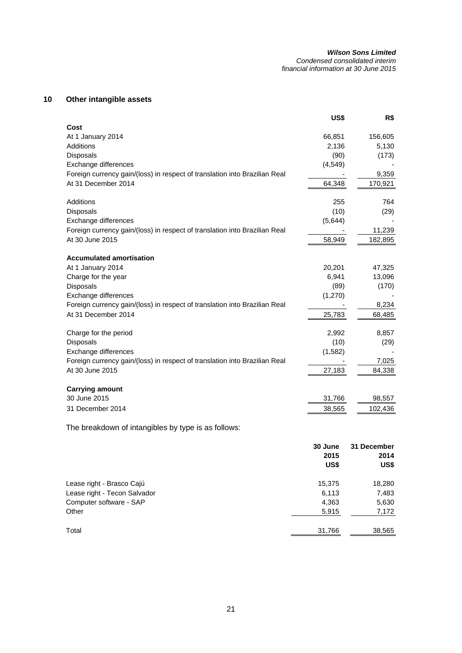### *Wilson Sons Limited Condensed consolidated interim*

*financial information at 30 June 2015* 

## **10 Other intangible assets**

|                                                                            | US\$     | R\$         |
|----------------------------------------------------------------------------|----------|-------------|
| Cost                                                                       |          |             |
| At 1 January 2014                                                          | 66,851   | 156,605     |
| Additions                                                                  | 2,136    | 5,130       |
| <b>Disposals</b>                                                           | (90)     | (173)       |
| Exchange differences                                                       | (4, 549) |             |
| Foreign currency gain/(loss) in respect of translation into Brazilian Real |          | 9,359       |
| At 31 December 2014                                                        | 64,348   | 170,921     |
| Additions                                                                  | 255      | 764         |
| Disposals                                                                  | (10)     | (29)        |
| Exchange differences                                                       | (5,644)  |             |
| Foreign currency gain/(loss) in respect of translation into Brazilian Real |          | 11,239      |
| At 30 June 2015                                                            | 58,949   | 182,895     |
|                                                                            |          |             |
| <b>Accumulated amortisation</b>                                            |          |             |
| At 1 January 2014                                                          | 20,201   | 47,325      |
| Charge for the year                                                        | 6,941    | 13,096      |
| Disposals                                                                  | (89)     | (170)       |
| Exchange differences                                                       | (1,270)  |             |
| Foreign currency gain/(loss) in respect of translation into Brazilian Real |          | 8,234       |
| At 31 December 2014                                                        | 25,783   | 68,485      |
| Charge for the period                                                      | 2,992    | 8,857       |
| Disposals                                                                  | (10)     | (29)        |
| Exchange differences                                                       | (1, 582) |             |
| Foreign currency gain/(loss) in respect of translation into Brazilian Real |          | 7,025       |
| At 30 June 2015                                                            | 27,183   | 84,338      |
|                                                                            |          |             |
| <b>Carrying amount</b>                                                     |          |             |
| 30 June 2015                                                               | 31,766   | 98,557      |
| 31 December 2014                                                           | 38,565   | 102,436     |
| The breakdown of intangibles by type is as follows:                        |          |             |
|                                                                            | 30 June  | 31 December |
|                                                                            | 2015     | 2014        |
|                                                                            | US\$     | US\$        |
|                                                                            |          |             |

| Total                        | 31,766 | 38,565 |
|------------------------------|--------|--------|
| Other                        | 5.915  | 7,172  |
| Computer software - SAP      | 4.363  | 5,630  |
| Lease right - Tecon Salvador | 6.113  | 7,483  |
| Lease right - Brasco Cajú    | 15.375 | 18,280 |
|                              |        |        |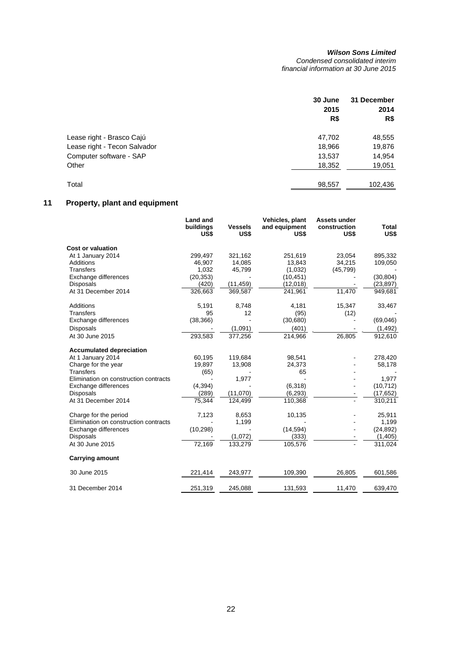*Condensed consolidated interim financial information at 30 June 2015* 

|                              | 30 June<br>2015 | 31 December<br>2014 |
|------------------------------|-----------------|---------------------|
|                              | R\$             | R\$                 |
| Lease right - Brasco Cajú    | 47,702          | 48,555              |
| Lease right - Tecon Salvador | 18,966          | 19,876              |
| Computer software - SAP      | 13,537          | 14,954              |
| Other                        | 18,352          | 19,051              |
| Total                        | 98,557          | 102,436             |

# **11 Property, plant and equipment**

|                                       | <b>Land and</b><br>buildings<br>US\$ | <b>Vessels</b><br>US\$ | Vehicles, plant<br>and equipment<br>US\$ | Assets under<br>construction<br>US\$ | Total<br>US\$ |
|---------------------------------------|--------------------------------------|------------------------|------------------------------------------|--------------------------------------|---------------|
| <b>Cost or valuation</b>              |                                      |                        |                                          |                                      |               |
| At 1 January 2014                     | 299,497                              | 321,162                | 251,619                                  | 23,054                               | 895,332       |
| <b>Additions</b>                      | 46,907                               | 14,085                 | 13,843                                   | 34,215                               | 109,050       |
| <b>Transfers</b>                      | 1,032                                | 45,799                 | (1,032)                                  | (45, 799)                            |               |
| Exchange differences                  | (20, 353)                            |                        | (10, 451)                                |                                      | (30, 804)     |
| <b>Disposals</b>                      | (420)                                | (11, 459)              | (12,018)                                 |                                      | (23, 897)     |
| At 31 December 2014                   | 326,663                              | 369,587                | 241,961                                  | 11,470                               | 949,681       |
| <b>Additions</b>                      | 5,191                                | 8,748                  | 4,181                                    | 15,347                               | 33,467        |
| <b>Transfers</b>                      | 95                                   | 12                     | (95)                                     | (12)                                 |               |
| Exchange differences                  | (38, 366)                            |                        | (30, 680)                                |                                      | (69,046)      |
| <b>Disposals</b>                      |                                      | (1,091)                | (401)                                    |                                      | (1, 492)      |
| At 30 June 2015                       | 293,583                              | 377,256                | 214,966                                  | 26,805                               | 912,610       |
| <b>Accumulated depreciation</b>       |                                      |                        |                                          |                                      |               |
| At 1 January 2014                     | 60,195                               | 119,684                | 98,541                                   |                                      | 278,420       |
| Charge for the year                   | 19,897                               | 13,908                 | 24,373                                   |                                      | 58,178        |
| <b>Transfers</b>                      | (65)                                 |                        | 65                                       |                                      |               |
| Elimination on construction contracts |                                      | 1,977                  |                                          |                                      | 1,977         |
| Exchange differences                  | (4, 394)                             |                        | (6,318)                                  |                                      | (10, 712)     |
| <b>Disposals</b>                      | (289)                                | (11,070)               | (6, 293)                                 |                                      | (17, 652)     |
| At 31 December 2014                   | 75,344                               | 124,499                | 110,368                                  |                                      | 310,211       |
| Charge for the period                 | 7,123                                | 8,653                  | 10,135                                   |                                      | 25,911        |
| Elimination on construction contracts |                                      | 1,199                  |                                          |                                      | 1,199         |
| Exchange differences                  | (10, 298)                            |                        | (14, 594)                                |                                      | (24, 892)     |
| <b>Disposals</b>                      |                                      | (1,072)                | (333)                                    |                                      | (1, 405)      |
| At 30 June 2015                       | 72,169                               | 133,279                | 105,576                                  |                                      | 311,024       |
| <b>Carrying amount</b>                |                                      |                        |                                          |                                      |               |
| 30 June 2015                          | 221,414                              | 243,977                | 109,390                                  | 26,805                               | 601,586       |
| 31 December 2014                      | 251,319                              | 245,088                | 131,593                                  | 11,470                               | 639,470       |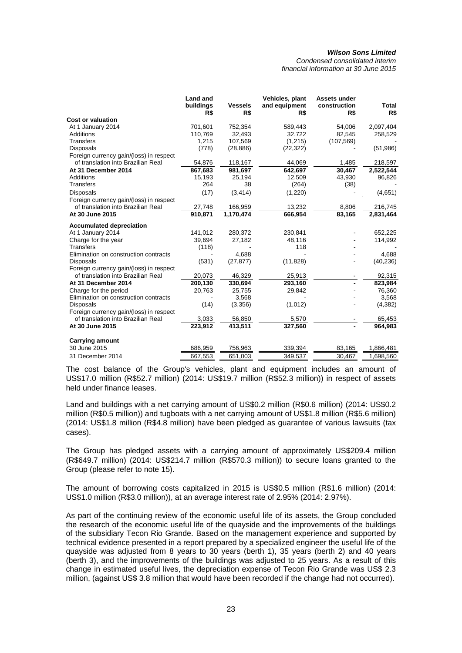*Condensed consolidated interim financial information at 30 June 2015* 

|                                                                               | <b>Land and</b><br>buildings<br>R\$ | <b>Vessels</b><br>R\$ | Vehicles, plant<br>and equipment<br>R\$ | Assets under<br>construction<br>R\$ | Total<br>R\$ |
|-------------------------------------------------------------------------------|-------------------------------------|-----------------------|-----------------------------------------|-------------------------------------|--------------|
| <b>Cost or valuation</b>                                                      |                                     |                       |                                         |                                     |              |
| At 1 January 2014                                                             | 701,601                             | 752,354               | 589,443                                 | 54,006                              | 2,097,404    |
| <b>Additions</b>                                                              | 110,769                             | 32,493                | 32,722                                  | 82,545                              | 258,529      |
| <b>Transfers</b>                                                              | 1,215                               | 107,569               | (1,215)                                 | (107, 569)                          |              |
| Disposals                                                                     | (778)                               | (28, 886)             | (22, 322)                               |                                     | (51, 986)    |
| Foreign currency gain/(loss) in respect<br>of translation into Brazilian Real | 54,876                              | 118,167               | 44,069                                  | 1,485                               | 218,597      |
| At 31 December 2014                                                           | 867,683                             | 981,697               | 642,697                                 | 30,467                              | 2,522,544    |
| Additions                                                                     | 15,193                              | 25,194                | 12,509                                  | 43,930                              | 96,826       |
| Transfers                                                                     | 264                                 | 38                    | (264)                                   | (38)                                |              |
|                                                                               |                                     |                       |                                         |                                     |              |
| <b>Disposals</b>                                                              | (17)                                | (3, 414)              | (1,220)                                 |                                     | (4,651)      |
| Foreign currency gain/(loss) in respect<br>of translation into Brazilian Real |                                     |                       |                                         |                                     |              |
| At 30 June 2015                                                               | 27,748                              | 166,959               | 13,232                                  | 8,806                               | 216,745      |
|                                                                               | 910,871                             | 1,170,474             | 666,954                                 | 83,165                              | 2,831,464    |
| <b>Accumulated depreciation</b>                                               |                                     |                       |                                         |                                     |              |
| At 1 January 2014                                                             | 141,012                             | 280,372               | 230,841                                 |                                     | 652,225      |
| Charge for the year                                                           | 39,694                              | 27,182                | 48,116                                  |                                     | 114,992      |
| <b>Transfers</b>                                                              | (118)                               |                       | 118                                     |                                     |              |
| Elimination on construction contracts                                         |                                     | 4.688                 |                                         |                                     | 4,688        |
| <b>Disposals</b>                                                              | (531)                               | (27, 877)             | (11, 828)                               |                                     | (40, 236)    |
| Foreign currency gain/(loss) in respect                                       |                                     |                       |                                         |                                     |              |
| of translation into Brazilian Real                                            | 20,073                              | 46,329                | 25,913                                  |                                     | 92,315       |
| At 31 December 2014                                                           | 200,130                             | 330,694               | 293,160                                 |                                     | 823,984      |
| Charge for the period                                                         | 20,763                              | 25,755                | 29,842                                  |                                     | 76,360       |
| Elimination on construction contracts                                         |                                     | 3,568                 |                                         |                                     | 3,568        |
| <b>Disposals</b>                                                              | (14)                                | (3,356)               | (1,012)                                 |                                     | (4, 382)     |
| Foreign currency gain/(loss) in respect                                       |                                     |                       |                                         |                                     |              |
| of translation into Brazilian Real                                            | 3,033                               | 56,850                | 5,570                                   |                                     | 65,453       |
| At 30 June 2015                                                               | 223,912                             | 413,511               | 327,560                                 |                                     | 964,983      |
| <b>Carrying amount</b>                                                        |                                     |                       |                                         |                                     |              |
| 30 June 2015                                                                  | 686,959                             | 756,963               | 339,394                                 | 83,165                              | 1,866,481    |
| 31 December 2014                                                              | 667,553                             | 651,003               | 349,537                                 | 30,467                              | 1,698,560    |

The cost balance of the Group's vehicles, plant and equipment includes an amount of US\$17.0 million (R\$52.7 million) (2014: US\$19.7 million (R\$52.3 million)) in respect of assets held under finance leases.

Land and buildings with a net carrying amount of US\$0.2 million (R\$0.6 million) (2014: US\$0.2 million (R\$0.5 million)) and tugboats with a net carrying amount of US\$1.8 million (R\$5.6 million) (2014: US\$1.8 million (R\$4.8 million) have been pledged as guarantee of various lawsuits (tax cases).

The Group has pledged assets with a carrying amount of approximately US\$209.4 million (R\$649.7 million) (2014: US\$214.7 million (R\$570.3 million)) to secure loans granted to the Group (please refer to note 15).

The amount of borrowing costs capitalized in 2015 is US\$0.5 million (R\$1.6 million) (2014: US\$1.0 million (R\$3.0 million)), at an average interest rate of 2.95% (2014: 2.97%).

As part of the continuing review of the economic useful life of its assets, the Group concluded the research of the economic useful life of the quayside and the improvements of the buildings of the subsidiary Tecon Rio Grande. Based on the management experience and supported by technical evidence presented in a report prepared by a specialized engineer the useful life of the quayside was adjusted from 8 years to 30 years (berth 1), 35 years (berth 2) and 40 years (berth 3), and the improvements of the buildings was adjusted to 25 years. As a result of this change in estimated useful lives, the depreciation expense of Tecon Rio Grande was US\$ 2.3 million, (against US\$ 3.8 million that would have been recorded if the change had not occurred).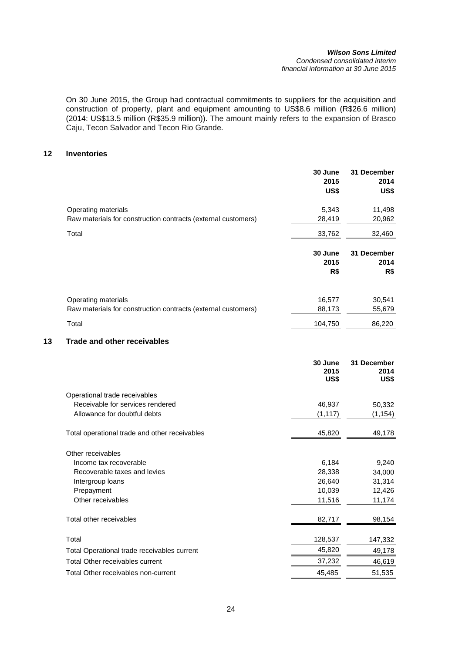#### *Wilson Sons Limited Condensed consolidated interim financial information at 30 June 2015*

On 30 June 2015, the Group had contractual commitments to suppliers for the acquisition and construction of property, plant and equipment amounting to US\$8.6 million (R\$26.6 million) (2014: US\$13.5 million (R\$35.9 million)). The amount mainly refers to the expansion of Brasco Caju, Tecon Salvador and Tecon Rio Grande.

## **12 Inventories**

|    |                                                                                      | 30 June<br>2015<br>US\$ | 31 December<br>2014<br>US\$ |
|----|--------------------------------------------------------------------------------------|-------------------------|-----------------------------|
|    | Operating materials<br>Raw materials for construction contracts (external customers) | 5,343<br>28,419         | 11,498<br>20,962            |
|    | Total                                                                                | 33,762                  | 32,460                      |
|    |                                                                                      | 30 June<br>2015<br>R\$  | 31 December<br>2014<br>R\$  |
|    | Operating materials<br>Raw materials for construction contracts (external customers) | 16,577<br>88,173        | 30,541<br>55,679            |
|    | Total                                                                                | 104,750                 | 86,220                      |
| 13 | <b>Trade and other receivables</b>                                                   |                         |                             |
|    |                                                                                      | 30 June<br>2015<br>US\$ | 31 December<br>2014<br>US\$ |
|    | Operational trade receivables                                                        |                         |                             |
|    | Receivable for services rendered                                                     | 46,937                  | 50,332                      |
|    | Allowance for doubtful debts                                                         | (1, 117)                | (1, 154)                    |
|    | Total operational trade and other receivables                                        | 45,820                  | 49,178                      |
|    | Other receivables                                                                    |                         |                             |
|    | Income tax recoverable                                                               | 6,184                   | 9,240                       |
|    | Recoverable taxes and levies                                                         | 28,338                  | 34,000                      |
|    | Intergroup loans                                                                     | 26,640                  | 31,314                      |
|    | Prepayment                                                                           | 10,039                  | 12,426                      |
|    | Other receivables                                                                    | 11,516                  | 11,174                      |
|    | Total other receivables                                                              | 82,717                  | 98,154                      |
|    | Total                                                                                | 128,537                 | 147,332                     |
|    | Total Operational trade receivables current                                          | 45,820                  | 49,178                      |
|    | Total Other receivables current                                                      | 37,232                  | 46,619                      |
|    | Total Other receivables non-current                                                  | 45,485                  | 51,535                      |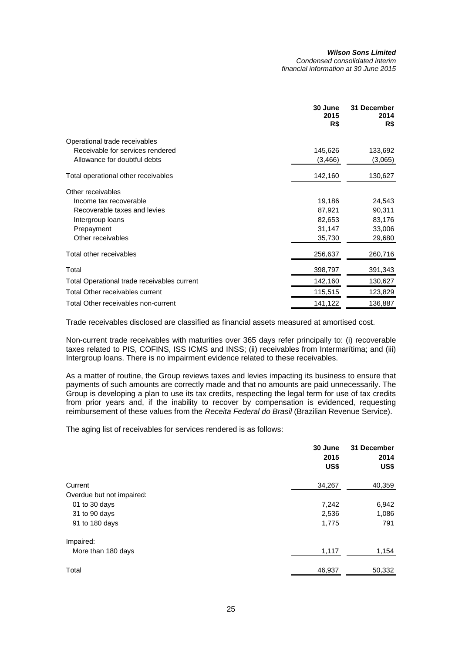|                                             | 30 June<br>2015<br>R\$ | 31 December<br>2014<br>R\$ |
|---------------------------------------------|------------------------|----------------------------|
| Operational trade receivables               |                        |                            |
| Receivable for services rendered            | 145,626                | 133,692                    |
| Allowance for doubtful debts                | (3, 466)               | (3,065)                    |
| Total operational other receivables         | 142,160                | 130,627                    |
| Other receivables                           |                        |                            |
| Income tax recoverable                      | 19,186                 | 24,543                     |
| Recoverable taxes and levies                | 87,921                 | 90,311                     |
| Intergroup loans                            | 82,653                 | 83,176                     |
| Prepayment                                  | 31,147                 | 33,006                     |
| Other receivables                           | 35,730                 | 29,680                     |
| Total other receivables                     | 256,637                | 260,716                    |
| Total                                       | 398,797                | 391,343                    |
| Total Operational trade receivables current | 142,160                | 130,627                    |
| Total Other receivables current             | 115,515                | 123,829                    |
| Total Other receivables non-current         | 141,122                | 136,887                    |

Trade receivables disclosed are classified as financial assets measured at amortised cost.

Non-current trade receivables with maturities over 365 days refer principally to: (i) recoverable taxes related to PIS, COFINS, ISS ICMS and INSS; (ii) receivables from Intermarítima; and (iii) Intergroup loans. There is no impairment evidence related to these receivables.

As a matter of routine, the Group reviews taxes and levies impacting its business to ensure that payments of such amounts are correctly made and that no amounts are paid unnecessarily. The Group is developing a plan to use its tax credits, respecting the legal term for use of tax credits from prior years and, if the inability to recover by compensation is evidenced, requesting reimbursement of these values from the *Receita Federal do Brasil* (Brazilian Revenue Service).

The aging list of receivables for services rendered is as follows:

|                           | 30 June<br>2015<br>US\$ | 31 December<br>2014<br>US\$ |
|---------------------------|-------------------------|-----------------------------|
| Current                   | 34,267                  | 40,359                      |
| Overdue but not impaired: |                         |                             |
| 01 to 30 days             | 7,242                   | 6,942                       |
| 31 to 90 days             | 2,536                   | 1,086                       |
| 91 to 180 days            | 1,775                   | 791                         |
| Impaired:                 |                         |                             |
| More than 180 days        | 1,117                   | 1,154                       |
| Total                     | 46,937                  | 50,332                      |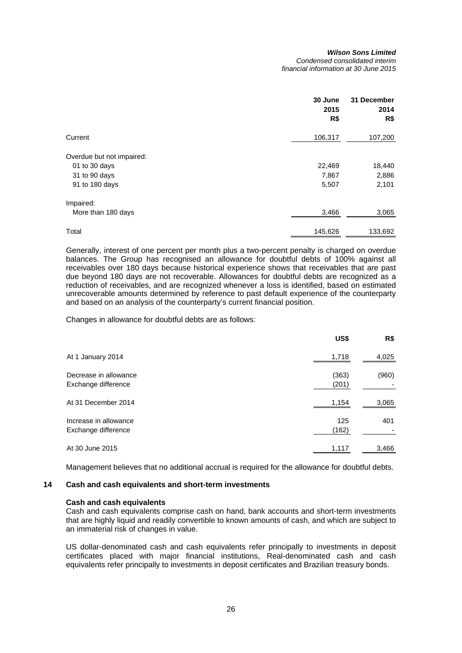#### *Wilson Sons Limited Condensed consolidated interim*

*financial information at 30 June 2015* 

|                           | 30 June<br>2015<br>R\$ | 31 December<br>2014<br>R\$ |
|---------------------------|------------------------|----------------------------|
| Current                   | 106,317                | 107,200                    |
| Overdue but not impaired: |                        |                            |
| 01 to 30 days             | 22,469                 | 18,440                     |
| 31 to 90 days             | 7,867                  | 2,886                      |
| 91 to 180 days            | 5,507                  | 2,101                      |
| Impaired:                 |                        |                            |
| More than 180 days        | 3,466                  | 3,065                      |
| Total                     | 145,626                | 133,692                    |

Generally, interest of one percent per month plus a two-percent penalty is charged on overdue balances. The Group has recognised an allowance for doubtful debts of 100% against all receivables over 180 days because historical experience shows that receivables that are past due beyond 180 days are not recoverable. Allowances for doubtful debts are recognized as a reduction of receivables, and are recognized whenever a loss is identified, based on estimated unrecoverable amounts determined by reference to past default experience of the counterparty and based on an analysis of the counterparty's current financial position.

Changes in allowance for doubtful debts are as follows:

|                                              | US\$           | R\$   |
|----------------------------------------------|----------------|-------|
| At 1 January 2014                            | 1,718          | 4,025 |
| Decrease in allowance<br>Exchange difference | (363)<br>(201) | (960) |
| At 31 December 2014                          | 1,154          | 3,065 |
| Increase in allowance<br>Exchange difference | 125<br>(162)   | 401   |
| At 30 June 2015                              | 1,117          | 3,466 |

Management believes that no additional accrual is required for the allowance for doubtful debts.

## **14 Cash and cash equivalents and short-term investments**

#### **Cash and cash equivalents**

Cash and cash equivalents comprise cash on hand, bank accounts and short-term investments that are highly liquid and readily convertible to known amounts of cash, and which are subject to an immaterial risk of changes in value.

US dollar-denominated cash and cash equivalents refer principally to investments in deposit certificates placed with major financial institutions, Real-denominated cash and cash equivalents refer principally to investments in deposit certificates and Brazilian treasury bonds.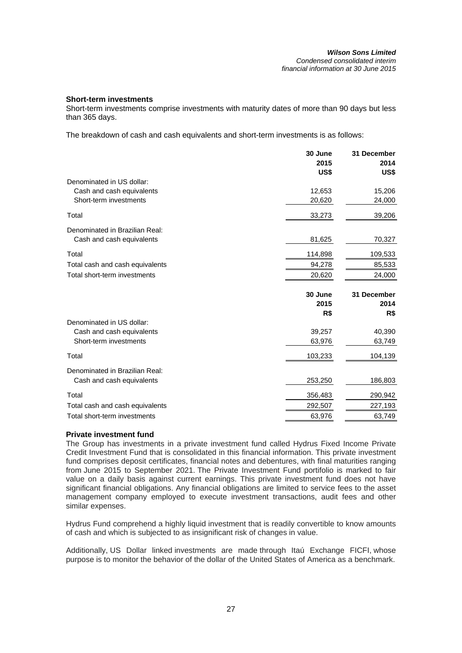## **Short-term investments**

Short-term investments comprise investments with maturity dates of more than 90 days but less than 365 days.

The breakdown of cash and cash equivalents and short-term investments is as follows:

|                                 | 30 June<br>2015 | 31 December<br>2014 |
|---------------------------------|-----------------|---------------------|
|                                 | US\$            | US\$                |
| Denominated in US dollar:       |                 |                     |
| Cash and cash equivalents       | 12,653          | 15,206              |
| Short-term investments          | 20,620          | 24,000              |
| Total                           | 33,273          | 39,206              |
| Denominated in Brazilian Real:  |                 |                     |
| Cash and cash equivalents       | 81,625          | 70,327              |
| Total                           | 114,898         | 109,533             |
| Total cash and cash equivalents | 94,278          | 85,533              |
| Total short-term investments    | 20,620          | 24,000              |
|                                 |                 |                     |
|                                 | 30 June         | 31 December         |
|                                 | 2015            | 2014                |
|                                 | R\$             | R\$                 |
| Denominated in US dollar:       |                 |                     |
| Cash and cash equivalents       | 39,257          | 40,390              |
| Short-term investments          | 63,976          | 63,749              |
| Total                           | 103,233         | 104,139             |
| Denominated in Brazilian Real:  |                 |                     |
| Cash and cash equivalents       | 253,250         | 186,803             |
| Total                           | 356,483         | 290,942             |
| Total cash and cash equivalents | 292,507         | 227,193             |

## **Private investment fund**

The Group has investments in a private investment fund called Hydrus Fixed Income Private Credit Investment Fund that is consolidated in this financial information. This private investment fund comprises deposit certificates, financial notes and debentures, with final maturities ranging from June 2015 to September 2021. The Private Investment Fund portifolio is marked to fair value on a daily basis against current earnings. This private investment fund does not have significant financial obligations. Any financial obligations are limited to service fees to the asset management company employed to execute investment transactions, audit fees and other similar expenses.

Hydrus Fund comprehend a highly liquid investment that is readily convertible to know amounts of cash and which is subjected to as insignificant risk of changes in value.

Additionally, US Dollar linked investments are made through Itaú Exchange FICFI, whose purpose is to monitor the behavior of the dollar of the United States of America as a benchmark.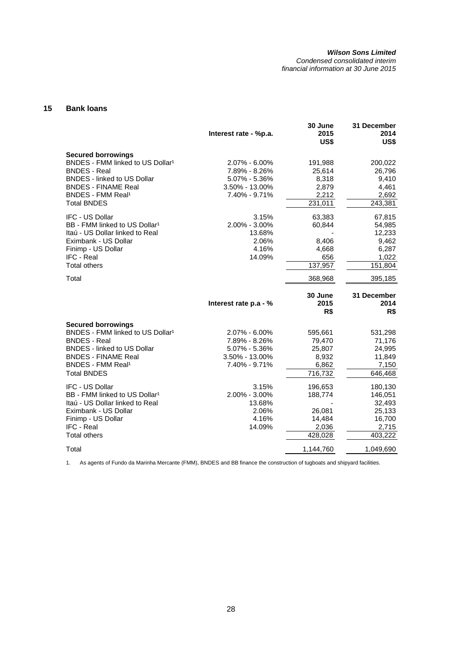*Condensed consolidated interim financial information at 30 June 2015* 

## **15 Bank loans**

|                                                                                                                                                                                                                                   | Interest rate - %p.a.                                                                      | 30 June<br>2015<br>US\$                                    | 31 December<br>2014<br>US\$                                          |
|-----------------------------------------------------------------------------------------------------------------------------------------------------------------------------------------------------------------------------------|--------------------------------------------------------------------------------------------|------------------------------------------------------------|----------------------------------------------------------------------|
| <b>Secured borrowings</b><br>BNDES - FMM linked to US Dollar <sup>1</sup><br><b>BNDES - Real</b><br><b>BNDES - linked to US Dollar</b><br><b>BNDES - FINAME Real</b><br>BNDES - FMM Real <sup>1</sup><br><b>Total BNDES</b>       | $2.07\% - 6.00\%$<br>7.89% - 8.26%<br>$5.07\% - 5.36\%$<br>3.50% - 13.00%<br>7.40% - 9.71% | 191,988<br>25,614<br>8,318<br>2,879<br>2,212<br>231,011    | 200,022<br>26,796<br>9,410<br>4,461<br>2,692<br>243,381              |
| <b>IFC - US Dollar</b><br>BB - FMM linked to US Dollar <sup>1</sup><br>Itaú - US Dollar linked to Real<br>Eximbank - US Dollar<br>Finimp - US Dollar<br><b>IFC - Real</b><br><b>Total others</b>                                  | 3.15%<br>2.00% - 3.00%<br>13.68%<br>2.06%<br>4.16%<br>14.09%                               | 63,383<br>60,844<br>8,406<br>4,668<br>656<br>137,957       | 67,815<br>54,985<br>12,233<br>9,462<br>6,287<br>1,022<br>151,804     |
| Total                                                                                                                                                                                                                             |                                                                                            | 368,968                                                    | 395,185                                                              |
|                                                                                                                                                                                                                                   |                                                                                            |                                                            |                                                                      |
|                                                                                                                                                                                                                                   | Interest rate p.a - %                                                                      | 30 June<br>2015<br>R\$                                     | 31 December<br>2014<br>R\$                                           |
| <b>Secured borrowings</b><br>BNDES - FMM linked to US Dollar <sup>1</sup><br><b>BNDES - Real</b><br><b>BNDES - linked to US Dollar</b><br><b>BNDES - FINAME Real</b><br><b>BNDES - FMM Real<sup>1</sup></b><br><b>Total BNDES</b> | $2.07\% - 6.00\%$<br>7.89% - 8.26%<br>$5.07\% - 5.36\%$<br>3.50% - 13.00%<br>7.40% - 9.71% | 595,661<br>79,470<br>25,807<br>8,932<br>6,862<br>716,732   | 531,298<br>71,176<br>24,995<br>11,849<br>7,150<br>646,468            |
| <b>IFC - US Dollar</b><br>BB - FMM linked to US Dollar <sup>1</sup><br>Itaú - US Dollar linked to Real<br>Eximbank - US Dollar<br>Finimp - US Dollar<br><b>IFC - Real</b><br><b>Total others</b>                                  | 3.15%<br>2.00% - 3.00%<br>13.68%<br>2.06%<br>4.16%<br>14.09%                               | 196,653<br>188,774<br>26,081<br>14,484<br>2,036<br>428,028 | 180,130<br>146,051<br>32,493<br>25,133<br>16,700<br>2,715<br>403,222 |

1. As agents of Fundo da Marinha Mercante (FMM), BNDES and BB finance the construction of tugboats and shipyard facilities.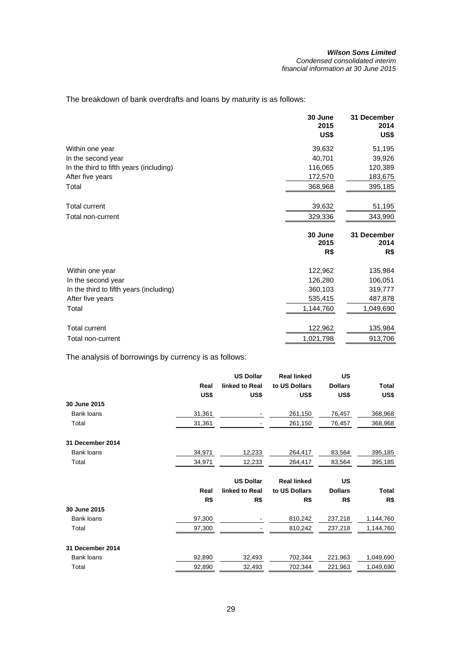The breakdown of bank overdrafts and loans by maturity is as follows:

|                                         | 30 June<br>2015<br>US\$ | 31 December<br>2014<br>US\$ |
|-----------------------------------------|-------------------------|-----------------------------|
| Within one year                         | 39,632                  | 51,195                      |
| In the second year                      | 40,701                  | 39,926                      |
| In the third to fifth years (including) | 116,065                 | 120,389                     |
| After five years                        | 172,570                 | 183,675                     |
| Total                                   | 368,968                 | 395,185                     |
| <b>Total current</b>                    | 39,632                  | 51,195                      |
| Total non-current                       | 329,336                 | 343,990                     |
|                                         | 30 June<br>2015         | 31 December<br>2014         |
|                                         | R\$                     | R\$                         |
| Within one year                         | 122,962                 | 135,984                     |
| In the second year                      | 126,280                 | 106,051                     |
| In the third to fifth years (including) | 360,103                 | 319,777                     |
| After five years                        | 535,415                 | 487,878                     |
|                                         |                         |                             |
| Total                                   | 1,144,760               | 1,049,690                   |
| <b>Total current</b>                    | 122,962                 | 135,984                     |

The analysis of borrowings by currency is as follows:

|                  |        | <b>US Dollar</b> | <b>Real linked</b> | <b>US</b>      |              |
|------------------|--------|------------------|--------------------|----------------|--------------|
|                  | Real   | linked to Real   | to US Dollars      | <b>Dollars</b> | <b>Total</b> |
|                  | US\$   | US\$             | US\$               | US\$           | US\$         |
| 30 June 2015     |        |                  |                    |                |              |
| Bank loans       | 31,361 |                  | 261,150            | 76,457         | 368,968      |
| Total            | 31,361 |                  | 261,150            | 76,457         | 368,968      |
| 31 December 2014 |        |                  |                    |                |              |
| Bank loans       | 34,971 | 12,233           | 264,417            | 83,564         | 395,185      |
| Total            | 34,971 | 12,233           | 264,417            | 83,564         | 395,185      |
|                  |        | <b>US Dollar</b> | <b>Real linked</b> | US             |              |
|                  | Real   | linked to Real   | to US Dollars      | <b>Dollars</b> | <b>Total</b> |
|                  | R\$    | R\$              | R\$                | R\$            | R\$          |
| 30 June 2015     |        |                  |                    |                |              |
| Bank loans       | 97,300 |                  | 810,242            | 237,218        | 1,144,760    |
| Total            | 97,300 |                  | 810,242            | 237,218        | 1,144,760    |
| 31 December 2014 |        |                  |                    |                |              |
| Bank loans       | 92,890 | 32,493           | 702,344            | 221,963        | 1,049,690    |
| Total            | 92,890 | 32,493           | 702,344            | 221,963        | 1,049,690    |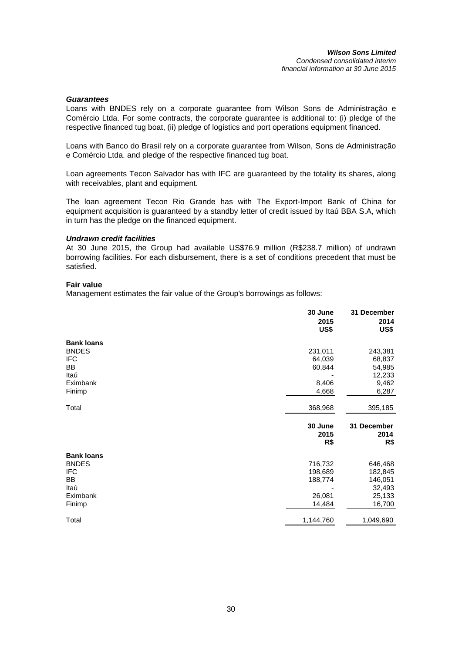## *Guarantees*

Loans with BNDES rely on a corporate guarantee from Wilson Sons de Administração e Comércio Ltda. For some contracts, the corporate guarantee is additional to: (i) pledge of the respective financed tug boat, (ii) pledge of logistics and port operations equipment financed.

Loans with Banco do Brasil rely on a corporate guarantee from Wilson, Sons de Administração e Comércio Ltda. and pledge of the respective financed tug boat.

Loan agreements Tecon Salvador has with IFC are guaranteed by the totality its shares, along with receivables, plant and equipment.

The loan agreement Tecon Rio Grande has with The Export-Import Bank of China for equipment acquisition is guaranteed by a standby letter of credit issued by Itaú BBA S.A, which in turn has the pledge on the financed equipment.

### *Undrawn credit facilities*

At 30 June 2015, the Group had available US\$76.9 million (R\$238.7 million) of undrawn borrowing facilities. For each disbursement, there is a set of conditions precedent that must be satisfied.

## **Fair value**

Management estimates the fair value of the Group's borrowings as follows:

|                   | 30 June         | 31 December         |
|-------------------|-----------------|---------------------|
|                   | 2015            | 2014                |
|                   | US\$            | US\$                |
| <b>Bank loans</b> |                 |                     |
| <b>BNDES</b>      | 231,011         | 243,381             |
| <b>IFC</b>        | 64,039          | 68,837              |
| BB                | 60,844          | 54,985              |
| Itaú              |                 | 12,233              |
| Eximbank          | 8,406           | 9,462               |
| Finimp            | 4,668           | 6,287               |
| Total             | 368,968         | 395,185             |
|                   | 30 June<br>2015 | 31 December<br>2014 |
|                   | R\$             | R\$                 |
| <b>Bank loans</b> |                 |                     |
| <b>BNDES</b>      | 716,732         | 646,468             |
| <b>IFC</b>        | 198,689         | 182,845             |
| BB                | 188,774         | 146,051             |
| Itaú              |                 | 32,493              |
| Eximbank          | 26,081          | 25,133              |
| Finimp            | 14,484          | 16,700              |
| Total             | 1,144,760       | 1,049,690           |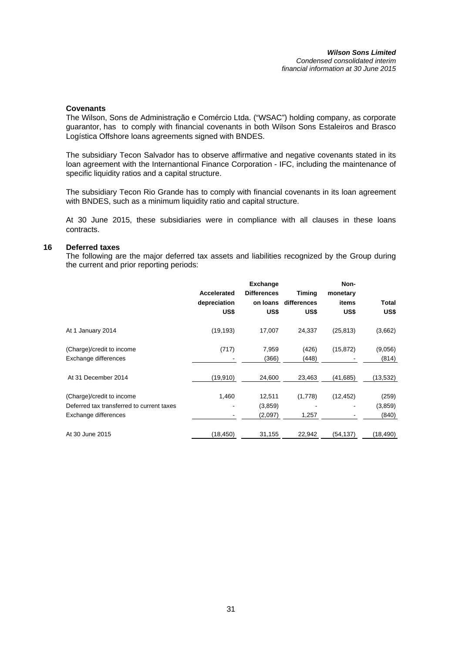### **Covenants**

The Wilson, Sons de Administração e Comércio Ltda. ("WSAC") holding company, as corporate guarantor, has to comply with financial covenants in both Wilson Sons Estaleiros and Brasco Logística Offshore loans agreements signed with BNDES.

The subsidiary Tecon Salvador has to observe affirmative and negative covenants stated in its loan agreement with the Internantional Finance Corporation - IFC, including the maintenance of specific liquidity ratios and a capital structure.

The subsidiary Tecon Rio Grande has to comply with financial covenants in its loan agreement with BNDES, such as a minimum liquidity ratio and capital structure.

At 30 June 2015, these subsidiaries were in compliance with all clauses in these loans contracts.

## **16 Deferred taxes**

The following are the major deferred tax assets and liabilities recognized by the Group during the current and prior reporting periods:

|                                           |              | <b>Exchange</b>    |             | Non-      |           |
|-------------------------------------------|--------------|--------------------|-------------|-----------|-----------|
|                                           | Accelerated  | <b>Differences</b> | Timing      | monetary  |           |
|                                           | depreciation | on loans           | differences | items     | Total     |
|                                           | US\$         | US\$               | US\$        | US\$      | US\$      |
| At 1 January 2014                         | (19, 193)    | 17,007             | 24,337      | (25, 813) | (3,662)   |
| (Charge)/credit to income                 | (717)        | 7,959              | (426)       | (15, 872) | (9,056)   |
| Exchange differences                      |              | (366)              | (448)       |           | (814)     |
| At 31 December 2014                       | (19, 910)    | 24,600             | 23,463      | (41,685)  | (13, 532) |
| (Charge)/credit to income                 | 1,460        | 12,511             | (1,778)     | (12, 452) | (259)     |
| Deferred tax transferred to current taxes |              | (3,859)            |             |           | (3,859)   |
| Exchange differences                      |              | (2,097)            | 1,257       |           | (840)     |
| At 30 June 2015                           | (18, 450)    | 31,155             | 22,942      | (54,137)  | (18, 490) |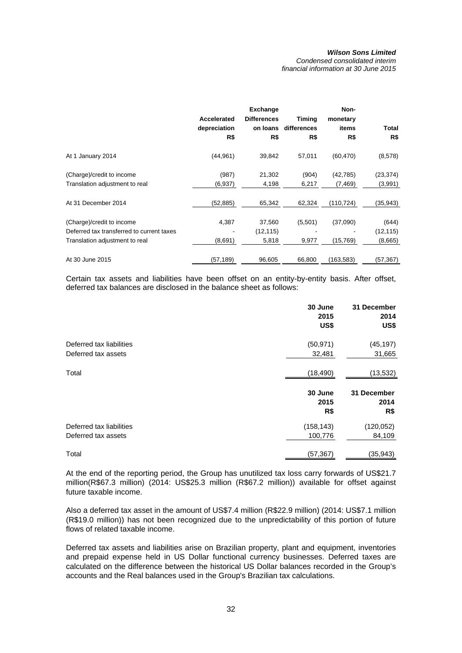*Condensed consolidated interim financial information at 30 June 2015* 

|                                                                                                          | Accelerated<br>depreciation<br>R\$ | <b>Exchange</b><br><b>Differences</b><br>on loans<br>R\$ | <b>Timing</b><br>differences<br>R\$ | Non-<br>monetary<br>items<br>R\$ | Total<br>R\$                  |
|----------------------------------------------------------------------------------------------------------|------------------------------------|----------------------------------------------------------|-------------------------------------|----------------------------------|-------------------------------|
| At 1 January 2014                                                                                        | (44, 961)                          | 39,842                                                   | 57,011                              | (60, 470)                        | (8,578)                       |
| (Charge)/credit to income<br>Translation adjustment to real                                              | (987)<br>(6,937)                   | 21,302<br>4,198                                          | (904)<br>6,217                      | (42,785)<br>(7, 469)             | (23,374)<br>(3,991)           |
| At 31 December 2014                                                                                      | (52, 885)                          | 65,342                                                   | 62,324                              | (110,724)                        | (35,943)                      |
| (Charge)/credit to income<br>Deferred tax transferred to current taxes<br>Translation adjustment to real | 4,387<br>(8,691)                   | 37,560<br>(12, 115)<br>5,818                             | (5,501)<br>9,977                    | (37,090)<br>(15,769)             | (644)<br>(12, 115)<br>(8,665) |
| At 30 June 2015                                                                                          | (57, 189)                          | 96,605                                                   | 66,800                              | (163,583)                        | (57,367)                      |

Certain tax assets and liabilities have been offset on an entity-by-entity basis. After offset, deferred tax balances are disclosed in the balance sheet as follows:

|                          | 30 June<br>2015<br>US\$ | 31 December<br>2014<br>US\$ |
|--------------------------|-------------------------|-----------------------------|
| Deferred tax liabilities | (50, 971)               | (45, 197)                   |
| Deferred tax assets      | 32,481                  | 31,665                      |
| Total                    | (18, 490)               | (13, 532)                   |
|                          | 30 June<br>2015<br>R\$  | 31 December<br>2014<br>R\$  |
| Deferred tax liabilities | (158, 143)              | (120, 052)                  |
| Deferred tax assets      | 100,776                 | 84,109                      |
| Total                    | (57,367)                | (35, 943)                   |

At the end of the reporting period, the Group has unutilized tax loss carry forwards of US\$21.7 million(R\$67.3 million) (2014: US\$25.3 million (R\$67.2 million)) available for offset against future taxable income.

Also a deferred tax asset in the amount of US\$7.4 million (R\$22.9 million) (2014: US\$7.1 million (R\$19.0 million)) has not been recognized due to the unpredictability of this portion of future flows of related taxable income.

Deferred tax assets and liabilities arise on Brazilian property, plant and equipment, inventories and prepaid expense held in US Dollar functional currency businesses. Deferred taxes are calculated on the difference between the historical US Dollar balances recorded in the Group's accounts and the Real balances used in the Group's Brazilian tax calculations.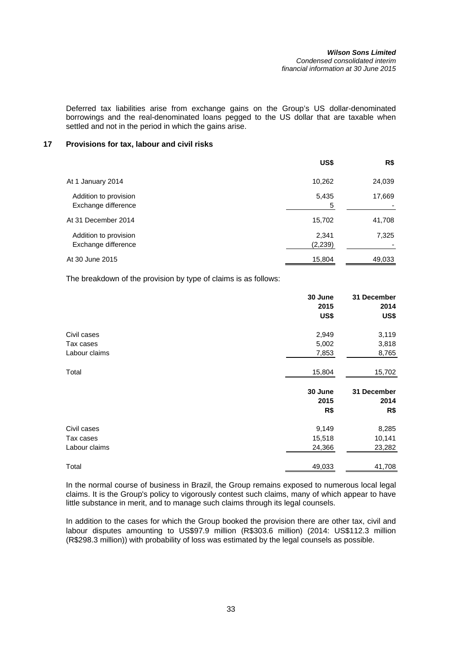#### *Wilson Sons Limited Condensed consolidated interim financial information at 30 June 2015*

Deferred tax liabilities arise from exchange gains on the Group's US dollar-denominated borrowings and the real-denominated loans pegged to the US dollar that are taxable when settled and not in the period in which the gains arise.

## **17 Provisions for tax, labour and civil risks**

|                                              | US\$             | R\$    |
|----------------------------------------------|------------------|--------|
| At 1 January 2014                            | 10,262           | 24,039 |
| Addition to provision<br>Exchange difference | 5,435<br>5       | 17,669 |
| At 31 December 2014                          | 15,702           | 41,708 |
| Addition to provision<br>Exchange difference | 2,341<br>(2,239) | 7,325  |
| At 30 June 2015                              | 15,804           | 49,033 |

The breakdown of the provision by type of claims is as follows:

|               | 30 June<br>2015<br>US\$ | 31 December<br>2014<br>US\$ |
|---------------|-------------------------|-----------------------------|
| Civil cases   | 2,949                   | 3,119                       |
| Tax cases     | 5,002                   | 3,818                       |
| Labour claims | 7,853                   | 8,765                       |
| Total         | 15,804                  | 15,702                      |
|               | 30 June<br>2015         | 31 December<br>2014         |
|               | R\$                     | R\$                         |
| Civil cases   | 9,149                   | 8,285                       |
| Tax cases     | 15,518                  | 10,141                      |
| Labour claims | 24,366                  | 23,282                      |
| Total         | 49,033                  | 41,708                      |

In the normal course of business in Brazil, the Group remains exposed to numerous local legal claims. It is the Group's policy to vigorously contest such claims, many of which appear to have little substance in merit, and to manage such claims through its legal counsels.

In addition to the cases for which the Group booked the provision there are other tax, civil and labour disputes amounting to US\$97.9 million (R\$303.6 million) (2014: US\$112.3 million (R\$298.3 million)) with probability of loss was estimated by the legal counsels as possible.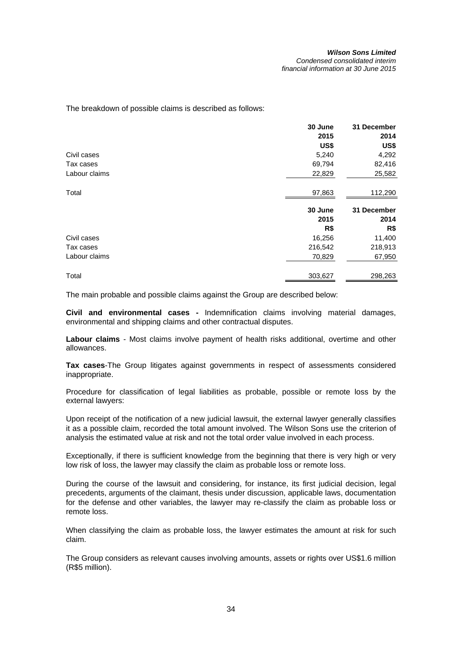The breakdown of possible claims is described as follows:

|               | 30 June | 31 December |
|---------------|---------|-------------|
|               | 2015    | 2014        |
|               | US\$    | US\$        |
| Civil cases   | 5,240   | 4,292       |
| Tax cases     | 69,794  | 82,416      |
| Labour claims | 22,829  | 25,582      |
| Total         | 97,863  | 112,290     |
|               | 30 June | 31 December |
|               | 2015    | 2014        |
|               | R\$     | R\$         |
| Civil cases   | 16,256  | 11,400      |
| Tax cases     | 216,542 | 218,913     |
| Labour claims | 70,829  | 67,950      |
| Total         | 303,627 | 298,263     |

The main probable and possible claims against the Group are described below:

**Civil and environmental cases -** Indemnification claims involving material damages, environmental and shipping claims and other contractual disputes.

**Labour claims** - Most claims involve payment of health risks additional, overtime and other allowances.

**Tax cases**-The Group litigates against governments in respect of assessments considered inappropriate.

Procedure for classification of legal liabilities as probable, possible or remote loss by the external lawyers:

Upon receipt of the notification of a new judicial lawsuit, the external lawyer generally classifies it as a possible claim, recorded the total amount involved. The Wilson Sons use the criterion of analysis the estimated value at risk and not the total order value involved in each process.

Exceptionally, if there is sufficient knowledge from the beginning that there is very high or very low risk of loss, the lawyer may classify the claim as probable loss or remote loss.

During the course of the lawsuit and considering, for instance, its first judicial decision, legal precedents, arguments of the claimant, thesis under discussion, applicable laws, documentation for the defense and other variables, the lawyer may re-classify the claim as probable loss or remote loss.

When classifying the claim as probable loss, the lawyer estimates the amount at risk for such claim.

The Group considers as relevant causes involving amounts, assets or rights over US\$1.6 million (R\$5 million).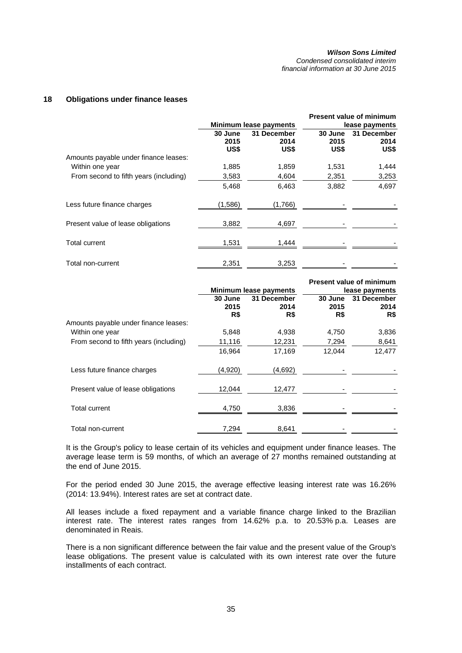*Condensed consolidated interim financial information at 30 June 2015* 

### **18 Obligations under finance leases**

|                                        |         |                        |                | <b>Present value of minimum</b> |
|----------------------------------------|---------|------------------------|----------------|---------------------------------|
|                                        |         | Minimum lease payments | lease payments |                                 |
|                                        | 30 June | 31 December            | 30 June        | 31 December                     |
|                                        | 2015    | 2014                   | 2015           | 2014                            |
|                                        | US\$    | US\$                   | US\$           | US\$                            |
| Amounts payable under finance leases:  |         |                        |                |                                 |
| Within one year                        | 1,885   | 1,859                  | 1,531          | 1,444                           |
| From second to fifth years (including) | 3,583   | 4,604                  | 2,351          | 3,253                           |
|                                        | 5,468   | 6,463                  | 3,882          | 4,697                           |
| Less future finance charges            | (1,586) | (1,766)                |                |                                 |
| Present value of lease obligations     | 3,882   | 4,697                  |                |                                 |
| Total current                          | 1,531   | 1,444                  |                |                                 |
| Total non-current                      | 2,351   | 3,253                  |                |                                 |

|                                        |                 | Minimum lease payments |                 | <b>Present value of minimum</b><br>lease payments |
|----------------------------------------|-----------------|------------------------|-----------------|---------------------------------------------------|
|                                        | 30 June<br>2015 | 31 December<br>2014    | 30 June<br>2015 | 31 December<br>2014                               |
| Amounts payable under finance leases:  | R\$             | R\$                    | R\$             | R\$                                               |
| Within one year                        | 5,848           | 4,938                  | 4,750           | 3,836                                             |
| From second to fifth years (including) | 11,116          | 12,231                 | 7,294           | 8,641                                             |
|                                        | 16,964          | 17,169                 | 12,044          | 12,477                                            |
| Less future finance charges            | (4,920)         | (4,692)                |                 |                                                   |
| Present value of lease obligations     | 12,044          | 12,477                 |                 |                                                   |
| <b>Total current</b>                   | 4,750           | 3,836                  |                 |                                                   |
| Total non-current                      | 7,294           | 8,641                  |                 |                                                   |

It is the Group's policy to lease certain of its vehicles and equipment under finance leases. The average lease term is 59 months, of which an average of 27 months remained outstanding at the end of June 2015.

For the period ended 30 June 2015, the average effective leasing interest rate was 16.26% (2014: 13.94%). Interest rates are set at contract date.

All leases include a fixed repayment and a variable finance charge linked to the Brazilian interest rate. The interest rates ranges from 14.62% p.a. to 20.53% p.a. Leases are denominated in Reais.

There is a non significant difference between the fair value and the present value of the Group's lease obligations. The present value is calculated with its own interest rate over the future installments of each contract.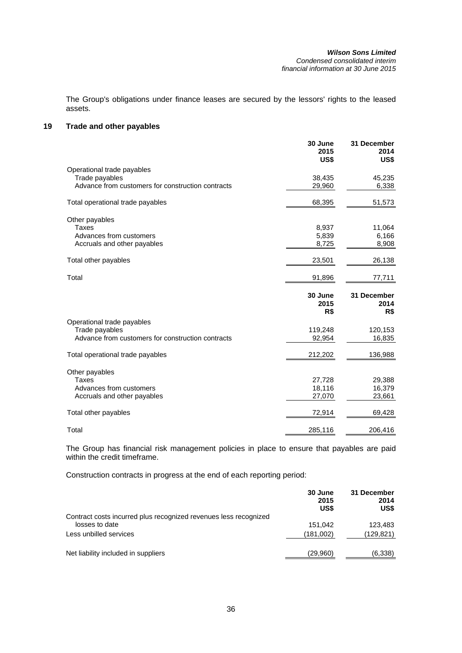#### *Wilson Sons Limited Condensed consolidated interim financial information at 30 June 2015*

The Group's obligations under finance leases are secured by the lessors' rights to the leased assets.

## **19 Trade and other payables**

|                                                   | 30 June<br>2015<br>US\$ | 31 December<br>2014<br>US\$ |
|---------------------------------------------------|-------------------------|-----------------------------|
| Operational trade payables                        |                         |                             |
| Trade payables                                    | 38,435                  | 45,235                      |
| Advance from customers for construction contracts | 29,960                  | 6,338                       |
| Total operational trade payables                  | 68,395                  | 51,573                      |
| Other payables                                    |                         |                             |
| Taxes                                             | 8,937                   | 11,064                      |
| Advances from customers                           | 5,839                   | 6,166                       |
| Accruals and other payables                       | 8,725                   | 8,908                       |
| Total other payables                              | 23,501                  | 26,138                      |
| Total                                             | 91,896                  | 77,711                      |
|                                                   | 30 June<br>2015<br>R\$  | 31 December<br>2014<br>R\$  |
| Operational trade payables                        |                         |                             |
| Trade payables                                    | 119,248                 | 120,153                     |
| Advance from customers for construction contracts |                         |                             |
|                                                   | 92,954                  | 16,835                      |
| Total operational trade payables                  | 212,202                 | 136,988                     |
|                                                   |                         |                             |
| Other payables<br><b>Taxes</b>                    | 27,728                  | 29,388                      |
| Advances from customers                           | 18,116                  | 16,379                      |
| Accruals and other payables                       | 27,070                  | 23,661                      |
| Total other payables                              | 72,914                  | 69,428                      |

The Group has financial risk management policies in place to ensure that payables are paid within the credit timeframe.

Construction contracts in progress at the end of each reporting period:

|                                                                  | 30 June<br>2015<br>US\$ | 31 December<br>2014<br>US\$ |
|------------------------------------------------------------------|-------------------------|-----------------------------|
| Contract costs incurred plus recognized revenues less recognized |                         |                             |
| losses to date                                                   | 151.042                 | 123.483                     |
| Less unbilled services                                           | (181,002)               | (129,821)                   |
| Net liability included in suppliers                              | (29,960)                | (6,338)                     |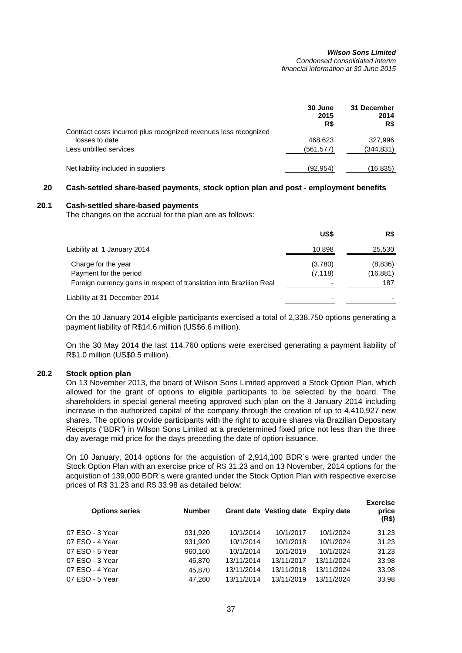*Condensed consolidated interim financial information at 30 June 2015* 

|                                                                  | 30 June<br>2015<br>R\$ | 31 December<br>2014<br>R\$ |
|------------------------------------------------------------------|------------------------|----------------------------|
| Contract costs incurred plus recognized revenues less recognized |                        |                            |
| losses to date<br>Less unbilled services                         | 468.623<br>(561, 577)  | 327,996<br>(344,831)       |
|                                                                  |                        |                            |
| Net liability included in suppliers                              | (92, 954)              | (16,835)                   |

## **20 Cash-settled share-based payments, stock option plan and post - employment benefits**

## **20.1 Cash-settled share-based payments**

The changes on the accrual for the plan are as follows:

|                                                                                                                       | US\$                | R\$                         |
|-----------------------------------------------------------------------------------------------------------------------|---------------------|-----------------------------|
| Liability at 1 January 2014                                                                                           | 10,898              | 25,530                      |
| Charge for the year<br>Payment for the period<br>Foreign currency gains in respect of translation into Brazilian Real | (3,780)<br>(7, 118) | (8,836)<br>(16, 881)<br>187 |
| Liability at 31 December 2014                                                                                         | -                   |                             |

On the 10 January 2014 eligible participants exercised a total of 2,338,750 options generating a payment liability of R\$14.6 million (US\$6.6 million).

On the 30 May 2014 the last 114,760 options were exercised generating a payment liability of R\$1.0 million (US\$0.5 million).

## **20.2 Stock option plan**

On 13 November 2013, the board of Wilson Sons Limited approved a Stock Option Plan, which allowed for the grant of options to eligible participants to be selected by the board. The shareholders in special general meeting approved such plan on the 8 January 2014 including increase in the authorized capital of the company through the creation of up to 4,410,927 new shares. The options provide participants with the right to acquire shares via Brazilian Depositary Receipts ("BDR") in Wilson Sons Limited at a predetermined fixed price not less than the three day average mid price for the days preceding the date of option issuance.

On 10 January, 2014 options for the acquistion of 2,914,100 BDR´s were granted under the Stock Option Plan with an exercise price of R\$ 31.23 and on 13 November, 2014 options for the acquistion of 139,000 BDR´s were granted under the Stock Option Plan with respective exercise prices of R\$ 31.23 and R\$ 33.98 as detailed below:

| <b>Options series</b> | <b>Number</b> |            | Grant date Vesting date Expiry date |            | <b>Exercise</b><br>price<br>(R\$) |
|-----------------------|---------------|------------|-------------------------------------|------------|-----------------------------------|
| 07 ESO - 3 Year       | 931.920       | 10/1/2014  | 10/1/2017                           | 10/1/2024  | 31.23                             |
| 07 ESO - 4 Year       | 931,920       | 10/1/2014  | 10/1/2018                           | 10/1/2024  | 31.23                             |
| 07 ESO - 5 Year       | 960,160       | 10/1/2014  | 10/1/2019                           | 10/1/2024  | 31.23                             |
| 07 ESO - 3 Year       | 45.870        | 13/11/2014 | 13/11/2017                          | 13/11/2024 | 33.98                             |
| 07 ESO - 4 Year       | 45.870        | 13/11/2014 | 13/11/2018                          | 13/11/2024 | 33.98                             |
| 07 ESO - 5 Year       | 47.260        | 13/11/2014 | 13/11/2019                          | 13/11/2024 | 33.98                             |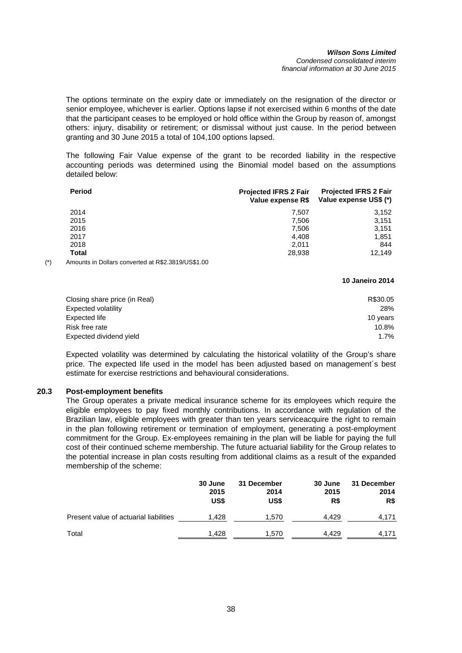#### *Wilson Sons Limited Condensed consolidated interim financial information at 30 June 2015*

The options terminate on the expiry date or immediately on the resignation of the director or senior employee, whichever is earlier. Options lapse if not exercised within 6 months of the date that the participant ceases to be employed or hold office within the Group by reason of, amongst others: injury, disability or retirement; or dismissal without just cause. In the period between granting and 30 June 2015 a total of 104,100 options lapsed.

The following Fair Value expense of the grant to be recorded liability in the respective accounting periods was determined using the Binomial model based on the assumptions detailed below:

| <b>Period</b> | <b>Projected IFRS 2 Fair</b><br>Value expense R\$ | <b>Projected IFRS 2 Fair</b><br>Value expense US\$ (*) |
|---------------|---------------------------------------------------|--------------------------------------------------------|
| 2014          | 7.507                                             | 3,152                                                  |
| 2015          | 7.506                                             | 3,151                                                  |
| 2016          | 7,506                                             | 3,151                                                  |
| 2017          | 4.408                                             | 1,851                                                  |
| 2018          | 2.011                                             | 844                                                    |
| Total         | 28,938                                            | 12.149                                                 |

(\*) Amounts in Dollars converted at R\$2.3819/US\$1.00

#### **10 Janeiro 2014**

| Closing share price (in Real) | R\$30.05 |
|-------------------------------|----------|
| Expected volatility           | 28%      |
| Expected life                 | 10 years |
| Risk free rate                | 10.8%    |
| Expected dividend yield       | 1.7%     |
|                               |          |

Expected volatility was determined by calculating the historical volatility of the Group's share price. The expected life used in the model has been adjusted based on management´s best estimate for exercise restrictions and behavioural considerations.

## **20.3 Post-employment benefits**

The Group operates a private medical insurance scheme for its employees which require the eligible employees to pay fixed monthly contributions. In accordance with regulation of the Brazilian law, eligible employees with greater than ten years serviceacquire the right to remain in the plan following retirement or termination of employment, generating a post-employment commitment for the Group. Ex-employees remaining in the plan will be liable for paying the full cost of their continued scheme membership. The future actuarial liability for the Group relates to the potential increase in plan costs resulting from additional claims as a result of the expanded membership of the scheme:

|                                        | 30 June<br>2015<br>US\$ | 31 December<br>2014<br>US\$ | <b>30 June</b><br>2015<br>R\$ | 31 December<br>2014<br>R\$ |
|----------------------------------------|-------------------------|-----------------------------|-------------------------------|----------------------------|
| Present value of actuarial liabilities | 1.428                   | 1,570                       | 4.429                         | 4,171                      |
| Total                                  | 1.428                   | 1.570                       | 4.429                         | 4.171                      |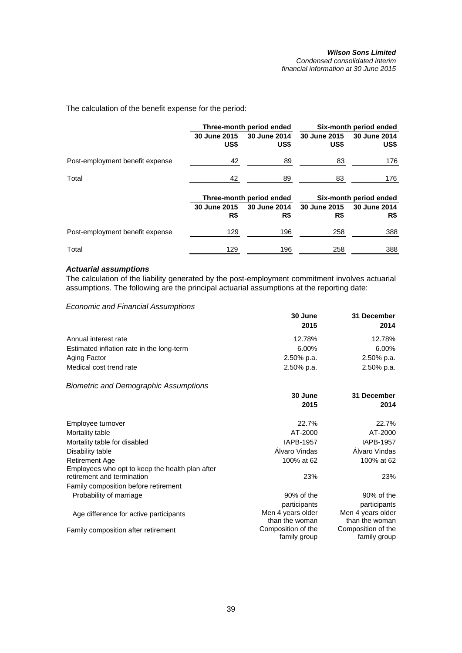*Condensed consolidated interim financial information at 30 June 2015* 

The calculation of the benefit expense for the period:

|                                 | Three-month period ended |                          | Six-month period ended |                        |  |
|---------------------------------|--------------------------|--------------------------|------------------------|------------------------|--|
|                                 | 30 June 2015<br>US\$     | 30 June 2014<br>US\$     | 30 June 2015<br>US\$   | 30 June 2014<br>US\$   |  |
| Post-employment benefit expense | 42                       | 89                       | 83                     | 176                    |  |
| Total                           | 42                       | 89                       | 83                     | 176                    |  |
|                                 |                          | Three-month period ended |                        | Six-month period ended |  |
|                                 | 30 June 2015             | 30 June 2014             | 30 June 2015           | 30 June 2014           |  |
|                                 | R\$                      | R\$                      | R\$                    | R\$                    |  |
| Post-employment benefit expense | 129                      | 196                      | 258                    | 388                    |  |
| Total                           | 129                      | 196                      | 258                    | 388                    |  |

### *Actuarial assumptions*

The calculation of the liability generated by the post-employment commitment involves actuarial assumptions. The following are the principal actuarial assumptions at the reporting date:

*Economic and Financial Assumptions*

|                                           | 30 June       | 31 December   |  |
|-------------------------------------------|---------------|---------------|--|
|                                           | 2015          | 2014          |  |
| Annual interest rate                      | 12.78%        | 12.78%        |  |
| Estimated inflation rate in the long-term | $6.00\%$      | 6.00%         |  |
| Aging Factor                              | $2.50\%$ p.a. | 2.50% p.a.    |  |
| Medical cost trend rate                   | $2.50\%$ p.a. | $2.50\%$ p.a. |  |

*Biometric and Demographic Assumptions*

|                                                                               | 30 June<br>2015    | 31 December<br>2014 |
|-------------------------------------------------------------------------------|--------------------|---------------------|
| Employee turnover                                                             | 22.7%              | 22.7%               |
| Mortality table                                                               | AT-2000            | AT-2000             |
| Mortality table for disabled                                                  | <b>IAPB-1957</b>   | <b>IAPB-1957</b>    |
| Disability table                                                              | Alvaro Vindas      | Alvaro Vindas       |
| <b>Retirement Age</b>                                                         | 100% at 62         | 100% at 62          |
| Employees who opt to keep the health plan after<br>retirement and termination | 23%                | 23%                 |
| Family composition before retirement                                          |                    |                     |
| Probability of marriage                                                       | 90% of the         | 90% of the          |
|                                                                               | participants       | participants        |
| Age difference for active participants                                        | Men 4 years older  | Men 4 years older   |
|                                                                               | than the woman     | than the woman      |
| Family composition after retirement                                           | Composition of the | Composition of the  |
|                                                                               | family group       | family group        |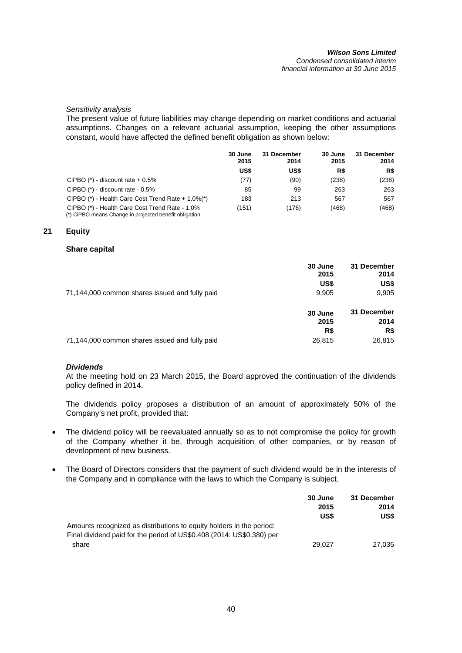#### *Wilson Sons Limited Condensed consolidated interim financial information at 30 June 2015*

### *Sensitivity analysis*

The present value of future liabilities may change depending on market conditions and actuarial assumptions. Changes on a relevant actuarial assumption, keeping the other assumptions constant, would have affected the defined benefit obligation as shown below:

|                                                                                                          | 30 June<br>2015 | 31 December<br>2014 | 30 June<br>2015 | 31 December<br>2014 |
|----------------------------------------------------------------------------------------------------------|-----------------|---------------------|-----------------|---------------------|
|                                                                                                          | US\$            | US\$                | R\$             | R\$                 |
| CiPBO $(*)$ - discount rate $+0.5\%$                                                                     | (77)            | (90)                | (238)           | (238)               |
| CiPBO $(*)$ - discount rate - $0.5\%$                                                                    | 85              | 99                  | 263             | 263                 |
| CiPBO $(*)$ - Health Care Cost Trend Rate + 1.0% $(*)$                                                   | 183             | 213                 | 567             | 567                 |
| CiPBO (*) - Health Care Cost Trend Rate - 1.0%<br>(*) CiPBO means Change in projected benefit obligation | (151)           | (176)               | (468)           | (468)               |

### **21 Equity**

### **Share capital**

|                                                | 30 June<br>2015<br>US\$ | 31 December<br>2014<br>US\$ |
|------------------------------------------------|-------------------------|-----------------------------|
| 71,144,000 common shares issued and fully paid | 9,905                   | 9,905                       |
|                                                | 30 June<br>2015<br>R\$  | 31 December<br>2014<br>R\$  |
| 71,144,000 common shares issued and fully paid | 26,815                  | 26,815                      |

## *Dividends*

At the meeting hold on 23 March 2015, the Board approved the continuation of the dividends policy defined in 2014.

The dividends policy proposes a distribution of an amount of approximately 50% of the Company's net profit, provided that:

- The dividend policy will be reevaluated annually so as to not compromise the policy for growth of the Company whether it be, through acquisition of other companies, or by reason of development of new business.
- The Board of Directors considers that the payment of such dividend would be in the interests of the Company and in compliance with the laws to which the Company is subject.

|                                                                       | 30 June | 31 December |
|-----------------------------------------------------------------------|---------|-------------|
|                                                                       | 2015    | 2014        |
|                                                                       | US\$    | US\$        |
| Amounts recognized as distributions to equity holders in the period:  |         |             |
| Final dividend paid for the period of US\$0.408 (2014: US\$0.380) per |         |             |
| share                                                                 | 29.027  | 27.035      |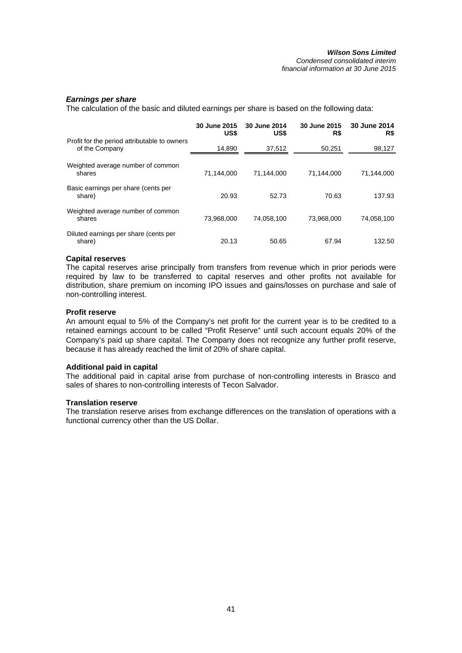## *Earnings per share*

The calculation of the basic and diluted earnings per share is based on the following data:

|                                                                | 30 June 2015<br>US\$ | 30 June 2014<br>US\$ | 30 June 2015<br>R\$ | 30 June 2014<br>R\$ |
|----------------------------------------------------------------|----------------------|----------------------|---------------------|---------------------|
| Profit for the period attributable to owners<br>of the Company | 14,890               | 37,512               | 50,251              | 98,127              |
| Weighted average number of common<br>shares                    | 71,144,000           | 71.144.000           | 71,144,000          | 71,144,000          |
| Basic earnings per share (cents per<br>share)                  | 20.93                | 52.73                | 70.63               | 137.93              |
| Weighted average number of common<br>shares                    | 73,968,000           | 74,058,100           | 73,968,000          | 74,058,100          |
| Diluted earnings per share (cents per<br>share)                | 20.13                | 50.65                | 67.94               | 132.50              |

### **Capital reserves**

The capital reserves arise principally from transfers from revenue which in prior periods were required by law to be transferred to capital reserves and other profits not available for distribution, share premium on incoming IPO issues and gains/losses on purchase and sale of non-controlling interest.

### **Profit reserve**

An amount equal to 5% of the Company's net profit for the current year is to be credited to a retained earnings account to be called "Profit Reserve" until such account equals 20% of the Company's paid up share capital. The Company does not recognize any further profit reserve, because it has already reached the limit of 20% of share capital.

## **Additional paid in capital**

The additional paid in capital arise from purchase of non-controlling interests in Brasco and sales of shares to non-controlling interests of Tecon Salvador.

#### **Translation reserve**

The translation reserve arises from exchange differences on the translation of operations with a functional currency other than the US Dollar.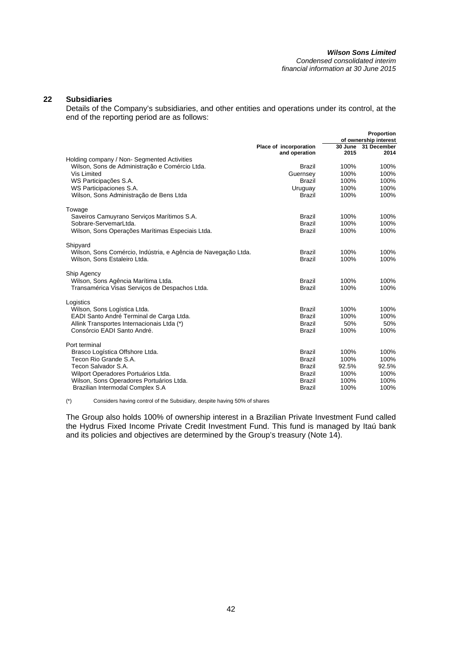#### *Wilson Sons Limited Condensed consolidated interim*

*financial information at 30 June 2015* 

## **22 Subsidiaries**

Details of the Company's subsidiaries, and other entities and operations under its control, at the end of the reporting period are as follows:

|                                                                |                           |                 | Proportion            |
|----------------------------------------------------------------|---------------------------|-----------------|-----------------------|
|                                                                |                           |                 | of ownership interest |
|                                                                | Place of incorporation    | 30 June<br>2015 | 31 December<br>2014   |
| Holding company / Non-Segmented Activities                     | and operation             |                 |                       |
|                                                                | <b>Brazil</b>             | 100%            | 100%                  |
| Wilson, Sons de Administração e Comércio Ltda.<br>Vis Limited  |                           | 100%            | 100%                  |
| WS Participações S.A.                                          | Guernsey<br><b>Brazil</b> | 100%            | 100%                  |
| WS Participaciones S.A.                                        |                           | 100%            | 100%                  |
|                                                                | Uruguay<br><b>Brazil</b>  | 100%            | 100%                  |
| Wilson, Sons Administração de Bens Ltda                        |                           |                 |                       |
| Towage                                                         |                           |                 |                       |
| Saveiros Camuyrano Serviços Marítimos S.A.                     | <b>Brazil</b>             | 100%            | 100%                  |
| Sobrare-ServemarLtda.                                          | <b>Brazil</b>             | 100%            | 100%                  |
| Wilson, Sons Operações Marítimas Especiais Ltda.               | <b>Brazil</b>             | 100%            | 100%                  |
| Shipyard                                                       |                           |                 |                       |
| Wilson, Sons Comércio, Indústria, e Agência de Navegação Ltda. | <b>Brazil</b>             | 100%            | 100%                  |
| Wilson, Sons Estaleiro Ltda.                                   | <b>Brazil</b>             | 100%            | 100%                  |
|                                                                |                           |                 |                       |
| Ship Agency                                                    |                           |                 |                       |
| Wilson, Sons Agência Marítima Ltda.                            | <b>Brazil</b>             | 100%            | 100%                  |
| Transamérica Visas Servicos de Despachos Ltda.                 | <b>Brazil</b>             | 100%            | 100%                  |
|                                                                |                           |                 |                       |
| Logistics<br>Wilson, Sons Logística Ltda.                      | <b>Brazil</b>             | 100%            | 100%                  |
| EADI Santo André Terminal de Carga Ltda.                       | <b>Brazil</b>             | 100%            | 100%                  |
| Allink Transportes Internacionais Ltda (*)                     | <b>Brazil</b>             | 50%             | 50%                   |
| Consórcio EADI Santo André.                                    | <b>Brazil</b>             | 100%            | 100%                  |
|                                                                |                           |                 |                       |
| Port terminal                                                  |                           |                 |                       |
| Brasco Logística Offshore Ltda.                                | <b>Brazil</b>             | 100%            | 100%                  |
| Tecon Rio Grande S.A.                                          | <b>Brazil</b>             | 100%            | 100%                  |
| Tecon Salvador S.A.                                            | <b>Brazil</b>             | 92.5%           | 92.5%                 |
| Wilport Operadores Portuários Ltda.                            | <b>Brazil</b>             | 100%            | 100%                  |
| Wilson, Sons Operadores Portuários Ltda.                       | <b>Brazil</b>             | 100%            | 100%                  |
| Brazilian Intermodal Complex S.A                               | <b>Brazil</b>             | 100%            | 100%                  |
|                                                                |                           |                 |                       |

(\*) Considers having control of the Subsidiary, despite having 50% of shares

The Group also holds 100% of ownership interest in a Brazilian Private Investment Fund called the Hydrus Fixed Income Private Credit Investment Fund. This fund is managed by Itaú bank and its policies and objectives are determined by the Group's treasury (Note 14).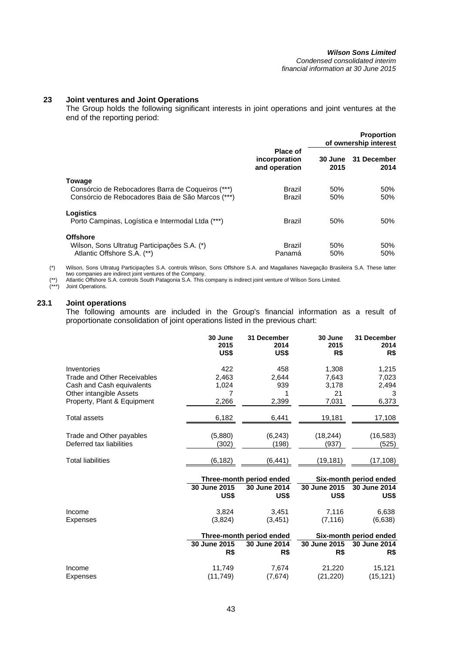## **23 Joint ventures and Joint Operations**

The Group holds the following significant interests in joint operations and joint ventures at the end of the reporting period:

|                                                                                                                  |                                            |                 | <b>Proportion</b><br>of ownership interest |
|------------------------------------------------------------------------------------------------------------------|--------------------------------------------|-----------------|--------------------------------------------|
|                                                                                                                  | Place of<br>incorporation<br>and operation | 30 June<br>2015 | 31 December<br>2014                        |
| Towage<br>Consórcio de Rebocadores Barra de Coqueiros (***)<br>Consórcio de Rebocadores Baia de São Marcos (***) | <b>Brazil</b><br>Brazil                    | 50%<br>50%      | 50%<br>50%                                 |
| Logistics<br>Porto Campinas, Logística e Intermodal Ltda (***)                                                   | Brazil                                     | 50%             | 50%                                        |
| <b>Offshore</b><br>Wilson, Sons Ultratug Participações S.A. (*)<br>Atlantic Offshore S.A. (**)                   | <b>Brazil</b><br>Panamá                    | 50%<br>50%      | 50%<br>50%                                 |

(\*) Wilson, Sons Ultratug Participações S.A. controls Wilson, Sons Offshore S.A. and Magallanes Navegação Brasileira S.A. These latter two companies are indirect joint ventures of the Company.

(\*\*) Atlantic Offshore S.A. controls South Patagonia S.A. This company is indirect joint venture of Wilson Sons Limited. (\*\*) Atlantic Offshore<br>(\*\*\*) Joint Operations.

## **23.1 Joint operations**

The following amounts are included in the Group's financial information as a result of proportionate consolidation of joint operations listed in the previous chart:

|                             | 30 June<br>2015<br>US\$ | 31 December<br>2014<br>US\$              | 30 June<br>2015<br>R\$ | 31 December<br>2014<br>R\$             |
|-----------------------------|-------------------------|------------------------------------------|------------------------|----------------------------------------|
| Inventories                 | 422                     | 458                                      | 1,308                  | 1,215                                  |
| Trade and Other Receivables | 2,463                   | 2,644                                    | 7,643                  | 7,023                                  |
| Cash and Cash equivalents   | 1,024                   | 939                                      | 3,178                  | 2,494                                  |
| Other intangible Assets     | 7                       |                                          | 21                     | 3                                      |
| Property, Plant & Equipment | 2,266                   | 2,399                                    | 7,031                  | 6,373                                  |
| <b>Total assets</b>         | 6,182                   | 6,441                                    | 19,181                 | 17,108                                 |
| Trade and Other payables    | (5,880)                 | (6,243)                                  | (18, 244)              | (16, 583)                              |
| Deferred tax liabilities    | (302)                   | (198)                                    | (937)                  | (525)                                  |
|                             |                         |                                          |                        |                                        |
| <b>Total liabilities</b>    | (6, 182)                | (6,441)                                  | (19, 181)              | (17, 108)                              |
|                             |                         |                                          |                        |                                        |
|                             | 30 June 2015            | Three-month period ended<br>30 June 2014 | 30 June 2015           | Six-month period ended<br>30 June 2014 |
|                             | US\$                    | US\$                                     | US\$                   | US\$                                   |
| Income                      | 3,824                   | 3.451                                    | 7,116                  | 6,638                                  |
| Expenses                    | (3,824)                 | (3, 451)                                 | (7, 116)               | (6,638)                                |
|                             |                         |                                          |                        |                                        |
|                             |                         | Three-month period ended                 |                        | Six-month period ended                 |
|                             | 30 June 2015            | 30 June 2014                             | 30 June 2015           | 30 June 2014                           |
|                             | R\$                     | R\$                                      | R\$                    | R\$                                    |
| Income                      | 11,749                  | 7,674                                    | 21,220                 | 15,121                                 |
| Expenses                    | (11, 749)               | (7,674)                                  | (21, 220)              | (15, 121)                              |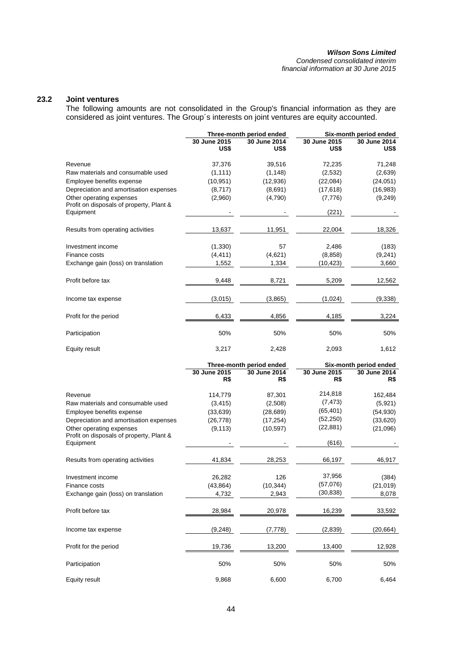#### *Wilson Sons Limited Condensed consolidated interim financial information at 30 June 2015*

## **23.2 Joint ventures**

The following amounts are not consolidated in the Group's financial information as they are considered as joint ventures. The Group´s interests on joint ventures are equity accounted.

|                                                       |                      | Three-month period ended |                      | Six-month period ended |
|-------------------------------------------------------|----------------------|--------------------------|----------------------|------------------------|
|                                                       | 30 June 2015<br>US\$ | 30 June 2014<br>US\$     | 30 June 2015<br>US\$ | 30 June 2014<br>US\$   |
| Revenue                                               | 37,376               | 39,516                   | 72,235               | 71,248                 |
| Raw materials and consumable used                     | (1, 111)             | (1, 148)                 | (2,532)              | (2,639)                |
| Employee benefits expense                             | (10, 951)            | (12,936)                 | (22,084)             | (24, 051)              |
| Depreciation and amortisation expenses                | (8,717)              | (8,691)                  | (17, 618)            | (16,983)               |
| Other operating expenses                              | (2,960)              | (4,790)                  | (7, 776)             | (9, 249)               |
| Profit on disposals of property, Plant &<br>Equipment |                      |                          | (221)                |                        |
| Results from operating activities                     | 13,637               | 11,951                   | 22,004               | 18,326                 |
| Investment income                                     | (1, 330)             | 57                       | 2,486                | (183)                  |
| Finance costs                                         | (4, 411)             | (4,621)                  | (8, 858)             | (9,241)                |
| Exchange gain (loss) on translation                   | 1,552                | 1,334                    | (10, 423)            | 3,660                  |
| Profit before tax                                     | 9,448                | 8,721                    | 5,209                | 12,562                 |
| Income tax expense                                    | (3,015)              | (3,865)                  | (1,024)              | (9,338)                |
| Profit for the period                                 | 6,433                | 4,856                    | 4,185                | 3,224                  |
| Participation                                         | 50%                  | 50%                      | 50%                  | 50%                    |
| Equity result                                         | 3,217                | 2,428                    | 2,093                | 1,612                  |
|                                                       |                      | Three-month period ended |                      | Six-month period ended |
|                                                       | 30 June 2015<br>R\$  | 30 June 2014<br>R\$      | 30 June 2015<br>R\$  | 30 June 2014<br>R\$    |
| Pavanua                                               | 114 770              | 87 301                   | 214.818              | $162$ $181$            |

| Revenue                                  | 114,779   | 87,301    | 214,818   | 162,484   |
|------------------------------------------|-----------|-----------|-----------|-----------|
| Raw materials and consumable used        | (3, 415)  | (2,508)   | (7, 473)  | (5,921)   |
| Employee benefits expense                | (33, 639) | (28, 689) | (65, 401) | (54, 930) |
| Depreciation and amortisation expenses   | (26,778)  | (17, 254) | (52,250)  | (33,620)  |
| Other operating expenses                 | (9, 113)  | (10, 597) | (22, 881) | (21,096)  |
| Profit on disposals of property, Plant & |           |           |           |           |
| Equipment                                |           |           | (616)     |           |
| Results from operating activities        | 41,834    | 28,253    | 66,197    | 46,917    |
| Investment income                        | 26,282    | 126       | 37,956    | (384)     |
| Finance costs                            | (43, 864) | (10, 344) | (57,076)  | (21, 019) |
| Exchange gain (loss) on translation      | 4,732     | 2,943     | (30, 838) | 8,078     |
| Profit before tax                        | 28,984    | 20,978    | 16,239    | 33,592    |
| Income tax expense                       | (9, 248)  | (7, 778)  | (2,839)   | (20,664)  |
| Profit for the period                    | 19,736    | 13,200    | 13,400    | 12,928    |
| Participation                            | 50%       | 50%       | 50%       | 50%       |
| Equity result                            | 9,868     | 6,600     | 6,700     | 6,464     |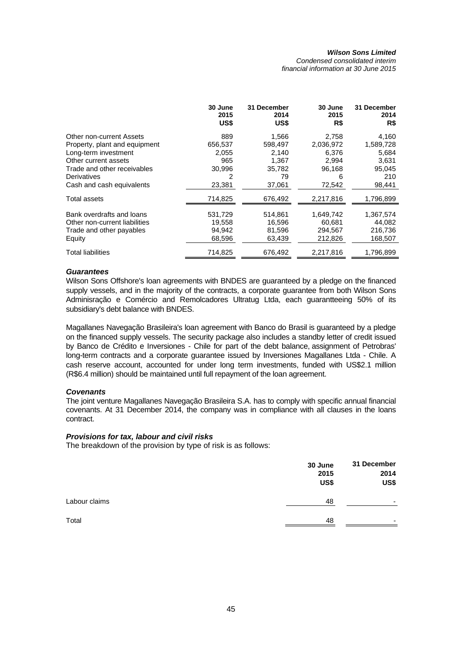*Condensed consolidated interim financial information at 30 June 2015* 

|                               | 30 June<br>2015<br>US\$ | 31 December<br>2014<br>US\$ | 30 June<br>2015<br>R\$ | 31 December<br>2014<br>R\$ |
|-------------------------------|-------------------------|-----------------------------|------------------------|----------------------------|
| Other non-current Assets      | 889                     | 1,566                       | 2,758                  | 4,160                      |
| Property, plant and equipment | 656,537                 | 598,497                     | 2,036,972              | 1,589,728                  |
| Long-term investment          | 2,055                   | 2,140                       | 6,376                  | 5,684                      |
| Other current assets          | 965                     | 1,367                       | 2,994                  | 3,631                      |
| Trade and other receivables   | 30,996                  | 35,782                      | 96,168                 | 95,045                     |
| Derivatives                   | 2                       | 79                          | 6                      | 210                        |
| Cash and cash equivalents     | 23,381                  | 37,061                      | 72,542                 | 98,441                     |
| Total assets                  | 714,825                 | 676,492                     | 2,217,816              | 1,796,899                  |
| Bank overdrafts and loans     | 531,729                 | 514,861                     | 1,649,742              | 1,367,574                  |
| Other non-current liabilities | 19,558                  | 16,596                      | 60,681                 | 44,082                     |
| Trade and other payables      | 94,942                  | 81,596                      | 294,567                | 216,736                    |
| Equity                        | 68,596                  | 63,439                      | 212,826                | 168,507                    |
| Total liabilities             | 714,825                 | 676,492                     | 2,217,816              | 1,796,899                  |

### *Guarantees*

Wilson Sons Offshore's loan agreements with BNDES are guaranteed by a pledge on the financed supply vessels, and in the majority of the contracts, a corporate guarantee from both Wilson Sons Adminisração e Comércio and Remolcadores Ultratug Ltda, each guarantteeing 50% of its subsidiary's debt balance with BNDES.

Magallanes Navegação Brasileira's loan agreement with Banco do Brasil is guaranteed by a pledge on the financed supply vessels. The security package also includes a standby letter of credit issued by Banco de Crédito e Inversiones - Chile for part of the debt balance, assignment of Petrobras' long-term contracts and a corporate guarantee issued by Inversiones Magallanes Ltda - Chile. A cash reserve account, accounted for under long term investments, funded with US\$2.1 million (R\$6.4 million) should be maintained until full repayment of the loan agreement.

## *Covenants*

The joint venture Magallanes Navegação Brasileira S.A. has to comply with specific annual financial covenants. At 31 December 2014, the company was in compliance with all clauses in the loans contract.

## *Provisions for tax, labour and civil risks*

The breakdown of the provision by type of risk is as follows:

|               | 30 June<br>2015<br>US\$ | 31 December<br>2014<br>US\$ |
|---------------|-------------------------|-----------------------------|
| Labour claims | 48                      | -                           |
| Total         | 48                      | -                           |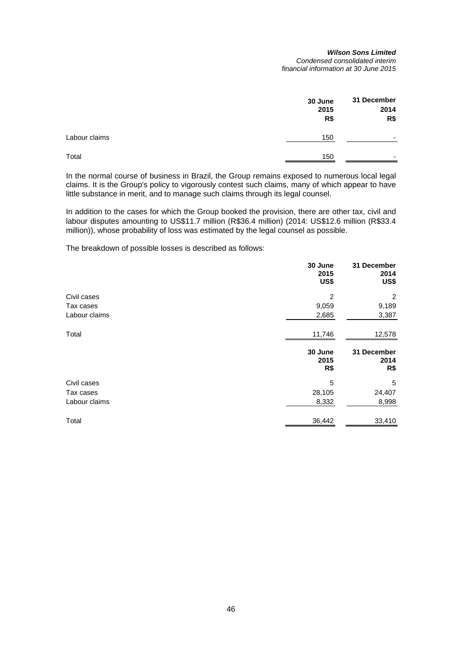#### *Wilson Sons Limited Condensed consolidated interim financial information at 30 June 2015*

|               | 30 June     | 31 December              |  |
|---------------|-------------|--------------------------|--|
|               | 2015<br>R\$ | 2014<br>R\$              |  |
|               |             |                          |  |
| Labour claims | 150         | -                        |  |
| Total         | 150         | $\overline{\phantom{0}}$ |  |

In the normal course of business in Brazil, the Group remains exposed to numerous local legal claims. It is the Group's policy to vigorously contest such claims, many of which appear to have little substance in merit, and to manage such claims through its legal counsel.

In addition to the cases for which the Group booked the provision, there are other tax, civil and labour disputes amounting to US\$11.7 million (R\$36.4 million) (2014: US\$12.6 million (R\$33.4 million)), whose probability of loss was estimated by the legal counsel as possible.

The breakdown of possible losses is described as follows:

|               | 30 June<br>2015<br>US\$ | 31 December<br>2014<br>US\$ |
|---------------|-------------------------|-----------------------------|
| Civil cases   | 2                       | 2                           |
| Tax cases     | 9,059                   | 9,189                       |
| Labour claims | 2,685                   | 3,387                       |
| Total         | 11,746                  | 12,578                      |
|               |                         |                             |
|               | 30 June<br>2015<br>R\$  | 31 December<br>2014<br>R\$  |
| Civil cases   | 5                       | 5                           |
| Tax cases     | 28,105                  | 24,407                      |
| Labour claims | 8,332                   | 8,998                       |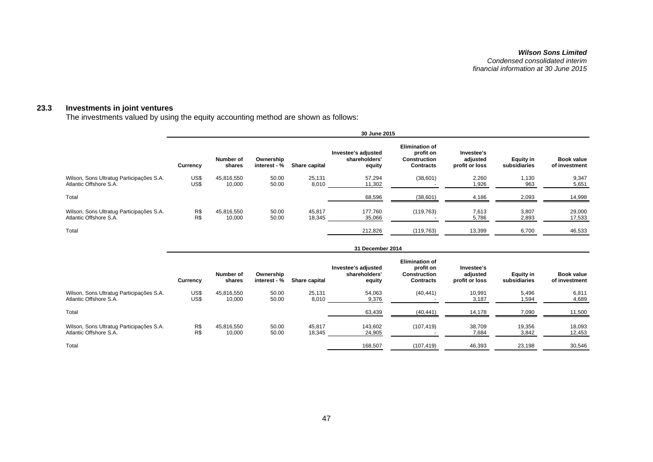#### **23.3 Investments in joint ventures**

The investments valued by using the equity accounting method are shown as follows:

|                                                                    | 30 June 2015 |                      |                           |                  |                                                |                                                                               |                                          |                                  |                             |
|--------------------------------------------------------------------|--------------|----------------------|---------------------------|------------------|------------------------------------------------|-------------------------------------------------------------------------------|------------------------------------------|----------------------------------|-----------------------------|
|                                                                    | Currency     | Number of<br>shares  | Ownership<br>interest - % | Share capital    | Investee's adjusted<br>shareholders'<br>equity | <b>Elimination of</b><br>profit on<br><b>Construction</b><br><b>Contracts</b> | Investee's<br>adjusted<br>profit or loss | <b>Equity in</b><br>subsidiaries | Book value<br>of investment |
| Wilson, Sons Ultratug Participações S.A.<br>Atlantic Offshore S.A. | US\$<br>US\$ | 45,816,550<br>10,000 | 50.00<br>50.00            | 25.131<br>8,010  | 57,294<br>11,302                               | (38,601)                                                                      | 2,260<br>1,926                           | 1,130<br>963                     | 9,347<br>5,651              |
| Total                                                              |              |                      |                           |                  | 68,596                                         | (38, 601)                                                                     | 4,186                                    | 2,093                            | 14,998                      |
| Wilson, Sons Ultratug Participações S.A.<br>Atlantic Offshore S.A. | R\$<br>R\$   | 45.816.550<br>10,000 | 50.00<br>50.00            | 45.817<br>18,345 | 177.760<br>35,066                              | (119, 763)                                                                    | 7,613<br>5,786                           | 3,807<br>2,893                   | 29,000<br>17,533            |
| Total                                                              |              |                      |                           |                  | 212,826                                        | (119, 763)                                                                    | 13,399                                   | 6.700                            | 46,533                      |

|                                                                    | 31 December 2014 |                      |                           |                  |                                                |                                                                               |                                          |                           |                                    |
|--------------------------------------------------------------------|------------------|----------------------|---------------------------|------------------|------------------------------------------------|-------------------------------------------------------------------------------|------------------------------------------|---------------------------|------------------------------------|
|                                                                    | Currency         | Number of<br>shares  | Ownership<br>interest - % | Share capital    | Investee's adjusted<br>shareholders'<br>equity | <b>Elimination of</b><br>profit on<br><b>Construction</b><br><b>Contracts</b> | Investee's<br>adjusted<br>profit or loss | Equity in<br>subsidiaries | <b>Book value</b><br>of investment |
| Wilson, Sons Ultratug Participações S.A.<br>Atlantic Offshore S.A. | US\$<br>US\$     | 45,816,550<br>10,000 | 50.00<br>50.00            | 25.131<br>8,010  | 54,063<br>9,376                                | (40, 441)                                                                     | 10,991<br>3,187                          | 5,496<br>1,594            | 6,811<br>4,689                     |
| Total                                                              |                  |                      |                           |                  | 63,439                                         | (40, 441)                                                                     | 14,178                                   | 7,090                     | 11,500                             |
| Wilson, Sons Ultratug Participações S.A.<br>Atlantic Offshore S.A. | R\$<br>R\$       | 45,816,550<br>10,000 | 50.00<br>50.00            | 45.817<br>18,345 | 143.602<br>24,905                              | (107, 419)                                                                    | 38,709<br>7,684                          | 19,356<br>3,842           | 18,093<br>12,453                   |
| Total                                                              |                  |                      |                           |                  | 168,507                                        | (107, 419)                                                                    | 46,393                                   | 23,198                    | 30,546                             |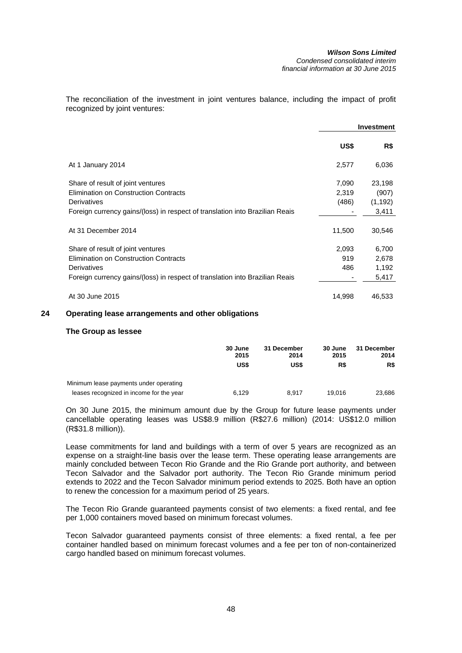The reconciliation of the investment in joint ventures balance, including the impact of profit recognized by joint ventures:

|                                                                              |        | <b>Investment</b> |
|------------------------------------------------------------------------------|--------|-------------------|
|                                                                              | US\$   | R\$               |
| At 1 January 2014                                                            | 2,577  | 6,036             |
| Share of result of joint ventures                                            | 7,090  | 23,198            |
| <b>Elimination on Construction Contracts</b>                                 | 2,319  | (907)             |
| Derivatives                                                                  | (486)  | (1, 192)          |
| Foreign currency gains/(loss) in respect of translation into Brazilian Reais |        | 3,411             |
| At 31 December 2014                                                          | 11,500 | 30,546            |
| Share of result of joint ventures                                            | 2,093  | 6,700             |
| Elimination on Construction Contracts                                        | 919    | 2,678             |
| Derivatives                                                                  | 486    | 1,192             |
| Foreign currency gains/(loss) in respect of translation into Brazilian Reais |        | 5,417             |
| At 30 June 2015                                                              | 14,998 | 46,533            |

## **24 Operating lease arrangements and other obligations**

#### **The Group as lessee**

|                                          | 30 June<br>2015 | 31 December<br>2014 | 30 June<br>2015 | 31 December<br>2014 |
|------------------------------------------|-----------------|---------------------|-----------------|---------------------|
|                                          | US\$            | US\$                | R\$             | R\$                 |
| Minimum lease payments under operating   |                 |                     |                 |                     |
| leases recognized in income for the year | 6.129           | 8.917               | 19.016          | 23.686              |

On 30 June 2015, the minimum amount due by the Group for future lease payments under cancellable operating leases was US\$8.9 million (R\$27.6 million) (2014: US\$12.0 million (R\$31.8 million)).

Lease commitments for land and buildings with a term of over 5 years are recognized as an expense on a straight-line basis over the lease term. These operating lease arrangements are mainly concluded between Tecon Rio Grande and the Rio Grande port authority, and between Tecon Salvador and the Salvador port authority. The Tecon Rio Grande minimum period extends to 2022 and the Tecon Salvador minimum period extends to 2025. Both have an option to renew the concession for a maximum period of 25 years.

The Tecon Rio Grande guaranteed payments consist of two elements: a fixed rental, and fee per 1,000 containers moved based on minimum forecast volumes.

Tecon Salvador guaranteed payments consist of three elements: a fixed rental, a fee per container handled based on minimum forecast volumes and a fee per ton of non-containerized cargo handled based on minimum forecast volumes.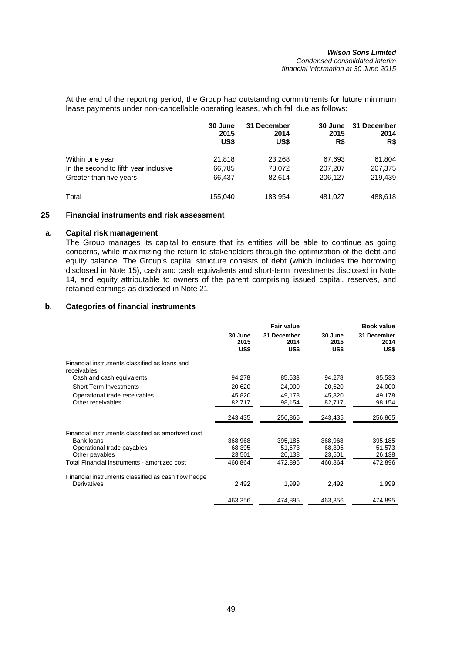At the end of the reporting period, the Group had outstanding commitments for future minimum lease payments under non-cancellable operating leases, which fall due as follows:

|                                       | 30 June<br>2015<br>US\$ | 31 December<br>2014<br>US\$ | 30 June<br>2015<br>R\$ | 31 December<br>2014<br>R\$ |
|---------------------------------------|-------------------------|-----------------------------|------------------------|----------------------------|
| Within one year                       | 21.818                  | 23,268                      | 67,693                 | 61,804                     |
| In the second to fifth year inclusive | 66,785                  | 78,072                      | 207,207                | 207,375                    |
| Greater than five years               | 66,437                  | 82,614                      | 206,127                | 219,439                    |
| Total                                 | 155,040                 | 183,954                     | 481,027                | 488,618                    |

## **25 Financial instruments and risk assessment**

## **a. Capital risk management**

The Group manages its capital to ensure that its entities will be able to continue as going concerns, while maximizing the return to stakeholders through the optimization of the debt and equity balance. The Group's capital structure consists of debt (which includes the borrowing disclosed in Note 15), cash and cash equivalents and short-term investments disclosed in Note 14, and equity attributable to owners of the parent comprising issued capital, reserves, and retained earnings as disclosed in Note 21

## **b. Categories of financial instruments**

|                                                              |                         | Fair value                  |                         | <b>Book value</b>           |
|--------------------------------------------------------------|-------------------------|-----------------------------|-------------------------|-----------------------------|
|                                                              | 30 June<br>2015<br>US\$ | 31 December<br>2014<br>US\$ | 30 June<br>2015<br>US\$ | 31 December<br>2014<br>US\$ |
| Financial instruments classified as loans and<br>receivables |                         |                             |                         |                             |
| Cash and cash equivalents                                    | 94,278                  | 85,533                      | 94,278                  | 85,533                      |
| <b>Short Term Investments</b>                                | 20,620                  | 24,000                      | 20,620                  | 24,000                      |
| Operational trade receivables<br>Other receivables           | 45,820<br>82,717        | 49,178<br>98,154            | 45,820<br>82,717        | 49,178<br>98,154            |
|                                                              | 243,435                 | 256,865                     | 243,435                 | 256,865                     |
| Financial instruments classified as amortized cost           |                         |                             |                         |                             |
| <b>Bank loans</b>                                            | 368,968                 | 395,185                     | 368,968                 | 395,185                     |
| Operational trade payables                                   | 68,395                  | 51,573                      | 68,395                  | 51,573                      |
| Other payables                                               | 23,501                  | 26,138                      | 23,501                  | 26,138                      |
| Total Financial instruments - amortized cost                 | 460,864                 | 472,896                     | 460,864                 | 472,896                     |
| Financial instruments classified as cash flow hedge          |                         |                             |                         |                             |
| Derivatives                                                  | 2,492                   | 1,999                       | 2,492                   | 1,999                       |
|                                                              | 463,356                 | 474,895                     | 463,356                 | 474,895                     |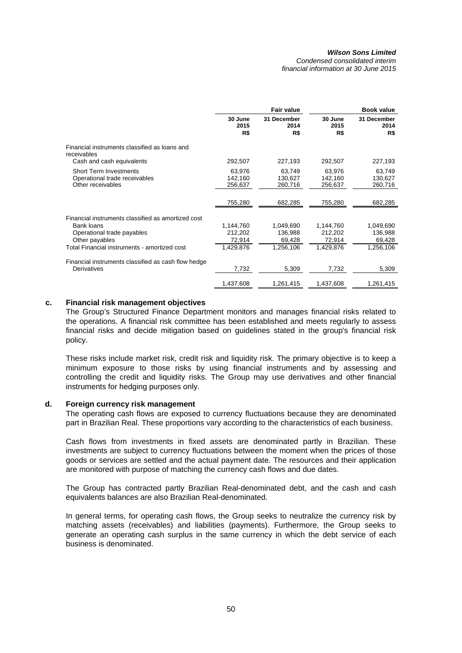*Condensed consolidated interim financial information at 30 June 2015* 

|                                                                                                                  |                                | <b>Fair value</b>              |                                | <b>Book value</b>              |
|------------------------------------------------------------------------------------------------------------------|--------------------------------|--------------------------------|--------------------------------|--------------------------------|
|                                                                                                                  | 30 June<br>2015<br>R\$         | 31 December<br>2014<br>R\$     | 30 June<br>2015<br>R\$         | 31 December<br>2014<br>R\$     |
| Financial instruments classified as loans and<br>receivables                                                     |                                |                                |                                |                                |
| Cash and cash equivalents                                                                                        | 292,507                        | 227,193                        | 292,507                        | 227,193                        |
| <b>Short Term Investments</b><br>Operational trade receivables<br>Other receivables                              | 63,976<br>142,160<br>256,637   | 63,749<br>130.627<br>260,716   | 63,976<br>142.160<br>256,637   | 63,749<br>130.627<br>260,716   |
|                                                                                                                  | 755,280                        | 682,285                        | 755,280                        | 682,285                        |
| Financial instruments classified as amortized cost<br>Bank loans<br>Operational trade payables<br>Other payables | 1,144,760<br>212,202<br>72,914 | 1,049,690<br>136,988<br>69,428 | 1,144,760<br>212,202<br>72,914 | 1,049,690<br>136,988<br>69,428 |
| Total Financial instruments - amortized cost                                                                     | 1,429,876                      | 1,256,106                      | 1,429,876                      | 1,256,106                      |
| Financial instruments classified as cash flow hedge<br><b>Derivatives</b>                                        | 7,732                          | 5,309                          | 7,732                          | 5,309                          |
|                                                                                                                  | 1,437,608                      | 1,261,415                      | 1,437,608                      | 1,261,415                      |

## **c. Financial risk management objectives**

The Group's Structured Finance Department monitors and manages financial risks related to the operations. A financial risk committee has been established and meets regularly to assess financial risks and decide mitigation based on guidelines stated in the group's financial risk policy.

These risks include market risk, credit risk and liquidity risk. The primary objective is to keep a minimum exposure to those risks by using financial instruments and by assessing and controlling the credit and liquidity risks. The Group may use derivatives and other financial instruments for hedging purposes only.

## **d. Foreign currency risk management**

The operating cash flows are exposed to currency fluctuations because they are denominated part in Brazilian Real. These proportions vary according to the characteristics of each business.

Cash flows from investments in fixed assets are denominated partly in Brazilian. These investments are subject to currency fluctuations between the moment when the prices of those goods or services are settled and the actual payment date. The resources and their application are monitored with purpose of matching the currency cash flows and due dates.

The Group has contracted partly Brazilian Real-denominated debt, and the cash and cash equivalents balances are also Brazilian Real-denominated.

In general terms, for operating cash flows, the Group seeks to neutralize the currency risk by matching assets (receivables) and liabilities (payments). Furthermore, the Group seeks to generate an operating cash surplus in the same currency in which the debt service of each business is denominated.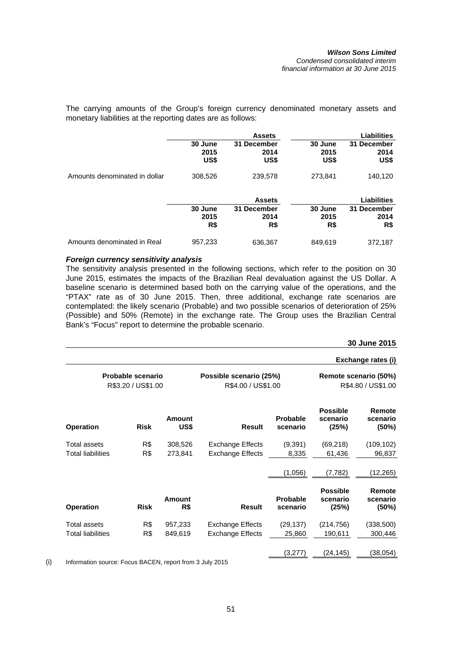The carrying amounts of the Group's foreign currency denominated monetary assets and monetary liabilities at the reporting dates are as follows:

|                               |                         | <b>Assets</b>               |                         | <b>Liabilities</b>          |
|-------------------------------|-------------------------|-----------------------------|-------------------------|-----------------------------|
|                               | 30 June<br>2015<br>US\$ | 31 December<br>2014<br>US\$ | 30 June<br>2015<br>US\$ | 31 December<br>2014<br>US\$ |
| Amounts denominated in dollar | 308,526                 | 239,578                     | 273,841                 | 140,120                     |
|                               |                         | <b>Assets</b>               |                         | <b>Liabilities</b>          |
|                               | 30 June<br>2015<br>R\$  | 31 December<br>2014<br>R\$  | 30 June<br>2015<br>R\$  | 31 December<br>2014<br>R\$  |
| Amounts denominated in Real   | 957,233                 | 636.367                     | 849,619                 | 372.187                     |

## *Foreign currency sensitivity analysis*

The sensitivity analysis presented in the following sections, which refer to the position on 30 June 2015, estimates the impacts of the Brazilian Real devaluation against the US Dollar. A baseline scenario is determined based both on the carrying value of the operations, and the "PTAX" rate as of 30 June 2015. Then, three additional, exchange rate scenarios are contemplated: the likely scenario (Probable) and two possible scenarios of deterioration of 25% (Possible) and 50% (Remote) in the exchange rate. The Group uses the Brazilian Central Bank's "Focus" report to determine the probable scenario.

**30 June 2015**

|                                         |             |                                               |                         |                                             |                                      | Exchange rates (i)          |
|-----------------------------------------|-------------|-----------------------------------------------|-------------------------|---------------------------------------------|--------------------------------------|-----------------------------|
| Probable scenario<br>R\$3.20 / US\$1.00 |             | Possible scenario (25%)<br>R\$4.00 / US\$1.00 |                         | Remote scenario (50%)<br>R\$4.80 / US\$1.00 |                                      |                             |
| <b>Operation</b>                        | <b>Risk</b> | Amount<br>US\$                                | <b>Result</b>           | Probable<br>scenario                        | <b>Possible</b><br>scenario<br>(25%) | Remote<br>scenario<br>(50%) |
| <b>Total assets</b>                     | R\$         | 308,526                                       | <b>Exchange Effects</b> | (9,391)                                     | (69, 218)                            | (109, 102)                  |
| <b>Total liabilities</b>                | R\$         | 273,841                                       | <b>Exchange Effects</b> | 8,335                                       | 61,436                               | 96,837                      |
|                                         |             |                                               |                         | (1,056)                                     | (7, 782)                             | (12,265)                    |
| <b>Operation</b>                        | <b>Risk</b> | Amount<br>R\$                                 | <b>Result</b>           | Probable<br>scenario                        | <b>Possible</b><br>scenario<br>(25%) | Remote<br>scenario<br>(50%) |
| Total assets                            | R\$         | 957,233                                       | <b>Exchange Effects</b> | (29, 137)                                   | (214, 756)                           | (338,500)                   |
| <b>Total liabilities</b>                | R\$         | 849,619                                       | <b>Exchange Effects</b> | 25,860                                      | 190,611                              | 300,446                     |
|                                         |             |                                               |                         | (3,277)                                     | (24, 145)                            | (38,054)                    |

(i) Information source: Focus BACEN, report from 3 July 2015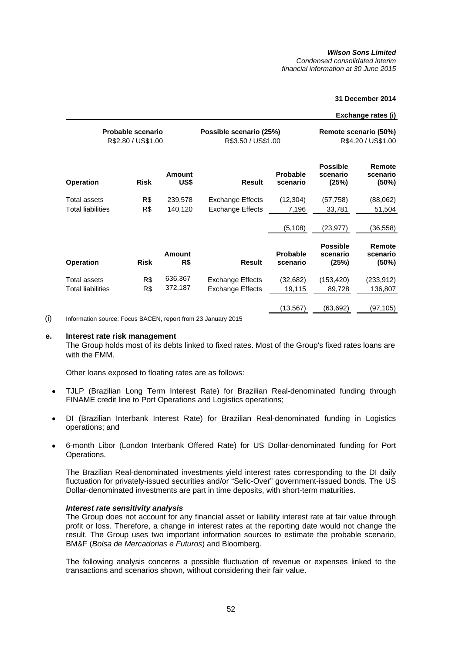*Condensed consolidated interim financial information at 30 June 2015* 

#### **31 December 2014**

#### **Exchange rates (i)**

|                          | <b>Probable scenario</b><br>R\$2.80 / US\$1.00 |                       | Possible scenario (25%)<br>R\$3.50 / US\$1.00 | Remote scenario (50%)<br>R\$4.20 / US\$1.00 |                                      |                             |
|--------------------------|------------------------------------------------|-----------------------|-----------------------------------------------|---------------------------------------------|--------------------------------------|-----------------------------|
| <b>Operation</b>         | <b>Risk</b>                                    | <b>Amount</b><br>US\$ | <b>Result</b>                                 | <b>Probable</b><br>scenario                 | <b>Possible</b><br>scenario<br>(25%) | Remote<br>scenario<br>(50%) |
| Total assets             | R\$                                            | 239,578               | <b>Exchange Effects</b>                       | (12, 304)                                   | (57, 758)                            | (88,062)                    |
| <b>Total liabilities</b> | R\$                                            | 140,120               | <b>Exchange Effects</b>                       | 7,196                                       | 33,781                               | 51,504                      |
|                          |                                                |                       |                                               | (5, 108)                                    | (23, 977)                            | (36,558)                    |
| <b>Operation</b>         | <b>Risk</b>                                    | Amount<br>R\$         | <b>Result</b>                                 | <b>Probable</b><br>scenario                 | <b>Possible</b><br>scenario<br>(25%) | Remote<br>scenario<br>(50%) |
| Total assets             | R\$                                            | 636,367               | <b>Exchange Effects</b>                       | (32, 682)                                   | (153, 420)                           | (233,912)                   |
| <b>Total liabilities</b> | R\$                                            | 372,187               | Exchange Effects                              | 19,115                                      | 89,728                               | 136,807                     |
|                          |                                                |                       |                                               | (13,567)                                    | (63,692)                             | (97,105)                    |

(i) Information source: Focus BACEN, report from 23 January 2015

#### **e. Interest rate risk management**

The Group holds most of its debts linked to fixed rates. Most of the Group's fixed rates loans are with the FMM.

Other loans exposed to floating rates are as follows:

- TJLP (Brazilian Long Term Interest Rate) for Brazilian Real-denominated funding through FINAME credit line to Port Operations and Logistics operations;
- DI (Brazilian Interbank Interest Rate) for Brazilian Real-denominated funding in Logistics operations; and
- 6-month Libor (London Interbank Offered Rate) for US Dollar-denominated funding for Port Operations.

The Brazilian Real-denominated investments yield interest rates corresponding to the DI daily fluctuation for privately-issued securities and/or "Selic-Over" government-issued bonds. The US Dollar-denominated investments are part in time deposits, with short-term maturities.

#### *Interest rate sensitivity analysis*

The Group does not account for any financial asset or liability interest rate at fair value through profit or loss. Therefore, a change in interest rates at the reporting date would not change the result. The Group uses two important information sources to estimate the probable scenario, BM&F (*Bolsa de Mercadorias e Futuros*) and Bloomberg.

The following analysis concerns a possible fluctuation of revenue or expenses linked to the transactions and scenarios shown, without considering their fair value.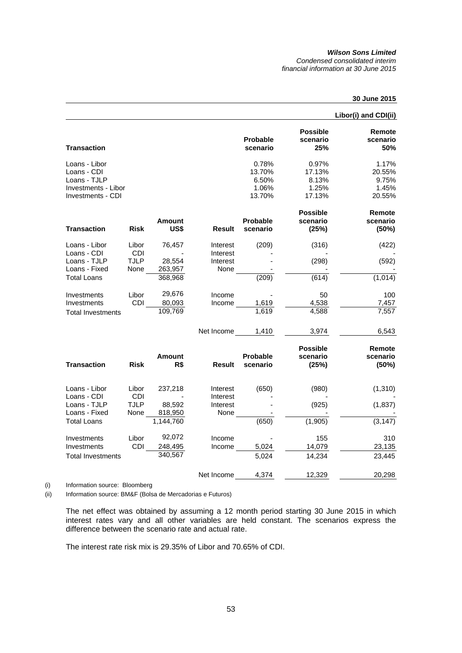#### *Wilson Sons Limited Condensed consolidated interim financial information at 30 June 2015*

## **30 June 2015**

|                                                                                          |                                     |                                        |                                          |                                             |                                             | Libor(i) and CDI(ii)                        |
|------------------------------------------------------------------------------------------|-------------------------------------|----------------------------------------|------------------------------------------|---------------------------------------------|---------------------------------------------|---------------------------------------------|
| <b>Transaction</b>                                                                       |                                     |                                        |                                          | <b>Probable</b><br>scenario                 | <b>Possible</b><br>scenario<br>25%          | Remote<br>scenario<br>50%                   |
| Loans - Libor<br>Loans - CDI<br>Loans - TJLP<br>Investments - Libor<br>Investments - CDI |                                     |                                        |                                          | 0.78%<br>13.70%<br>6.50%<br>1.06%<br>13.70% | 0.97%<br>17.13%<br>8.13%<br>1.25%<br>17.13% | 1.17%<br>20.55%<br>9.75%<br>1.45%<br>20.55% |
| <b>Transaction</b>                                                                       | <b>Risk</b>                         | <b>Amount</b><br>US\$                  | <b>Result</b>                            | Probable<br>scenario                        | <b>Possible</b><br>scenario<br>(25%)        | Remote<br>scenario<br>(50%)                 |
| Loans - Libor<br>Loans - CDI<br>Loans - TJLP<br>Loans - Fixed                            | Libor<br>CDI<br><b>TJLP</b><br>None | 76,457<br>28,554<br>263,957            | Interest<br>Interest<br>Interest<br>None | (209)                                       | (316)<br>(298)                              | (422)<br>(592)                              |
| <b>Total Loans</b><br>Investments<br>Investments<br><b>Total Investments</b>             | Libor<br>CDI                        | 368,968<br>29,676<br>80,093<br>109,769 | Income<br>Income                         | (209)<br>1,619<br>1,619                     | (614)<br>50<br>4,538<br>4,588               | (1,014)<br>100<br>7,457<br>7,557            |
|                                                                                          |                                     |                                        | Net Income                               | 1,410                                       | 3,974                                       | 6,543                                       |
| <b>Transaction</b>                                                                       | <b>Risk</b>                         | Amount<br>R\$                          | <b>Result</b>                            | <b>Probable</b><br>scenario                 | <b>Possible</b><br>scenario<br>(25%)        | Remote<br>scenario<br>(50%)                 |
| Loans - Libor<br>Loans - CDI<br>Loans - TJLP                                             | Libor<br><b>CDI</b><br>TJLP         | 237,218<br>88,592                      | Interest<br>Interest<br>Interest         | (650)                                       | (980)<br>(925)                              | (1, 310)<br>(1,837)                         |
| Loans - Fixed<br><b>Total Loans</b>                                                      | None                                | 818,950<br>1,144,760                   | None                                     | (650)                                       | (1,905)                                     | (3, 147)                                    |
| Investments<br>Investments<br><b>Total Investments</b>                                   | Libor<br>CDI                        | 92,072<br>248,495<br>340,567           | Income<br>Income                         | 5,024<br>5,024                              | 155<br>14,079<br>14,234                     | 310<br>23,135<br>23,445                     |
|                                                                                          |                                     |                                        | Net Income                               | 4,374                                       | 12,329                                      | 20,298                                      |

(i) Information source: Bloomberg

(ii) Information source: BM&F (Bolsa de Mercadorias e Futuros)

The net effect was obtained by assuming a 12 month period starting 30 June 2015 in which interest rates vary and all other variables are held constant. The scenarios express the difference between the scenario rate and actual rate.

The interest rate risk mix is 29.35% of Libor and 70.65% of CDI.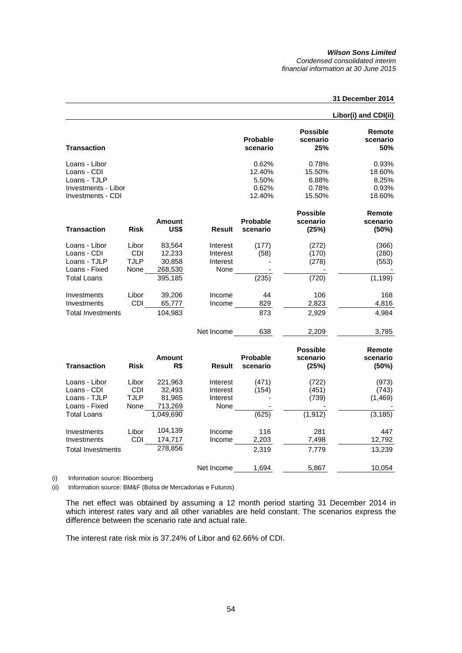*Condensed consolidated interim financial information at 30 June 2015* 

## **31 December 2014**

|                          |             |           |               |                             |                                    | Libor(i) and CDI(ii)      |
|--------------------------|-------------|-----------|---------------|-----------------------------|------------------------------------|---------------------------|
| <b>Transaction</b>       |             |           |               | <b>Probable</b><br>scenario | <b>Possible</b><br>scenario<br>25% | Remote<br>scenario<br>50% |
| Loans - Libor            |             |           |               | 0.62%                       | 0.78%                              | 0.93%                     |
| Loans - CDI              |             |           |               | 12.40%                      | 15.50%                             | 18.60%                    |
| Loans - TJLP             |             |           |               | 5.50%                       | 6.88%                              | 8.25%                     |
| Investments - Libor      |             |           |               | 0.62%                       | 0.78%                              | 0.93%                     |
| Investments - CDI        |             |           |               | 12.40%                      | 15.50%                             | 18.60%                    |
|                          |             |           |               |                             | <b>Possible</b>                    | Remote                    |
|                          |             | Amount    |               | Probable                    | scenario                           | scenario                  |
| <b>Transaction</b>       | <b>Risk</b> | US\$      | Result        | scenario                    | (25%)                              | (50%)                     |
| Loans - Libor            | Libor       | 83,564    | Interest      | (177)                       | (272)                              | (366)                     |
| Loans - CDI              | <b>CDI</b>  | 12,233    | Interest      | (58)                        | (170)                              | (280)                     |
| Loans - TJLP             | <b>TJLP</b> | 30,858    | Interest      |                             | (278)                              | (553)                     |
| Loans - Fixed            | None        | 268,530   | None          |                             |                                    |                           |
| <b>Total Loans</b>       |             | 395,185   |               | (235)                       | (720)                              | (1, 199)                  |
| Investments              | Libor       | 39,206    | Income        | 44                          | 106                                | 168                       |
| Investments              | CDI         | 65,777    | Income        | 829                         | 2,823                              | 4,816                     |
| <b>Total Investments</b> |             | 104,983   |               | 873                         | 2,929                              | 4,984                     |
|                          |             |           | Net Income    | 638                         | 2,209                              | 3.785                     |
|                          |             |           |               |                             | <b>Possible</b>                    | Remote                    |
|                          |             | Amount    |               | <b>Probable</b>             | scenario                           | scenario                  |
| <b>Transaction</b>       | <b>Risk</b> | R\$       | <b>Result</b> | scenario                    | (25%)                              | (50%)                     |
| Loans - Libor            | Libor       | 221,963   | Interest      | (471)                       | (722)                              | (973)                     |
| Loans - CDI              | CDI         | 32,493    | Interest      | (154)                       | (451)                              | (743)                     |
| Loans - TJLP             | <b>TJLP</b> | 81,965    | Interest      |                             | (739)                              | (1, 469)                  |
| Loans - Fixed            | None        | 713,269   | None          |                             |                                    |                           |
| <b>Total Loans</b>       |             | 1,049,690 |               | (625)                       | (1, 912)                           | (3, 185)                  |
| Investments              | Libor       | 104,139   | Income        | 116                         | 281                                | 447                       |
| Investments              | CDI         | 174,717   | Income        | 2,203                       | 7,498                              | 12,792                    |
| <b>Total Investments</b> |             | 278,856   |               | 2,319                       | 7,779                              | 13,239                    |
|                          |             |           | Net Income    | 1,694                       | 5,867                              | 10,054                    |

(i) Information source: Bloomberg

(ii) Information source: BM&F (Bolsa de Mercadorias e Futuros)

The net effect was obtained by assuming a 12 month period starting 31 December 2014 in which interest rates vary and all other variables are held constant. The scenarios express the difference between the scenario rate and actual rate.

The interest rate risk mix is 37.24% of Libor and 62.66% of CDI.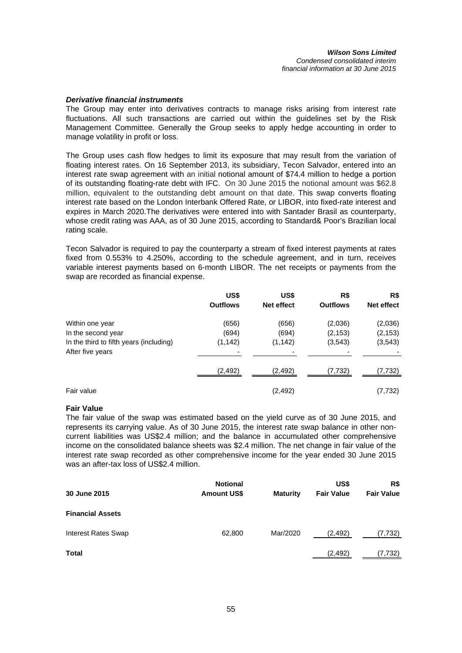### *Derivative financial instruments*

The Group may enter into derivatives contracts to manage risks arising from interest rate fluctuations. All such transactions are carried out within the guidelines set by the Risk Management Committee. Generally the Group seeks to apply hedge accounting in order to manage volatility in profit or loss.

The Group uses cash flow hedges to limit its exposure that may result from the variation of floating interest rates. On 16 September 2013, its subsidiary, Tecon Salvador, entered into an interest rate swap agreement with an initial notional amount of \$74.4 million to hedge a portion of its outstanding floating-rate debt with IFC. On 30 June 2015 the notional amount was \$62.8 million, equivalent to the outstanding debt amount on that date. This swap converts floating interest rate based on the London Interbank Offered Rate, or LIBOR, into fixed-rate interest and expires in March 2020.The derivatives were entered into with Santader Brasil as counterparty, whose credit rating was AAA, as of 30 June 2015, according to Standard& Poor's Brazilian local rating scale.

Tecon Salvador is required to pay the counterparty a stream of fixed interest payments at rates fixed from 0.553% to 4.250%, according to the schedule agreement, and in turn, receives variable interest payments based on 6-month LIBOR. The net receipts or payments from the swap are recorded as financial expense.

|                                         | US\$<br><b>Outflows</b> | US\$<br>Net effect | R\$<br><b>Outflows</b> | R\$<br>Net effect |
|-----------------------------------------|-------------------------|--------------------|------------------------|-------------------|
|                                         |                         |                    |                        |                   |
| Within one year                         | (656)                   | (656)              | (2,036)                | (2,036)           |
| In the second year                      | (694)                   | (694)              | (2, 153)               | (2, 153)          |
| In the third to fifth years (including) | (1, 142)                | (1, 142)           | (3, 543)               | (3, 543)          |
| After five years                        |                         |                    |                        |                   |
|                                         | (2, 492)                | (2, 492)           | (7, 732)               | (7, 732)          |
| Fair value                              |                         | (2, 492)           |                        | (7, 732)          |

## **Fair Value**

The fair value of the swap was estimated based on the yield curve as of 30 June 2015, and represents its carrying value. As of 30 June 2015, the interest rate swap balance in other noncurrent liabilities was US\$2.4 million; and the balance in accumulated other comprehensive income on the consolidated balance sheets was \$2.4 million. The net change in fair value of the interest rate swap recorded as other comprehensive income for the year ended 30 June 2015 was an after-tax loss of US\$2.4 million.

| 30 June 2015               | <b>Notional</b><br><b>Amount US\$</b> | <b>Maturity</b> | US\$<br><b>Fair Value</b> | R\$<br><b>Fair Value</b> |
|----------------------------|---------------------------------------|-----------------|---------------------------|--------------------------|
| <b>Financial Assets</b>    |                                       |                 |                           |                          |
| <b>Interest Rates Swap</b> | 62,800                                | Mar/2020        | (2, 492)                  | (7,732)                  |
| Total                      |                                       |                 | (2, 492)                  | (7,732)                  |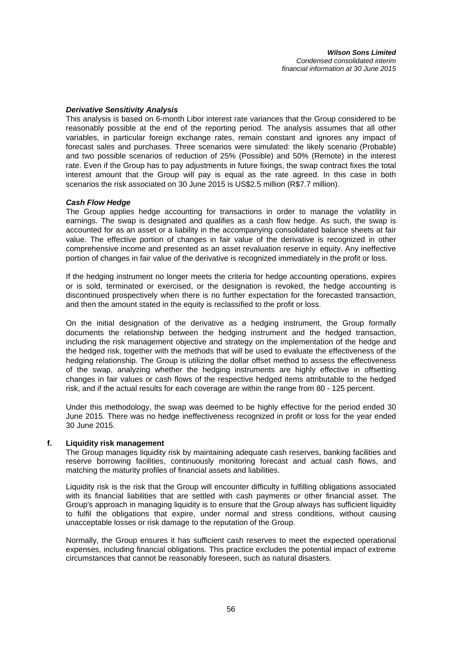## *Derivative Sensitivity Analysis*

This analysis is based on 6-month Libor interest rate variances that the Group considered to be reasonably possible at the end of the reporting period. The analysis assumes that all other variables, in particular foreign exchange rates, remain constant and ignores any impact of forecast sales and purchases. Three scenarios were simulated: the likely scenario (Probable) and two possible scenarios of reduction of 25% (Possible) and 50% (Remote) in the interest rate. Even if the Group has to pay adjustments in future fixings, the swap contract fixes the total interest amount that the Group will pay is equal as the rate agreed. In this case in both scenarios the risk associated on 30 June 2015 is US\$2.5 million (R\$7.7 million).

## *Cash Flow Hedge*

The Group applies hedge accounting for transactions in order to manage the volatility in earnings. The swap is designated and qualifies as a cash flow hedge. As such, the swap is accounted for as an asset or a liability in the accompanying consolidated balance sheets at fair value. The effective portion of changes in fair value of the derivative is recognized in other comprehensive income and presented as an asset revaluation reserve in equity. Any ineffective portion of changes in fair value of the derivative is recognized immediately in the profit or loss.

If the hedging instrument no longer meets the criteria for hedge accounting operations, expires or is sold, terminated or exercised, or the designation is revoked, the hedge accounting is discontinued prospectively when there is no further expectation for the forecasted transaction, and then the amount stated in the equity is reclassified to the profit or loss.

On the initial designation of the derivative as a hedging instrument, the Group formally documents the relationship between the hedging instrument and the hedged transaction, including the risk management objective and strategy on the implementation of the hedge and the hedged risk, together with the methods that will be used to evaluate the effectiveness of the hedging relationship. The Group is utilizing the dollar offset method to assess the effectiveness of the swap, analyzing whether the hedging instruments are highly effective in offsetting changes in fair values or cash flows of the respective hedged items attributable to the hedged risk, and if the actual results for each coverage are within the range from 80 - 125 percent.

Under this methodology, the swap was deemed to be highly effective for the period ended 30 June 2015. There was no hedge ineffectiveness recognized in profit or loss for the year ended 30 June 2015.

## **f. Liquidity risk management**

The Group manages liquidity risk by maintaining adequate cash reserves, banking facilities and reserve borrowing facilities, continuously monitoring forecast and actual cash flows, and matching the maturity profiles of financial assets and liabilities.

Liquidity risk is the risk that the Group will encounter difficulty in fulfilling obligations associated with its financial liabilities that are settled with cash payments or other financial asset. The Group's approach in managing liquidity is to ensure that the Group always has sufficient liquidity to fulfil the obligations that expire, under normal and stress conditions, without causing unacceptable losses or risk damage to the reputation of the Group.

Normally, the Group ensures it has sufficient cash reserves to meet the expected operational expenses, including financial obligations. This practice excludes the potential impact of extreme circumstances that cannot be reasonably foreseen, such as natural disasters.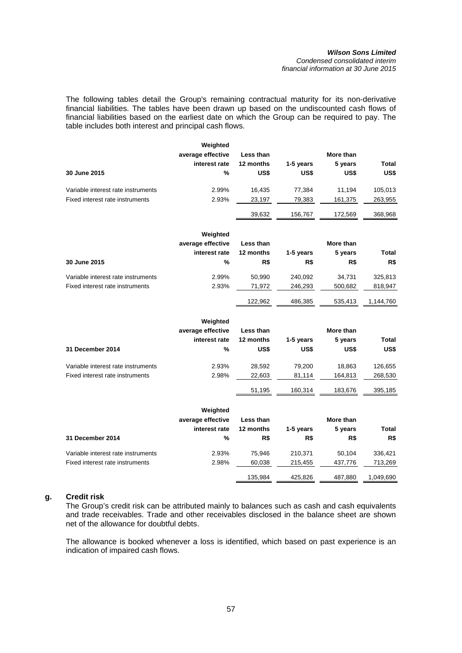#### *Wilson Sons Limited Condensed consolidated interim financial information at 30 June 2015*

The following tables detail the Group's remaining contractual maturity for its non-derivative financial liabilities. The tables have been drawn up based on the undiscounted cash flows of financial liabilities based on the earliest date on which the Group can be required to pay. The table includes both interest and principal cash flows.

|                                    | Weighted          |           |           |           |              |
|------------------------------------|-------------------|-----------|-----------|-----------|--------------|
|                                    | average effective | Less than |           | More than |              |
|                                    | interest rate     | 12 months | 1-5 years | 5 years   | <b>Total</b> |
| 30 June 2015                       | $\%$              | US\$      | US\$      | US\$      | US\$         |
| Variable interest rate instruments | 2.99%             | 16,435    | 77,384    | 11,194    | 105,013      |
| Fixed interest rate instruments    | 2.93%             | 23,197    | 79,383    | 161,375   | 263,955      |
|                                    |                   | 39,632    | 156,767   | 172,569   | 368,968      |
|                                    | Weighted          |           |           |           |              |
|                                    | average effective | Less than |           | More than |              |
|                                    | interest rate     | 12 months | 1-5 years | 5 years   | Total        |
| 30 June 2015                       | %                 | R\$       | R\$       | R\$       | R\$          |
| Variable interest rate instruments | 2.99%             | 50,990    | 240,092   | 34,731    | 325,813      |
| Fixed interest rate instruments    | 2.93%             | 71,972    | 246,293   | 500,682   | 818,947      |
|                                    |                   | 122,962   | 486,385   | 535,413   | 1,144,760    |
|                                    | Weighted          |           |           |           |              |
|                                    | average effective | Less than |           | More than |              |
|                                    | interest rate     | 12 months | 1-5 years | 5 years   | Total        |
| <b>31 December 2014</b>            | %                 | US\$      | US\$      | US\$      | US\$         |
| Variable interest rate instruments | 2.93%             | 28,592    | 79,200    | 18,863    | 126,655      |
| Fixed interest rate instruments    | 2.98%             | 22,603    | 81,114    | 164,813   | 268,530      |
|                                    |                   | 51,195    | 160,314   | 183,676   | 395,185      |
|                                    | Weighted          |           |           |           |              |
|                                    | average effective | Less than |           | More than |              |
|                                    | interest rate     | 12 months | 1-5 years | 5 years   | <b>Total</b> |
| 31 December 2014                   | %                 | R\$       | R\$       | R\$       | R\$          |
| Variable interest rate instruments | 2.93%             | 75,946    | 210,371   | 50,104    | 336,421      |
| Fixed interest rate instruments    | 2.98%             | 60,038    | 215,455   | 437,776   | 713,269      |
|                                    |                   | 135,984   | 425,826   | 487,880   | 1,049,690    |

## **g. Credit risk**

The Group's credit risk can be attributed mainly to balances such as cash and cash equivalents and trade receivables. Trade and other receivables disclosed in the balance sheet are shown net of the allowance for doubtful debts.

The allowance is booked whenever a loss is identified, which based on past experience is an indication of impaired cash flows.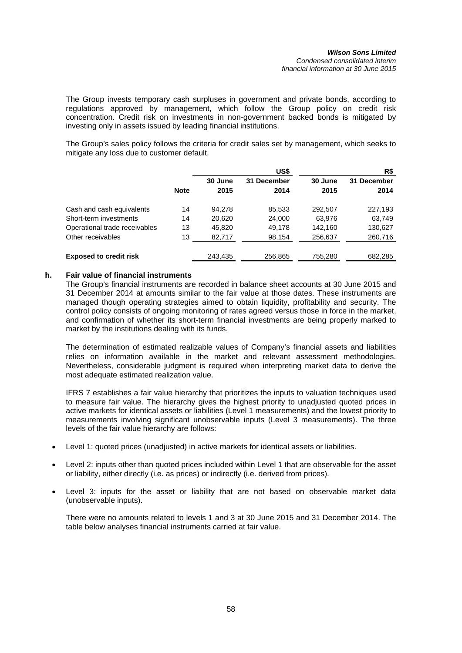The Group invests temporary cash surpluses in government and private bonds, according to regulations approved by management, which follow the Group policy on credit risk concentration. Credit risk on investments in non-government backed bonds is mitigated by investing only in assets issued by leading financial institutions.

The Group's sales policy follows the criteria for credit sales set by management, which seeks to mitigate any loss due to customer default.

|                               |             |                 | US\$                |                 | R\$                 |
|-------------------------------|-------------|-----------------|---------------------|-----------------|---------------------|
|                               | <b>Note</b> | 30 June<br>2015 | 31 December<br>2014 | 30 June<br>2015 | 31 December<br>2014 |
| Cash and cash equivalents     | 14          | 94.278          | 85,533              | 292,507         | 227,193             |
| Short-term investments        | 14          | 20.620          | 24,000              | 63.976          | 63,749              |
| Operational trade receivables | 13          | 45.820          | 49,178              | 142,160         | 130,627             |
| Other receivables             | 13          | 82,717          | 98,154              | 256,637         | 260,716             |
| <b>Exposed to credit risk</b> |             | 243,435         | 256,865             | 755,280         | 682,285             |

## **h. Fair value of financial instruments**

The Group's financial instruments are recorded in balance sheet accounts at 30 June 2015 and 31 December 2014 at amounts similar to the fair value at those dates. These instruments are managed though operating strategies aimed to obtain liquidity, profitability and security. The control policy consists of ongoing monitoring of rates agreed versus those in force in the market, and confirmation of whether its short-term financial investments are being properly marked to market by the institutions dealing with its funds.

The determination of estimated realizable values of Company's financial assets and liabilities relies on information available in the market and relevant assessment methodologies. Nevertheless, considerable judgment is required when interpreting market data to derive the most adequate estimated realization value.

IFRS 7 establishes a fair value hierarchy that prioritizes the inputs to valuation techniques used to measure fair value. The hierarchy gives the highest priority to unadjusted quoted prices in active markets for identical assets or liabilities (Level 1 measurements) and the lowest priority to measurements involving significant unobservable inputs (Level 3 measurements). The three levels of the fair value hierarchy are follows:

- Level 1: quoted prices (unadjusted) in active markets for identical assets or liabilities.
- Level 2: inputs other than quoted prices included within Level 1 that are observable for the asset or liability, either directly (i.e. as prices) or indirectly (i.e. derived from prices).
- Level 3: inputs for the asset or liability that are not based on observable market data (unobservable inputs).

There were no amounts related to levels 1 and 3 at 30 June 2015 and 31 December 2014. The table below analyses financial instruments carried at fair value.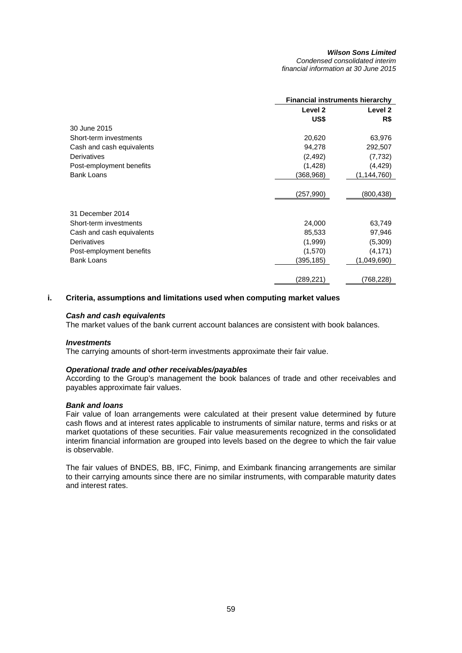*Condensed consolidated interim financial information at 30 June 2015* 

| <b>Financial instruments hierarchy</b> |               |  |
|----------------------------------------|---------------|--|
| Level 2                                | Level 2       |  |
| US\$                                   | R\$           |  |
|                                        |               |  |
| 20,620                                 | 63,976        |  |
| 94,278                                 | 292,507       |  |
| (2, 492)                               | (7, 732)      |  |
| (1, 428)                               | (4, 429)      |  |
| (368,968)                              | (1, 144, 760) |  |
|                                        |               |  |
| (257,990)                              | (800,438)     |  |
|                                        |               |  |
|                                        |               |  |
| 24,000                                 | 63,749        |  |
| 85,533                                 | 97,946        |  |
| (1,999)                                | (5,309)       |  |
| (1,570)                                | (4, 171)      |  |
| (395,185)                              | (1,049,690)   |  |
|                                        |               |  |
| (289,221                               | (768,228)     |  |
|                                        |               |  |

## **i. Criteria, assumptions and limitations used when computing market values**

#### *Cash and cash equivalents*

The market values of the bank current account balances are consistent with book balances.

#### *Investments*

The carrying amounts of short-term investments approximate their fair value.

#### *Operational trade and other receivables/payables*

According to the Group's management the book balances of trade and other receivables and payables approximate fair values.

### *Bank and loans*

Fair value of loan arrangements were calculated at their present value determined by future cash flows and at interest rates applicable to instruments of similar nature, terms and risks or at market quotations of these securities. Fair value measurements recognized in the consolidated interim financial information are grouped into levels based on the degree to which the fair value is observable.

The fair values of BNDES, BB, IFC, Finimp, and Eximbank financing arrangements are similar to their carrying amounts since there are no similar instruments, with comparable maturity dates and interest rates.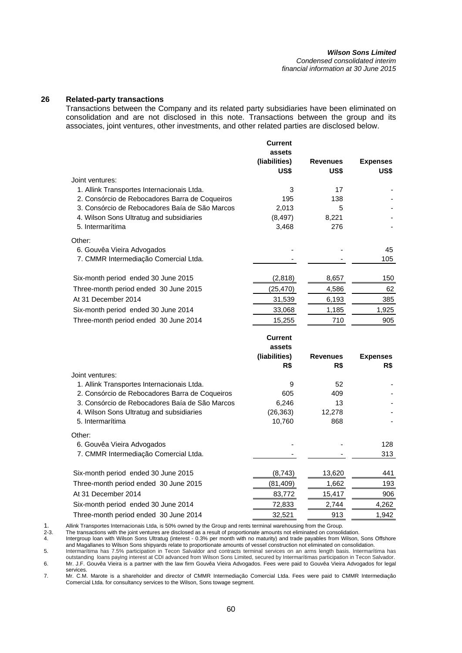*Condensed consolidated interim financial information at 30 June 2015* 

## **26 Related-party transactions**

Transactions between the Company and its related party subsidiaries have been eliminated on consolidation and are not disclosed in this note. Transactions between the group and its associates, joint ventures, other investments, and other related parties are disclosed below.

|                                                                     | <b>Current</b><br>assets<br>(liabilities)<br>US\$ | <b>Revenues</b><br>US\$ | <b>Expenses</b><br>US\$ |
|---------------------------------------------------------------------|---------------------------------------------------|-------------------------|-------------------------|
| Joint ventures:                                                     |                                                   |                         |                         |
| 1. Allink Transportes Internacionais Ltda.                          | 3                                                 | 17                      |                         |
| 2. Consórcio de Rebocadores Barra de Coqueiros                      | 195                                               | 138                     |                         |
| 3. Consórcio de Rebocadores Baía de São Marcos                      | 2,013                                             | 5                       |                         |
| 4. Wilson Sons Ultratug and subsidiaries                            | (8, 497)                                          | 8,221                   |                         |
| 5. Intermarítima                                                    | 3,468                                             | 276                     |                         |
| Other:                                                              |                                                   |                         |                         |
| 6. Gouvêa Vieira Advogados                                          |                                                   |                         | 45                      |
| 7. CMMR Intermediação Comercial Ltda.                               |                                                   |                         | 105                     |
| Six-month period ended 30 June 2015                                 | (2,818)                                           | 8,657                   | 150                     |
| Three-month period ended 30 June 2015                               | (25, 470)                                         | 4,586                   | 62                      |
| At 31 December 2014                                                 | 31,539                                            | 6,193                   | 385                     |
| Six-month period ended 30 June 2014                                 | 33,068                                            | 1,185                   | 1,925                   |
| Three-month period ended 30 June 2014                               | 15,255                                            | 710                     | 905                     |
|                                                                     |                                                   |                         |                         |
|                                                                     | <b>Current</b>                                    |                         |                         |
|                                                                     | assets                                            |                         |                         |
|                                                                     | (liabilities)                                     | <b>Revenues</b>         | <b>Expenses</b>         |
|                                                                     | R\$                                               | R\$                     | R\$                     |
| Joint ventures:                                                     |                                                   |                         |                         |
| 1. Allink Transportes Internacionais Ltda.                          | 9                                                 | 52                      |                         |
| 2. Consórcio de Rebocadores Barra de Coqueiros                      | 605                                               | 409                     |                         |
| 3. Consórcio de Rebocadores Baía de São Marcos                      | 6,246                                             | 13                      |                         |
| 4. Wilson Sons Ultratug and subsidiaries<br>5. Intermarítima        | (26, 363)                                         | 12,278<br>868           |                         |
|                                                                     | 10,760                                            |                         |                         |
| Other:                                                              |                                                   |                         | 128                     |
| 6. Gouvêa Vieira Advogados<br>7. CMMR Intermediação Comercial Ltda. |                                                   |                         | 313                     |
|                                                                     |                                                   |                         | 441                     |
| Six-month period ended 30 June 2015                                 | (8,743)                                           | 13,620                  |                         |
| Three-month period ended 30 June 2015<br>At 31 December 2014        | (81, 409)                                         | 1,662                   | 193<br>906              |
| Six-month period ended 30 June 2014                                 | 83,772<br>72,833                                  | 15,417<br>2,744         | 4,262                   |

1. Allink Transportes Internacionais Ltda, is 50% owned by the Group and rents terminal warehousing from the Group.<br>2-3. The transactions with the joint ventures are disclosed as a result of proportionate amounts not elimi

2-3. The transactions with the joint ventures are disclosed as a result of proportionate amounts not eliminated on consolidation.

4. Intergroup loan with Wilson Sons Ultratug (interest - 0.3% per month with no maturity) and trade payables from Wilson, Sons Offshore and Magallanes to Wilson Sons shipyards relate to proportionate amounts of vessel construction not eliminated on consolidation.

5. Intermarítima has 7.5% participation in Tecon Salvaldor and contracts terminal services on an arms length basis. Intermarítima has outstanding loans paying interest at CDI advanced from Wilson Sons Limited, secured by Intermarítimas participation in Tecon Salvador. 6. Mr. J.F. Gouvêa Vieira is a partner with the law firm Gouvêa Vieira Advogados. Fees were paid to Gouvêa Vieira Advogados for legal

services. 7. Mr. C.M. Marote is a shareholder and director of CMMR Intermediação Comercial Ltda. Fees were paid to CMMR Intermediação

Comercial Ltda. for consultancy services to the Wilson, Sons towage segment.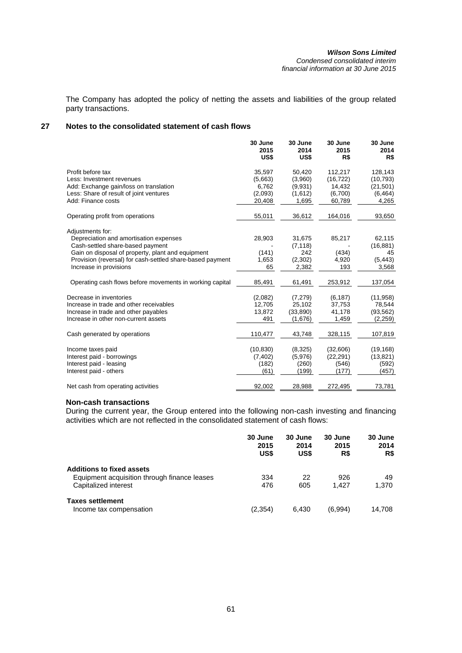The Company has adopted the policy of netting the assets and liabilities of the group related party transactions.

## **27 Notes to the consolidated statement of cash flows**

|                                                                                                                                                    | 30 June<br>2015<br>US\$                | 30 June<br>2014<br>US\$                   | 30 June<br>2015<br>R\$                    | 30 June<br>2014<br>R\$                        |
|----------------------------------------------------------------------------------------------------------------------------------------------------|----------------------------------------|-------------------------------------------|-------------------------------------------|-----------------------------------------------|
| Profit before tax<br>Less: Investment revenues<br>Add: Exchange gain/loss on translation<br>Less: Share of result of joint ventures                | 35,597<br>(5,663)<br>6,762<br>(2,093)  | 50,420<br>(3,960)<br>(9,931)              | 112,217<br>(16, 722)<br>14,432<br>(6,700) | 128,143<br>(10, 793)<br>(21, 501)<br>(6, 464) |
| Add: Finance costs                                                                                                                                 | 20,408                                 | (1,612)<br>1,695                          | 60,789                                    | 4,265                                         |
| Operating profit from operations                                                                                                                   | 55,011                                 | 36,612                                    | 164,016                                   | 93,650                                        |
| Adjustments for:<br>Depreciation and amortisation expenses<br>Cash-settled share-based payment                                                     | 28,903                                 | 31,675<br>(7, 118)                        | 85,217                                    | 62,115<br>(16, 881)                           |
| Gain on disposal of property, plant and equipment<br>Provision (reversal) for cash-settled share-based payment<br>Increase in provisions           | (141)<br>1,653<br>65                   | 242<br>(2,302)<br>2,382                   | (434)<br>4,920<br>193                     | 45<br>(5, 443)<br>3,568                       |
| Operating cash flows before movements in working capital                                                                                           | 85,491                                 | 61,491                                    | 253,912                                   | 137,054                                       |
| Decrease in inventories<br>Increase in trade and other receivables<br>Increase in trade and other payables<br>Increase in other non-current assets | (2,082)<br>12,705<br>13,872<br>491     | (7, 279)<br>25,102<br>(33,890)<br>(1,676) | (6, 187)<br>37,753<br>41,178<br>1,459     | (11, 958)<br>78,544<br>(93, 562)<br>(2,259)   |
| Cash generated by operations                                                                                                                       | 110,477                                | 43,748                                    | 328,115                                   | 107,819                                       |
| Income taxes paid<br>Interest paid - borrowings<br>Interest paid - leasing<br>Interest paid - others                                               | (10, 830)<br>(7, 402)<br>(182)<br>(61) | (8,325)<br>(5,976)<br>(260)<br>(199)      | (32,606)<br>(22, 291)<br>(546)<br>(177)   | (19, 168)<br>(13, 821)<br>(592)<br>(457)      |
| Net cash from operating activities                                                                                                                 | 92,002                                 | 28,988                                    | 272,495                                   | 73,781                                        |

### **Non-cash transactions**

During the current year, the Group entered into the following non-cash investing and financing activities which are not reflected in the consolidated statement of cash flows:

|                                              | 30 June<br>2015<br>US\$ | 30 June<br>2014<br>US\$ | 30 June<br>2015<br>R\$ | 30 June<br>2014<br>R\$ |
|----------------------------------------------|-------------------------|-------------------------|------------------------|------------------------|
| <b>Additions to fixed assets</b>             |                         |                         |                        |                        |
| Equipment acquisition through finance leases | 334                     | 22                      | 926                    | 49                     |
| Capitalized interest                         | 476                     | 605                     | 1.427                  | 1.370                  |
| <b>Taxes settlement</b>                      |                         |                         |                        |                        |
| Income tax compensation                      | (2, 354)                | 6.430                   | (6,994)                | 14.708                 |